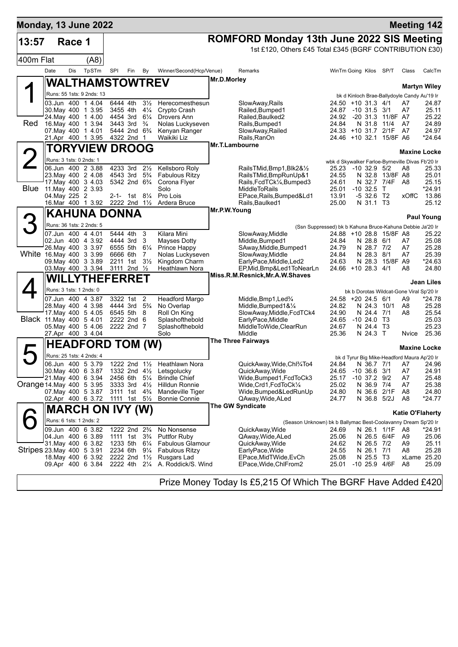| <b>Monday, 13 June 2022</b> |                         |        |                                          |                                        |     |                                  |                                                    |                |                                                               |                                                  |                                |                           |                                             | <b>Meeting 142</b>  |
|-----------------------------|-------------------------|--------|------------------------------------------|----------------------------------------|-----|----------------------------------|----------------------------------------------------|----------------|---------------------------------------------------------------|--------------------------------------------------|--------------------------------|---------------------------|---------------------------------------------|---------------------|
| 13:57                       |                         | Race 1 |                                          |                                        |     |                                  |                                                    |                | <b>ROMFORD Monday 13th June 2022 SIS Meeting</b>              |                                                  |                                |                           |                                             |                     |
|                             |                         |        |                                          |                                        |     |                                  |                                                    |                | 1st £120, Others £45 Total £345 (BGRF CONTRIBUTION £30)       |                                                  |                                |                           |                                             |                     |
| 400m Flat                   |                         |        | (AB)                                     |                                        |     |                                  |                                                    |                |                                                               |                                                  |                                |                           |                                             |                     |
|                             | Date                    | Dis    | TpSTm                                    | SPI                                    | Fin | By                               | Winner/Second(Hcp/Venue)                           |                | Remarks                                                       | WinTm Going Kilos                                |                                | SP/T                      | Class                                       | CalcTm              |
|                             |                         |        | <b>WALTHAMSTOWTREV</b>                   |                                        |     |                                  |                                                    | Mr.D.Morley    |                                                               |                                                  |                                |                           |                                             | <b>Martyn Wiley</b> |
|                             |                         |        | Runs: 55 1sts: 9 2nds: 13                |                                        |     |                                  |                                                    |                |                                                               |                                                  |                                |                           | bk d Kinloch Brae-Ballydoyle Candy Au'19 Ir |                     |
|                             |                         |        | 03.Jun 400 1 4.04                        | 6444 4th                               |     | $3\frac{1}{2}$                   | Herecomesthesun                                    |                | SlowAway,Rails                                                | 24.50 +10 31.3 4/1                               |                                |                           | A7                                          | 24.87               |
|                             |                         |        | 30 May 400 1 3.95                        | 3455 4th                               |     | $4\frac{1}{4}$                   | Crypto Crash                                       |                | Railed, Bumped 1                                              | 24.87                                            | $-10$ 31.5 3/1                 |                           | A7                                          | 25.11               |
| Red                         |                         |        | 24. May 400 1 4.00<br>16. May 400 1 3.94 | 4454 3rd<br>3443 3rd                   |     | $6\frac{1}{4}$<br>$\frac{3}{4}$  | Drovers Ann<br>Nolas Luckyseven                    |                | Railed, Baulked2<br>Rails, Bumped1                            | 24.92<br>24.84                                   | N 31.8                         | -20 31.3 11/8F A7<br>11/4 | A7                                          | 25.22<br>24.89      |
|                             |                         |        | 07. May 400 1 4.01                       | 5444 2nd                               |     | $6\frac{3}{4}$                   | Kenyan Ranger                                      |                | SlowAway, Railed                                              | 24.33 +10 31.7 2/1F                              |                                |                           | A7                                          | 24.97               |
|                             |                         |        | 21.Apr 400 1 3.95                        | 4322 2nd                               |     | $\mathbf 1$                      | Waikiki Liz                                        |                | Rails, RanOn                                                  |                                                  |                                | 24.46 +10 32.1 15/8F A6   |                                             | *24.64              |
|                             |                         |        | <b>TORYVIEW DROOG</b>                    |                                        |     |                                  |                                                    | Mr.T.Lambourne |                                                               |                                                  |                                |                           | <b>Maxine Locke</b>                         |                     |
|                             | Runs: 3 1sts: 0 2nds: 1 |        |                                          |                                        |     |                                  |                                                    |                |                                                               | wbk d Skywalker Farloe-Byrneville Divas Fb'20 Ir |                                |                           |                                             |                     |
|                             |                         |        | 06.Jun 400 2 3.88                        | 4233 3rd                               |     | $2\frac{1}{2}$                   | Kellsboro Roly                                     |                | RailsTMid,Bmp1,Blk2&1/2                                       | 25.23 -10 32.9 5/2                               |                                |                           | A8                                          | 25.33               |
|                             |                         |        | 23. May 400 2 4.08                       | 4543 3rd                               |     | $5\frac{3}{4}$                   | <b>Fabulous Ritzy</b>                              |                | RailsTMid, BmpRunUp&1                                         | 24.55                                            |                                | N 32.8 13/8F A8           |                                             | 25.01               |
| Blue                        |                         |        | 17 May 400 3 4.03<br>11. May 400 2 3.93  | 5342 2nd 6 <sup>3</sup> / <sub>4</sub> |     |                                  | Corona Flyer<br>Solo                               |                | Rails, FcdTCk1/4, Bumped3<br><b>MiddleToRails</b>             | 24.61<br>25.01                                   | $-10, 32.5$                    | N 32.7 7/4F A8<br>$\top$  |                                             | 25.15<br>*24.91     |
|                             | 04.May 225 2            |        |                                          | 2-1- 1st                               |     | $8\frac{1}{4}$                   | Pro Lois                                           |                | EPace, Rails, Bumped&Ld1                                      | 13.91                                            | $-532.6$ T2                    |                           | xOffC                                       | 13.86               |
|                             |                         |        | 16.Mar 400 1 3.92                        | 2222 2nd 11/2                          |     |                                  | Ardera Bruce                                       |                | Rails,Baulked1                                                | 25.00                                            | N 31.1 T3                      |                           |                                             | 25.12               |
|                             |                         |        | <b>KAHUNA DONNA</b>                      |                                        |     |                                  |                                                    | Mr.P.W.Young   |                                                               |                                                  |                                |                           |                                             | <b>Paul Young</b>   |
|                             |                         |        | Runs: 36 1sts: 2 2nds: 5                 |                                        |     |                                  |                                                    |                | (Ssn Suppressed) bk b Kahuna Bruce-Kahuna Debbie Ja'20 Ir     |                                                  |                                |                           |                                             |                     |
|                             |                         |        | 07.Jun 400 4 4.01                        | 5444 4th                               |     | 3                                | Kilara Mini                                        |                | SlowAway, Middle                                              |                                                  |                                | 24.88 +10 28.8 15/8F A8   |                                             | 25.22               |
|                             |                         |        | 02.Jun 400 4 3.92                        | 4444 3rd                               |     | 3                                | Mayses Dotty                                       |                | Middle, Bumped1                                               | 24.84                                            | N 28.8 6/1                     |                           | A7                                          | 25.08               |
| White 16.May 400 3 3.99     |                         |        | 26. May 400 3 3.97                       | 6555 5th<br>6666 6th                   |     | $6\frac{1}{4}$<br>7              | Prince Happy<br>Nolas Luckyseven                   |                | SAway, Middle, Bumped1<br>SlowAway, Middle                    | 24.79<br>24.84                                   | N 28.7 7/2<br>N 28.3 8/1       |                           | A7<br>A7                                    | 25.28<br>25.39      |
|                             |                         |        | 09. May 400 3 3.89                       | 2211 1st                               |     | $3\frac{1}{2}$                   | Kingdom Charm                                      |                | EarlyPace, Middle, Led2                                       | 24.63                                            |                                | N 28.3 15/8F A9           |                                             | *24.63              |
|                             |                         |        | 03. May 400 3 3.94                       | 3111 2nd 1/2                           |     |                                  | Heathlawn Nora                                     |                | EP, Mid, Bmp&Led1ToNearLn                                     | 24.66 +10 28.3 4/1                               |                                |                           | A8                                          | 24.80               |
|                             |                         |        | <b>WILLYTHEFERRET</b>                    |                                        |     |                                  |                                                    |                | Miss.R.M.Resnick, Mr.A.W.Shaves                               |                                                  |                                |                           |                                             | Jean Liles          |
|                             |                         |        | Runs: 3 1sts: 1 2nds: 0                  |                                        |     |                                  |                                                    |                |                                                               |                                                  |                                |                           | bk b Dorotas Wildcat-Gone Viral Sp'20 Ir    |                     |
|                             |                         |        | 07 Jun 400 4 3.87                        | 3322 1st                               |     | $\overline{2}$                   | <b>Headford Margo</b>                              |                | Middle, Bmp1, Led <sup>3</sup> / <sub>4</sub>                 | 24.58 +20 24.5 6/1                               |                                |                           | A9                                          | $*24.78$            |
|                             |                         |        | 28. May 400 4 3.98                       | 4444 3rd                               |     | $5\frac{3}{4}$                   | No Overlap                                         |                | Middle, Bumped 1&1/4                                          | 24.82                                            | N 24.3 10/1                    |                           | A8                                          | 25.28               |
| Black 11. May 400 5 4.01    |                         |        | 17 May 400 5 4.05                        | 6545 5th<br>2222 2nd                   |     | 8<br>-6                          | Roll On King<br>Splashofthebold                    |                | SlowAway, Middle, FcdTCk4<br>EarlyPace, Middle                | 24.90<br>24.65                                   | N 24.4<br>$-1024.0$            | 7/1<br>Т3                 | A8                                          | 25.54<br>25.03      |
|                             |                         |        | 05 May 400 5 4.06                        | 2222 2nd 7                             |     |                                  | Splashofthebold                                    |                | MiddleToWide,ClearRun                                         | 24.67                                            | N 24.4 T3                      |                           |                                             | 25.23               |
|                             |                         |        | 27.Apr 400 3 4.04                        |                                        |     |                                  | Solo                                               |                | Middle                                                        | 25.36                                            | N 24.3 T                       |                           | Nvice                                       | 25.36               |
|                             |                         |        | <b>HEADFORD TOM (W)</b>                  |                                        |     |                                  |                                                    |                | <b>The Three Fairways</b>                                     |                                                  |                                |                           | <b>Maxine Locke</b>                         |                     |
|                             |                         |        | Runs: 25 1sts: 4 2nds: 4                 |                                        |     |                                  |                                                    |                |                                                               |                                                  |                                |                           | bk d Tyrur Big Mike-Headford Maura Ap'20 Ir |                     |
|                             |                         |        | 06.Jun 400 5 3.79                        |                                        |     |                                  | 1222 2nd 11/2 Heathlawn Nora                       |                | QuickAway, Wide, Chl34To4                                     |                                                  |                                |                           | 24.84 N 36.7 7/1 A7 24.96                   |                     |
|                             |                         |        | 30. May 400 6 3.87<br>21. May 400 6 3.94 | 2456 6th                               |     |                                  | 1332 2nd 41/ <sub>2</sub> Letsgolucky              |                | QuickAway,Wide                                                | 24.65                                            | $-10,36.6,3/1$                 |                           | A7                                          | 24.91<br>25.48      |
| Orange 14 May 400 5 3.95    |                         |        |                                          | 3333 3rd                               |     | $5\frac{1}{4}$<br>$4\frac{1}{2}$ | <b>Brindle Chief</b><br>Hilldun Ronnie             |                | Wide,Bumped1,FcdToCk3<br>Wide,Crd1,FcdToCk1/4                 | 25.17<br>25.02                                   | $-10$ 37.2 $9/2$<br>N 36.9 7/4 |                           | A7<br>A7                                    | 25.38               |
|                             |                         |        | 07. May 400 5 3.87                       | 3111 1st                               |     | $4\frac{3}{4}$                   | Mandeville Tiger                                   |                | Wide, Bumped&LedRunUp                                         | 24.80                                            | N 36.6 2/1F                    |                           | A8                                          | 24.80               |
|                             |                         |        | 02.Apr 400 6 3.72                        | 1111 1st $5\frac{1}{2}$                |     |                                  | <b>Bonnie Connie</b>                               |                | QAway, Wide, ALed                                             | 24.77                                            | $N$ 36.8 5/2J                  |                           | A8                                          | *24.77              |
|                             |                         |        | <b>MARCH ON IVY (W)</b>                  |                                        |     |                                  |                                                    |                | <b>The GW Syndicate</b>                                       |                                                  |                                |                           | <b>Katie O'Flaherty</b>                     |                     |
|                             |                         |        | Runs: 6 1sts: 1 2nds: 2                  |                                        |     |                                  |                                                    |                | (Season Unknown) bk b Ballymac Best-Coolavanny Dream Sp'20 Ir |                                                  |                                |                           |                                             |                     |
|                             |                         |        | 09.Jun 400 6 3.82                        | 1222 2nd 2 <sup>3</sup> / <sub>4</sub> |     |                                  | No Nonsense                                        |                | QuickAway,Wide                                                | 24.69                                            | N 26.1 1/1F                    |                           | A8                                          | *24.91              |
|                             |                         |        | 04.Jun 400 6 3.89<br>31. May 400 6 3.82  | 1111 1st                               |     | $3\frac{3}{4}$                   | <b>Puttfor Ruby</b>                                |                | QAway,Wide,ALed                                               | 25.06                                            | N 26.5 6/4F                    |                           | A9                                          | 25.06               |
| Stripes 23 May 400 5 3.91   |                         |        |                                          | 1233 5th<br>2234 6th                   |     | $6\frac{1}{4}$<br>$9\frac{1}{4}$ | <b>Fabulous Glamour</b><br><b>Fabulous Ritzy</b>   |                | QuickAway,Wide<br>EarlyPace, Wide                             | 24.62<br>24.55                                   | N 26.5 7/2<br>N 26.1 7/1       |                           | A9<br>A8                                    | 25.11<br>25.28      |
|                             |                         |        | 18.May 400 6 3.92                        | 2222 2nd                               |     | $1\frac{1}{2}$                   | Rusgars Lad                                        |                | EPace,MidTWide,EvCh                                           | 25.08                                            | N 25.5 T3                      |                           |                                             | xLame 25.20         |
|                             |                         |        |                                          |                                        |     |                                  | 09.Apr 400 6 3.84 2222 4th 21/4 A. Roddick/S. Wind |                | EPace, Wide, ChlFrom 2                                        | 25.01                                            |                                | -10 25.9 4/6F             | A8                                          | 25.09               |
|                             |                         |        |                                          |                                        |     |                                  |                                                    |                |                                                               |                                                  |                                |                           |                                             |                     |

Prize Money Today Is £5,215 Of Which The BGRF Have Added £420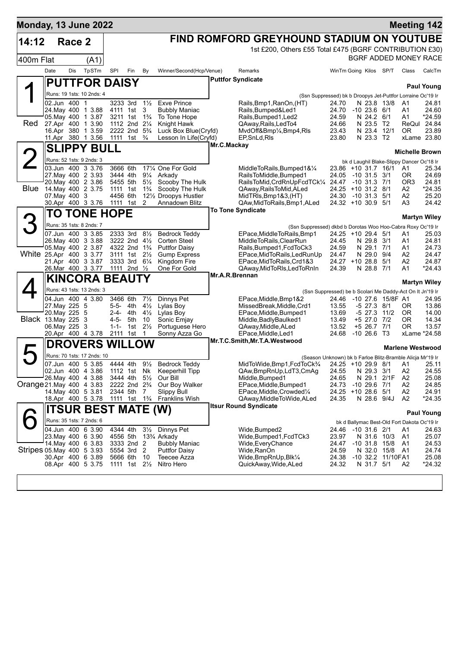| <b>Monday, 13 June 2022</b> |                                          |        |                                        |                   |                      |                                                         |                                                     |             |                                                                                         |                             |                                    |                     |                                             | <b>Meeting 142</b>      |
|-----------------------------|------------------------------------------|--------|----------------------------------------|-------------------|----------------------|---------------------------------------------------------|-----------------------------------------------------|-------------|-----------------------------------------------------------------------------------------|-----------------------------|------------------------------------|---------------------|---------------------------------------------|-------------------------|
| 14:12                       |                                          | Race 2 |                                        |                   |                      |                                                         |                                                     |             | FIND ROMFORD GREYHOUND STADIUM ON YOUTUBE                                               |                             |                                    |                     |                                             |                         |
|                             |                                          |        |                                        |                   |                      |                                                         |                                                     |             | 1st £200, Others £55 Total £475 (BGRF CONTRIBUTION £30)                                 |                             |                                    |                     |                                             |                         |
| 400m Flat                   |                                          |        | (A1)                                   |                   |                      |                                                         |                                                     |             |                                                                                         |                             |                                    |                     |                                             | BGRF ADDED MONEY RACE   |
|                             | Date                                     | Dis    | TpSTm                                  | SPI               | Fin                  | By                                                      | Winner/Second(Hcp/Venue)                            |             | Remarks                                                                                 | WinTm Going Kilos SP/T      |                                    |                     | Class                                       | CalcTm                  |
|                             |                                          |        | <b>PUTTFOR DAISY</b>                   |                   |                      |                                                         |                                                     |             | <b>Puttfor Syndicate</b>                                                                |                             |                                    |                     |                                             |                         |
|                             |                                          |        | Runs: 19 1sts: 10 2nds: 4              |                   |                      |                                                         |                                                     |             |                                                                                         |                             |                                    |                     |                                             | <b>Paul Young</b>       |
|                             | 02.Jun 400 1                             |        |                                        |                   | 3233 3rd             | $1\frac{1}{2}$                                          | <b>Exve Prince</b>                                  |             | (Ssn Suppressed) bk b Droopys Jet-Puttfor Lorraine Oc'19 Ir<br>Rails, Bmp1, RanOn, (HT) | 24.70                       | N 23.8 13/8                        |                     | A1                                          | 24.81                   |
|                             | 24 May 400 1 3.88                        |        |                                        |                   | 4111 1st             | 3                                                       | <b>Bubbly Maniac</b>                                |             | Rails, Bumped&Led1                                                                      | 24.70                       | $-10$ 23.6 6/1                     |                     | A1                                          | 24.60                   |
| Red                         | 05 May 400 1 3.87<br>27.Apr 400 1 3.90   |        |                                        |                   |                      | 3211 1st 1 <sup>3</sup> / <sub>4</sub><br>1112 2nd 21/4 | To Tone Hope<br>Knight Hawk                         |             | Rails, Bumped 1, Led 2<br>QAway, Rails, Led To4                                         | 24.59<br>24.66              | N 24.2 6/1<br>N 23.5 T2            |                     | A1<br>ReQul                                 | *24.59<br>24.84         |
|                             | 16.Apr 380 1 3.59                        |        |                                        |                   |                      | 2222 2nd 5 <sup>3</sup> / <sub>4</sub>                  | Luck Box Blue(Cryfd)                                |             | MvdOff&Bmp1/ <sub>4</sub> ,Bmp4,RIs                                                     | 23.43                       | N 23.4 12/1                        |                     | ΟR                                          | 23.89                   |
|                             | 11.Apr 380 1 3.56                        |        |                                        | 1111              | 1st                  | $\frac{3}{4}$                                           | Lesson In Life(Cryfd)                               |             | EP, SnLd, RIs                                                                           | 23.80                       | N 23.3 T2                          |                     |                                             | xLame 23.80             |
|                             |                                          |        | <b>SLIPPY BULL</b>                     |                   |                      |                                                         |                                                     | Mr.C.Mackay |                                                                                         |                             |                                    |                     |                                             | <b>Michelle Brown</b>   |
|                             |                                          |        | Runs: 52 1sts: 9 2nds: 3               |                   |                      |                                                         |                                                     |             |                                                                                         |                             |                                    |                     | bk d Laughil Blake-Slippy Dancer Oc'18 Ir   |                         |
|                             | 03.Jun 400 3 3.76                        |        |                                        |                   | 3666 6th             |                                                         | 171/4 One For Gold                                  |             | MiddleToRails, Bumped1&1/4                                                              |                             |                                    | 23.86 +10 31.7 16/1 | A1                                          | 25.34                   |
|                             | 27. May 400 2 3.93<br>20. May 400 2 3.86 |        |                                        |                   | 3444 4th<br>5455 5th | $9\frac{1}{4}$<br>$5\frac{1}{2}$                        | Arkady<br>Scooby The Hulk                           |             | RailsToMiddle, Bumped1<br>RailsToMid, CrdRnUpFcdTCk1/4 24.47                            | 24.05                       | $-10$ 31.5 3/1<br>$-10$ 31.3 $7/1$ |                     | OR.<br>OR <sub>3</sub>                      | 24.69<br>24.81          |
| Blue                        | 14. May 400 2 3.75                       |        |                                        |                   | 1111 1st             | $1\frac{3}{4}$                                          | Scooby The Hulk                                     |             | QAway, Rails To Mid, ALed                                                               | 24.25 +10 31.2 8/1          |                                    |                     | A2                                          | *24.35                  |
|                             | 07. May 400 3<br>30.Apr 400 3 3.76       |        |                                        |                   | 4456 6th<br>1111 1st | 2                                                       | 121/ <sub>2</sub> Droopys Hustler<br>Annadown Blitz |             | MidTRIs, Bmp1&3, (HT)<br>QAw, Mid To Rails, Bmp1, ALed                                  | 24.30<br>24.32 +10 30.9 5/1 | $-10$ 31.3 5/1                     |                     | A2<br>A3                                    | 25.20<br>24.42          |
|                             |                                          |        |                                        |                   |                      |                                                         |                                                     |             | <b>To Tone Syndicate</b>                                                                |                             |                                    |                     |                                             |                         |
|                             |                                          |        | <b>TO TONE HOPE</b>                    |                   |                      |                                                         |                                                     |             |                                                                                         |                             |                                    |                     |                                             | <b>Martyn Wiley</b>     |
|                             |                                          |        | Runs: 35 1sts: 8 2nds: 7               |                   |                      |                                                         |                                                     |             | (Ssn Suppressed) dkbd b Dorotas Woo Hoo-Cabra Roxy Oc'19 Ir                             |                             |                                    |                     |                                             |                         |
|                             | 07.Jun 400 3 3.85                        |        | 26. May 400 3 3.88                     |                   | 2333 3rd             | $8\frac{1}{2}$<br>3222 2nd 41/2                         | <b>Bedrock Teddy</b><br>Corten Steel                |             | EPace, MiddleToRails, Bmp1<br>MiddleToRails, ClearRun                                   | 24.25 +10 29.4 5/1<br>24.45 | N 29.8 3/1                         |                     | A1<br>A1                                    | 25.03<br>24.81          |
|                             | 05. May 400 2 3.87                       |        |                                        |                   |                      | 4322 2nd 1 <sup>3</sup> / <sub>4</sub>                  | <b>Puttfor Daisy</b>                                |             | Rails, Bumped1, FcdToCk3                                                                | 24.59                       | N 29.1 7/1                         |                     | A1                                          | 24.73                   |
| White 25.Apr 400 3 3.77     | 21.Apr 400 3 3.87                        |        |                                        |                   | 3333 3rd             | 3111 1st 21/ <sub>2</sub><br>$6\frac{1}{4}$             | <b>Gump Express</b><br>Kingdom Fire                 |             | EPace, MidToRails, LedRunUp<br>EPace, MidToRails, Crd1&3                                | 24.47<br>24.27 +10 28.8 5/1 | N 29.0 9/4                         |                     | A2<br>A2                                    | 24.47<br>24.87          |
|                             | 26.Mar 400 3 3.77                        |        |                                        | 1111              |                      | 2nd $\frac{1}{2}$                                       | One For Gold                                        |             | QAway, MidToRIs, LedToRnIn                                                              | 24.39                       | N 28.8 7/1                         |                     | A1                                          | *24.43                  |
|                             |                                          |        | <b>KINCORA BEAUTY</b>                  |                   |                      |                                                         |                                                     |             | Mr.A.R.Brennan                                                                          |                             |                                    |                     |                                             |                         |
|                             |                                          |        | Runs: 43 1sts: 13 2nds: 3              |                   |                      |                                                         |                                                     |             | (Ssn Suppressed) be b Scolari Me Daddy-Act On It Jn'19 Ir                               |                             |                                    |                     |                                             | <b>Martyn Wiley</b>     |
|                             |                                          |        | 04.Jun 400 4 3.80                      |                   | 3466 6th             | $7\frac{1}{2}$                                          | Dinnys Pet                                          |             | EPace, Middle, Bmp1&2                                                                   | 24.46                       |                                    | -10 27.6 15/8F A1   |                                             | 24.95                   |
|                             | 27.May 225 5                             |        |                                        | $5 - 5 -$         | 4th                  | $4\frac{1}{2}$                                          | Lylas Boy                                           |             | MissedBreak, Middle, Crd1                                                               | 13.55                       | $-5$ 27.3 $8/1$                    |                     | 0R                                          | 13.86                   |
| <b>Black</b> 13. May 225    | 20. May 225 5                            |        | 3                                      | $2 - 4 -$<br>4-5- | 4th<br>5th           | $4\frac{1}{2}$<br>10                                    | Lylas Boy<br>Sonic Emjay                            |             | EPace, Middle, Bumped 1<br>Middle, Badly Baulked 1                                      | 13.69<br>13.49              | $-5$ 27.3 11/2<br>+5 27.0 7/2      |                     | 0R<br>ΟR                                    | 14.00<br>14.34          |
|                             | 06. May 225                              |        | 3                                      | $1 - 1 -$         | 1st                  | $2\frac{1}{2}$                                          | Portuguese Hero                                     |             | QAway, Middle, ALed                                                                     | 13.52                       | +5 26.7 7/1                        |                     | ΟR                                          | 13.57                   |
|                             | 20.Apr 400 4 3.78                        |        |                                        |                   | 2111 1st             | 1                                                       | Sonny Azza Go                                       |             | EPace, Middle, Led1                                                                     | 24.68                       | $-10266$ T3                        |                     |                                             | xLame *24.58            |
|                             |                                          |        | <b>DROVERS WILLOW</b>                  |                   |                      |                                                         |                                                     |             | Mr.T.C.Smith, Mr.T.A. Westwood                                                          |                             |                                    |                     |                                             | <b>Marlene Westwood</b> |
|                             |                                          |        | Runs: 70 1sts: 17 2nds: 10             |                   |                      |                                                         |                                                     |             | (Season Unknown) bk b Farloe Blitz-Bramble Alicja Mr'19 Ir                              |                             |                                    |                     |                                             |                         |
|                             | 07.Jun 400 5 3.85                        |        |                                        |                   |                      |                                                         | 4444 4th 91/ <sub>2</sub> Bedrock Teddy             |             | MidToWide, Bmp1, FcdToCk3/4 24.25 +10 29.9 8/1 A1 25.11                                 |                             |                                    |                     |                                             |                         |
|                             | 02.Jun 400 4 3.86<br>26. May 400 4 3.88  |        |                                        |                   |                      | 3444 4th 5 <sup>1</sup> / <sub>2</sub>                  | 1112 1st Nk Keeperhill Tipp<br>Our Bill             |             | QAw,BmpRnUp,LdT3,CmAg<br>Middle, Bumped1                                                | 24.55<br>24.65              | N 29.3 3/1<br>N 29.1               | 2/1F                | A2<br>A2                                    | 24.55<br>25.08          |
| Orange 21. May 400 4 3.83   |                                          |        |                                        |                   |                      | 2222 2nd 2 <sup>3</sup> / <sub>4</sub>                  | Our Boy Walker                                      |             | EPace, Middle, Bumped 1                                                                 | 24.73                       | $-10$ 29.6 $7/1$                   |                     | A2                                          | 24.85                   |
|                             | 14 May 400 5 3.81                        |        |                                        |                   | 2344 5th 7           |                                                         | <b>Slippy Bull</b>                                  |             | EPace, Middle, Crowded 1/4                                                              | 24.25                       | $+1028.651$                        |                     | A2                                          | 24.91                   |
|                             |                                          |        | 18.Apr 400 5 3.78                      |                   |                      | 1111 1st 1 <sup>3</sup> / <sub>4</sub>                  | Franklins Wish                                      |             | QAway,MiddleToWide,ALed<br><b>Itsur Round Syndicate</b>                                 | 24.35                       | N 28.6 9/4J                        |                     | A2                                          | *24.35                  |
|                             |                                          |        | <b>ITSUR BEST MATE (W)</b>             |                   |                      |                                                         |                                                     |             |                                                                                         |                             |                                    |                     |                                             | <b>Paul Young</b>       |
|                             |                                          |        | Runs: 35 1sts: 7 2nds: 6               |                   |                      |                                                         |                                                     |             |                                                                                         |                             |                                    |                     | bk d Ballymac Best-Old Fort Dakota Oc'19 Ir |                         |
|                             |                                          |        | 04.Jun 400 6 3.90<br>23.May 400 6 3.90 |                   | 4344 4th<br>4556 5th | $3\frac{1}{2}$                                          | Dinnys Pet<br>13¾ Arkady                            |             | Wide, Bumped 2<br>Wide,Bumped1,FcdTCk3                                                  | 24.46<br>23.97              | -10 31.6 2/1<br>N 31.6 10/3        |                     | A1<br>A1                                    | 24.63<br>25.07          |
|                             | 14 May 400 6 3.83                        |        |                                        |                   | 3333 2nd 2           |                                                         | <b>Bubbly Maniac</b>                                |             | Wide, Every Chance                                                                      | 24.47                       | $-10$ 31.8 $15/8$                  |                     | A1                                          | 24.53                   |
| Stripes 05 May 400 5 3.93   |                                          |        |                                        |                   | 5554 3rd 2           |                                                         | <b>Puttfor Daisy</b>                                |             | Wide,RanOn                                                                              | 24.59                       |                                    | N 32.0 15/8         | - A1                                        | 24.74                   |
|                             | 30.Apr 400 6 3.89<br>08.Apr 400 5 3.75   |        |                                        |                   | 5666 6th             | 10<br>1111 1st $2\frac{1}{2}$                           | Teecee Azza<br>Nitro Hero                           |             | Wide, BmpRnUp, Blk1/4<br>QuickAway, Wide, ALed                                          | 24.38<br>24.32              | N 31.7 5/1                         | -10 32.2 11/10FA1   | A2                                          | 25.08<br>$*24.32$       |
|                             |                                          |        |                                        |                   |                      |                                                         |                                                     |             |                                                                                         |                             |                                    |                     |                                             |                         |
|                             |                                          |        |                                        |                   |                      |                                                         |                                                     |             |                                                                                         |                             |                                    |                     |                                             |                         |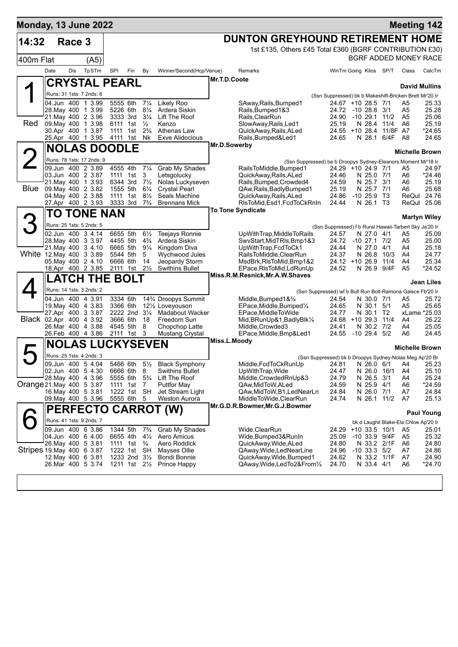| Monday, 13 June 2022      |                                          |        |                           |     |                           |                                  |                                                 |              |                                                                                        |                                                                              |                                      |      | <b>Meeting 142</b>                    |                   |
|---------------------------|------------------------------------------|--------|---------------------------|-----|---------------------------|----------------------------------|-------------------------------------------------|--------------|----------------------------------------------------------------------------------------|------------------------------------------------------------------------------|--------------------------------------|------|---------------------------------------|-------------------|
| 14:32                     |                                          | Race 3 |                           |     |                           |                                  |                                                 |              | <b>DUNTON GREYHOUND RETIREMENT HOME</b>                                                |                                                                              |                                      |      |                                       |                   |
|                           |                                          |        |                           |     |                           |                                  |                                                 |              | 1st £135, Others £45 Total £360 (BGRF CONTRIBUTION £30)                                |                                                                              |                                      |      |                                       |                   |
| 400m Flat                 |                                          |        | (A5)                      |     |                           |                                  |                                                 |              |                                                                                        |                                                                              |                                      |      | BGRF ADDED MONEY RACE                 |                   |
|                           | Date                                     | Dis    | TpSTm                     | SPI | Fin                       | By                               | Winner/Second(Hcp/Venue)                        |              | Remarks                                                                                | WinTm Going Kilos SP/T                                                       |                                      |      | Class                                 | CalcTm            |
|                           |                                          |        | <b>CRYSTAL PEARL</b>      |     |                           |                                  |                                                 | Mr.T.D.Coote |                                                                                        |                                                                              |                                      |      |                                       |                   |
|                           |                                          |        | Runs: 31 1sts: 7 2nds: 6  |     |                           |                                  |                                                 |              |                                                                                        |                                                                              |                                      |      | <b>David Mullins</b>                  |                   |
|                           | 04.Jun 400 1 3.99                        |        |                           |     | 5555 6th                  | $7\frac{1}{4}$                   | Likely Roo                                      |              | SAway, Rails, Bumped 1                                                                 | (Ssn Suppressed) bk b Makeshift-Bricken Brett Mr'20 Ir<br>24.67 +10 28.5 7/1 |                                      |      | A5                                    | 25.33             |
|                           | 28. May 400 1 3.99                       |        |                           |     | 5226 6th                  | $8\frac{1}{4}$                   | Ardera Siskin                                   |              | Rails, Bumped 1&3                                                                      | 24.72 -10 28.8 3/1                                                           |                                      |      | A5                                    | 25.28             |
|                           | 21. May 400 2 3.96                       |        |                           |     | 3333 3rd                  | $3\frac{1}{4}$                   | Lift The Roof                                   |              | Rails, ClearRun                                                                        | 24.90 -10 29.1 11/2                                                          |                                      |      | A <sub>5</sub>                        | 25.06             |
| Red                       | 09. May 400 1 3.98<br>30.Apr 400 1 3.87  |        |                           |     | 6111 1st<br>1111 1st      | $\frac{1}{2}$<br>$2\frac{3}{4}$  | Kenzo<br>Athenas Law                            |              | SlowAway, Rails, Led1<br>QuickAway, Rails, ALed                                        | 25.19<br>24.55 +10 28.4 11/8F A7                                             | N 28.4 11/4                          |      | A6                                    | 25.19<br>*24.65   |
|                           | 25.Apr 400 1 3.95                        |        |                           |     | 4111 1st                  | Nk                               | <b>Exve Alidocious</b>                          |              | Rails, Bumped&Led1                                                                     | 24.65                                                                        | N 28.1                               | 6/4F | - A8                                  | 24.65             |
|                           |                                          |        | <b>NOLAS DOODLE</b>       |     |                           |                                  |                                                 | Mr.D.Sowerby |                                                                                        |                                                                              |                                      |      |                                       |                   |
|                           |                                          |        | Runs: 78 1sts: 17 2nds: 9 |     |                           |                                  |                                                 |              |                                                                                        |                                                                              |                                      |      | <b>Michelle Brown</b>                 |                   |
|                           | 09.Jun 400 2 3.89                        |        |                           |     | 4555 4th                  | $7\frac{1}{4}$                   | Grab My Shades                                  |              | (Ssn Suppressed) be b Droopys Sydney-Eleanors Moment Mr'18 Ir<br>RailsToMiddle.Bumped1 | 24.29 +10 24.9 7/1                                                           |                                      |      | A5                                    | 24.97             |
|                           | 03.Jun 400 2 3.87                        |        |                           |     | 1111 1st                  | 3                                | Letsgolucky                                     |              | QuickAway, Rails, ALed                                                                 | 24.46                                                                        | N 25.0 7/1                           |      | A6                                    | *24.46            |
| <b>Blue</b>               | 21. May 400 1 3.93<br>09. May 400 2 3.82 |        |                           |     | 6344 3rd<br>1555 5th      | $7\frac{1}{2}$<br>$6\frac{1}{4}$ | Nolas Luckyseven<br><b>Crystal Pearl</b>        |              | Rails, Bumped, Crowded4<br>QAw, Rails, Badly Bumped 1                                  | 24.59<br>25.19                                                               | N 25.7 3/1<br>N 25.7 7/1             |      | A6<br>A6                              | 25.19<br>25.68    |
|                           | 04. May 400 2 3.88                       |        |                           |     | 1111 1st                  | $8\frac{1}{2}$                   | Seals Machine                                   |              | QuickAway, Rails, ALed                                                                 | 24.86                                                                        | $-10$ 25.9 T3                        |      |                                       | ReQul 24.76       |
|                           | 27.Apr 400 2 3.93                        |        |                           |     | 3333 3rd                  | $7\frac{3}{4}$                   | <b>Brennans Mick</b>                            |              | RIsToMid, Esd1, FcdToCkRnIn                                                            | 24.44                                                                        | N 26.1 T3                            |      |                                       | ReQul 25.06       |
|                           |                                          |        | TO TONE NAN               |     |                           |                                  |                                                 |              | <b>To Tone Syndicate</b>                                                               |                                                                              |                                      |      | <b>Martyn Wiley</b>                   |                   |
|                           |                                          |        | Runs: 25 1sts: 5 2nds: 5  |     |                           |                                  |                                                 |              |                                                                                        | (Ssn Suppressed) f b Rural Hawaii-Tarbert Sky Ja'20 Ir                       |                                      |      |                                       |                   |
|                           | 02.Jun 400 34.14                         |        |                           |     | 6655 5th                  | $6\frac{1}{2}$                   | <b>Teejays Ronnie</b>                           |              | UpWithTrap, MiddleToRails                                                              | 24.57                                                                        | N 27.0 4/1                           |      | A5                                    | 25.09             |
|                           | 28. May 400 3 3.97                       |        |                           |     | 4455 5th                  | $4\frac{3}{4}$                   | Ardera Siskin                                   |              | SwyStart, MidTRIs, Bmp1&3                                                              | 24.72 -10 27.1 7/2                                                           |                                      |      | A5                                    | 25.00             |
| White 12. May 400 3 3.89  | 21. May 400 3 4.10                       |        |                           |     | 6665 5th 91/4<br>5544 5th | 5                                | Kingdom Diva<br>Wychwood Jules                  |              | UpWithTrap,FcdToCk1<br>RailsToMiddle, ClearRun                                         | 24.44<br>24.37                                                               | N 27.0 4/1<br>N 26.8                 | 10/3 | A4<br>A4                              | 25.18<br>24.77    |
|                           | 05. May 400 2 4.10                       |        |                           |     | 6666 6th                  | 14                               | Jeopardy Storm                                  |              | MsdBrk, RIsToMid, Bmp1&2                                                               | $24.12 + 1026.9$                                                             |                                      | 11/4 | A4                                    | 25.34             |
|                           | 18.Apr 400 2 3.85                        |        |                           |     | 2111 1st 21/ <sub>2</sub> |                                  | <b>Swithins Bullet</b>                          |              | EPace, RIsToMid, LdRunUp<br>Miss.R.M.Resnick, Mr.A.W.Shaves                            | 24.52                                                                        | N 26.9 9/4F                          |      | A <sub>5</sub>                        | *24.52            |
|                           |                                          |        | <b>LATCH THE BOLT</b>     |     |                           |                                  |                                                 |              |                                                                                        |                                                                              |                                      |      |                                       | Jean Liles        |
|                           |                                          |        | Runs: 14 1sts: 3 2nds: 2  |     |                           |                                  |                                                 |              | (Ssn Suppressed) wf b Bull Run Bolt-Ramona Gaisce Fb'20 Ir                             |                                                                              |                                      |      |                                       |                   |
|                           | 04.Jun 400 4 3.91                        |        |                           |     | 3334 6th                  |                                  | 14% Droopys Summit                              |              | Middle, Bumped 1 & 3/4                                                                 | 24.54                                                                        | N 30.0 7/1                           |      | A5                                    | 25.72             |
|                           | 19. May 400 4 3.83<br>27.Apr 400 3 3.87  |        |                           |     | 3366 6th                  | 2222 2nd 31/4                    | 121/ <sub>2</sub> Loveyouson<br>Madabout Wacker |              | EPace, Middle, Bumped <sup>1/4</sup><br>EPace, Middle To Wide                          | 24.65<br>24.77                                                               | N 30.1 5/1<br>N 30.1                 | T2   | A5<br>xLame *25.03                    | 25.65             |
| Black 02.Apr 400 4 3.92   |                                          |        |                           |     | 3666 6th                  | -18                              | Freedom Sun                                     |              | Mid, BRunUp&1, BadlyBlk1/4                                                             | 24.68 +10 29.3 11/4                                                          |                                      |      | A4                                    | 26.22             |
|                           | 26.Mar 400 4 3.88<br>26.Feb 400 4 3.86   |        |                           |     | 4545 5th<br>2111 1st      | 8<br>3                           | Chopchop Latte                                  |              | Middle, Crowded3<br>EPace, Middle, Bmp&Led1                                            | 24.41<br>24.55 -10 29.4 5/2                                                  | N 30.2 7/2                           |      | A4<br>A6                              | 25.05<br>24.45    |
|                           |                                          |        |                           |     |                           |                                  | <b>Mustang Crystal</b>                          | Miss.L.Moody |                                                                                        |                                                                              |                                      |      |                                       |                   |
|                           |                                          |        | <b>NOLAS LUCKYSEVEN</b>   |     |                           |                                  |                                                 |              |                                                                                        |                                                                              |                                      |      | <b>Michelle Brown</b>                 |                   |
|                           |                                          |        | Runs: 25 1sts: 4 2nds: 3  |     |                           |                                  |                                                 |              |                                                                                        | (Ssn Suppressed) bk b Droopys Sydney-Nolas Meg Ap'20 Br                      |                                      |      |                                       |                   |
|                           | 09.Jun 400 5 4.04<br>02.Jun 400 5 4.30   |        |                           |     | 6666 6th 8                | 5466 6th 51/2                    | <b>Black Symphony</b><br>Swithins Bullet        |              | Middle, FcdToCkRunUp<br>UpWithTrap, Wide                                               | 24.81 N 26.0 6/1 A4<br>24.47                                                 | N 26.0 16/1                          |      | A4                                    | 25.23<br>25.10    |
|                           | 28. May 400 4 3.96                       |        |                           |     | 5555 6th                  | $5\frac{3}{4}$                   | Lift The Roof                                   |              | Middle, Crowded RnUp&3                                                                 | 24.79                                                                        | N 26.5                               | 3/1  | A4                                    | 25.24             |
| Orange 21 May 400 5 3.87  |                                          |        |                           |     | 1111 1st                  | 7                                | <b>Puttfor May</b>                              |              | QAw,MidToW,ALed                                                                        | 24.59                                                                        | N 25.9 4/1                           |      | A6                                    | $*24.59$          |
|                           | 16. May 400 5 3.81<br>09. May 400 5 3.96 |        |                           |     | 1222 1st SH<br>5555 6th 5 |                                  | Jet Stream Light<br>Weston Aurora               |              | QAw,MidToW,B1,LedNearLn<br>MiddleToWide,ClearRun                                       | 24.84<br>24.74                                                               | N 26.0 7/1<br>N 26.1 11/2            |      | A7<br>A7                              | 24.84<br>25.13    |
|                           |                                          |        |                           |     |                           |                                  | <b>PERFECTO CARROT (W)</b>                      |              | Mr.G.D.R.Bowmer, Mr.G.J.Bowmer                                                         |                                                                              |                                      |      |                                       |                   |
|                           |                                          |        |                           |     |                           |                                  |                                                 |              |                                                                                        |                                                                              |                                      |      |                                       | <b>Paul Young</b> |
|                           |                                          |        | Runs: 41 1sts: 9 2nds: 7  |     |                           |                                  |                                                 |              |                                                                                        |                                                                              |                                      |      | bk d Laughil Blake-Ela Chloe Ap'20 Ir |                   |
|                           | 09.Jun 400 63.86<br>04.Jun 400 6 4.00    |        |                           |     | 1344 5th<br>6655 4th      | $7\frac{3}{4}$<br>$4\frac{1}{4}$ | Grab My Shades<br>Aero Amicus                   |              | Wide,ClearRun<br>Wide,Bumped3&RunIn                                                    | 24.29<br>25.09                                                               | $+10$ 33.5 10/1<br>$-10$ 33.9 $9/4F$ |      | A5<br>A5                              | 25.01<br>25.32    |
|                           | 26. May 400 5 3.81                       |        |                           |     | 1111 1st $\frac{3}{4}$    |                                  | Aero Roddick                                    |              | QuickAway, Wide, ALed                                                                  | 24.80                                                                        | N 33.2 2/1F                          |      | A6                                    | 24.80             |
| Stripes 19 May 400 6 3.87 |                                          |        |                           |     | 1222 1st SH               |                                  | Mayses Ollie                                    |              | QAway, Wide, LedNearLine                                                               | 24.96                                                                        | $-10$ 33.3 $5/2$                     |      | A7                                    | 24.86             |
|                           | 12. May 400 6 3.81<br>26.Mar 400 5 3.74  |        |                           |     | 1233 2nd $3\frac{1}{2}$   | 1211 1st $2\frac{1}{2}$          | Bondi Bonnie<br>Prince Happy                    |              | QuickAway, Wide, Bumped1<br>QAway, Wide, Led To 2& From 1/2                            | 24.62<br>24.70                                                               | N 33.2 1/1F<br>N 33.4 4/1            |      | A7<br>A6                              | 24.90<br>*24.70   |
|                           |                                          |        |                           |     |                           |                                  |                                                 |              |                                                                                        |                                                                              |                                      |      |                                       |                   |
|                           |                                          |        |                           |     |                           |                                  |                                                 |              |                                                                                        |                                                                              |                                      |      |                                       |                   |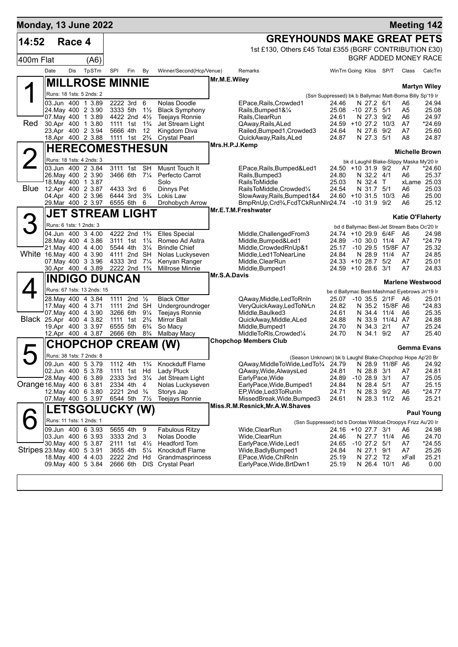| <b>Monday, 13 June 2022</b> |      |            |                                                 |                      |                                        |                                  |                                        |                |                                                                                     |                                    |                                 |                    | <b>Meeting 142</b>                                             |                      |
|-----------------------------|------|------------|-------------------------------------------------|----------------------|----------------------------------------|----------------------------------|----------------------------------------|----------------|-------------------------------------------------------------------------------------|------------------------------------|---------------------------------|--------------------|----------------------------------------------------------------|----------------------|
| 14:52                       |      | Race 4     |                                                 |                      |                                        |                                  |                                        |                | <b>GREYHOUNDS MAKE GREAT PETS</b>                                                   |                                    |                                 |                    |                                                                |                      |
|                             |      |            |                                                 |                      |                                        |                                  |                                        |                | 1st £130, Others £45 Total £355 (BGRF CONTRIBUTION £30)                             |                                    |                                 |                    |                                                                |                      |
| 400m Flat                   |      |            | (A6)                                            |                      |                                        |                                  |                                        |                |                                                                                     |                                    |                                 |                    | BGRF ADDED MONEY RACE                                          |                      |
|                             | Date | <b>Dis</b> | TpSTm                                           | SPI                  | Fin                                    | By                               | Winner/Second(Hcp/Venue)               |                | Remarks                                                                             | WinTm Going Kilos SP/T             |                                 |                    | Class                                                          | CalcTm               |
|                             |      |            | <b>MILLROSE MINNIE</b>                          |                      |                                        |                                  |                                        | Mr.M.E.Wiley   |                                                                                     |                                    |                                 |                    |                                                                |                      |
|                             |      |            | Runs: 18 1sts: 5 2nds: 2                        |                      |                                        |                                  |                                        |                |                                                                                     |                                    |                                 |                    |                                                                | <b>Martyn Wiley</b>  |
|                             |      |            | 03.Jun 400 1 3.89                               |                      | 2222 3rd                               | 6                                | Nolas Doodle                           |                | EPace, Rails, Crowded 1                                                             | 24.46                              | N 27.2 6/1                      |                    | (Ssn Suppressed) bk b Ballymac Matt-Borna Billy Sp'19 Ir<br>A6 | 24.94                |
|                             |      |            | 24. May 400 2 3.90                              |                      | 3333 5th                               | $1\frac{1}{2}$                   | <b>Black Symphony</b>                  |                | Rails, Bumped 1& 1/4                                                                | 25.08                              | $-10$ 27.5 $5/1$                |                    | A5                                                             | 25.08                |
| Red                         |      |            | 07 May 400 1 3.89                               | 1111 1st             | 4422 2nd 41/2                          |                                  | <b>Teejays Ronnie</b>                  |                | Rails, ClearRun<br>QAway, Rails, ALed                                               | 24.61<br>24.59 +10 27.2            | N 27.3 9/2                      | 10/3               | A6<br>A7                                                       | 24.97                |
|                             |      |            | 30.Apr 400 1 3.80<br>23.Apr 400 2 3.94          | 5666 4th             |                                        | $1\frac{3}{4}$<br>12             | Jet Stream Light<br>Kingdom Diva       |                | Railed, Bumped1, Crowded3                                                           | 24.64                              | N 27.6                          | 9/2                | A7                                                             | *24.69<br>25.60      |
|                             |      |            | 18.Apr 400 2 3.88                               | 1111 1st             |                                        | $2\frac{3}{4}$                   | <b>Crystal Pearl</b>                   |                | QuickAway, Rails, ALed                                                              | 24.87                              | N 27.3 5/1                      |                    | A8                                                             | 24.87                |
|                             |      |            | <b>HERECOMESTHESUN</b>                          |                      |                                        |                                  |                                        | Mrs.H.P.J.Kemp |                                                                                     |                                    |                                 |                    | <b>Michelle Brown</b>                                          |                      |
|                             |      |            | Runs: 18 1sts: 4 2nds: 3                        |                      |                                        |                                  |                                        |                |                                                                                     |                                    |                                 |                    | bk d Laughil Blake-Slippy Maska My'20 Ir                       |                      |
|                             |      |            | 03.Jun 400 2 3.84                               |                      | 3111 1st SH                            |                                  | Musnt Touch It                         |                | EPace, Rails, Bumped&Led1                                                           | 24.50 +10 31.9 9/2                 |                                 |                    | A7                                                             | *24.60               |
|                             |      |            | 26. May 400 2 3.90<br>18. May 400 1 3.87        |                      | 3466 6th 71/4                          |                                  | Perfecto Carrot<br>Solo                |                | Rails, Bumped3<br><b>RailsToMiddle</b>                                              | 24.80<br>25.03                     | N 32.2 4/1<br>N 32.4 T          |                    | A6                                                             | 25.37<br>xLame 25.03 |
| <b>Blue</b>                 |      |            | 12.Apr 400 2 3.87                               |                      | 4433 3rd 6                             |                                  | Dinnys Pet                             |                | RailsToMiddle, Crowded1/4                                                           | 24.54                              | N 31.7 5/1                      |                    | A6                                                             | 25.03                |
|                             |      |            | 04.Apr 400 2 3.96                               |                      | 6444 3rd 3 <sup>3</sup> / <sub>4</sub> |                                  | Lokis Law                              |                | SlowAway, Rails, Bumped 1&4                                                         | 24.60 +10 31.5 10/3                |                                 |                    | A6                                                             | 25.00                |
|                             |      |            | 29.Mar 400 2 3.97                               |                      | 6555 6th 6                             |                                  | Drohobych Arrow                        |                | BmpRnUp, Crd <sup>3</sup> / <sub>4</sub> , FcdTCkRunNIn24.74<br>Mr.E.T.M.Freshwater |                                    | $-10, 31.9, 9/2$                |                    | A6                                                             | 25.12                |
|                             |      |            | <b>JET STREAM LIGHT</b>                         |                      |                                        |                                  |                                        |                |                                                                                     |                                    |                                 |                    | <b>Katie O'Flaherty</b>                                        |                      |
|                             |      |            | Runs: 6 1sts: 1 2nds: 3                         |                      |                                        |                                  |                                        |                |                                                                                     |                                    |                                 |                    | bd d Ballymac Best-Jet Stream Babs Oc'20 Ir                    |                      |
|                             |      |            | 04.Jun 400 3 4.00                               |                      | 4222 2nd 1 <sup>3</sup> / <sub>4</sub> | $1\frac{1}{4}$                   | <b>Elles Special</b><br>Romeo Ad Astra |                | Middle, Challenged From 3<br>Middle, Bumped&Led1                                    | 24.74 +10 29.9 6/4F<br>24.89       |                                 |                    | A6<br>A7                                                       | 24.98                |
|                             |      |            | 28. May 400 4 3.86<br>21. May 400 4 4.00        | 3111 1st<br>5544 4th |                                        | $3\frac{1}{4}$                   | <b>Brindle Chief</b>                   |                | Middle, Crowded RnUp&1                                                              | 25.17                              | $-10,30.0,11/4$<br>$-10, 29.5$  | 15/8F A7           |                                                                | *24.79<br>25.32      |
| White 16.May 400 4 3.90     |      |            |                                                 |                      | 4111 2nd SH                            |                                  | Nolas Luckyseven                       |                | Middle, Led1ToNearLine                                                              | 24.84                              | N 28.9                          | 11/4               | A7                                                             | 24.85                |
|                             |      |            | 07. May 400 3 3.96<br>30.Apr 400 4 3.89         | 4333 3rd             | 2222 2nd 1 <sup>3</sup> / <sub>4</sub> | $7\frac{1}{4}$                   | Kenyan Ranger<br>Millrose Minnie       |                | Middle, ClearRun<br>Middle, Bumped1                                                 | 24.33 +10 28.7<br>$24.59 + 10.286$ |                                 | 5/2<br>3/1         | A7<br>A7                                                       | 25.01<br>24.83       |
|                             |      |            | <b>INDIGO DUNCAN</b>                            |                      |                                        |                                  |                                        | Mr.S.A.Davis   |                                                                                     |                                    |                                 |                    |                                                                |                      |
|                             |      |            |                                                 |                      |                                        |                                  |                                        |                |                                                                                     |                                    |                                 |                    | <b>Marlene Westwood</b>                                        |                      |
|                             |      |            | Runs: 67 1sts: 13 2nds: 15<br>28.May 400 4 3.84 | 1111                 | 2nd $\frac{1}{2}$                      |                                  | <b>Black Otter</b>                     |                | QAway,Middle,LedToRnIn                                                              | 25.07                              |                                 | $-10$ 35.5 2/1F A6 | be d Ballymac Best-Mashmad Eyebrows Jn'19 Ir                   | 25.01                |
|                             |      |            | 17 May 400 4 3.71                               |                      | 1111 2nd SH                            |                                  | Undergroundroger                       |                | VeryQuickAway,LedToNrLn                                                             | 24.82                              |                                 | N 35.2 15/8F A6    |                                                                | *24.83               |
|                             |      |            | 07. May 400 4 3.90                              | 3266 6th             |                                        | $9\frac{1}{4}$                   | <b>Teejays Ronnie</b>                  |                | Middle, Baulked 3                                                                   | 24.61                              | N 34.4 11/4                     |                    | A6                                                             | 25.35                |
|                             |      |            | Black 25.Apr 400 4 3.82<br>19.Apr 400 3 3.97    | 1111 1st<br>6555 5th |                                        | $2\frac{3}{4}$<br>$6\frac{3}{4}$ | Mirror Ball<br>So Macy                 |                | QuickAway,Middle,ALed<br>Middle, Bumped1                                            | 24.88<br>24.70                     | N 34.3 2/1                      | N 33.9 11/4J A7    | A7                                                             | 24.88<br>25.24       |
|                             |      |            | 12.Apr 400 4 3.87                               | 2666 6th             |                                        | $8\frac{3}{4}$                   | Malbay Macy                            |                | MiddleToRIs, Crowded1/4                                                             | 24.70                              | N 34.1                          | 9/2                | A7                                                             | 25.40                |
|                             |      |            |                                                 |                      |                                        |                                  | <b>CHOPCHOP CREAM (W)</b>              |                | <b>Chopchop Members Club</b>                                                        |                                    |                                 |                    | Gemma Evans                                                    |                      |
|                             |      |            | Runs: 38 1sts: 7 2nds: 8                        |                      |                                        |                                  |                                        |                | (Season Unknown) bk b Laughil Blake-Chopchop Hope Ap'20 Br                          |                                    |                                 |                    |                                                                |                      |
|                             |      |            | 09.Jun 400 5 3.79                               | 1112 4th             |                                        | $1\frac{3}{4}$                   | Knockduff Flame                        |                | QAway, Middle To Wide, Led To 3/4 24.79    N 28.9 11/8F A6   24.92                  |                                    |                                 |                    |                                                                |                      |
|                             |      |            | 02.Jun 400 5 3.78                               |                      | 1111 1st Hd                            |                                  | Lady Pluck                             |                | QAway, Wide, Always Led                                                             | 24.81                              | N 28.8 3/1                      |                    | A7                                                             | 24.81                |
| Orange 16. May 400 6 3.81   |      |            | 28. May 400 6 3.89                              |                      | 2333 3rd 31/4<br>2334 4th              | -4                               | Jet Stream Light<br>Nolas Luckyseven   |                | EarlyPace, Wide<br>EarlyPace, Wide, Bumped 1                                        | 24.89<br>24.84                     | $-1028.93/1$<br>N 28.4 5/1      |                    | A7<br>A7                                                       | 25.05<br>25.15       |
|                             |      |            | 12. May 400 6 3.80                              |                      | 2221 2nd <sup>3</sup> / <sub>4</sub>   |                                  | Storys Jap                             |                | EP, Wide, Led 3 To Run In                                                           | 24.71                              | N 28.3 9/2                      |                    | A6                                                             | *24.77               |
|                             |      |            | 07. May 400 5 3.97                              |                      | 6544 5th 71/2                          |                                  | Teejays Ronnie                         |                | MissedBreak, Wide, Bumped3                                                          | 24.61                              | N 28.3 11/2                     |                    | A6                                                             | 25.21                |
|                             |      |            | <b>LETSGOLUCKY (W)</b>                          |                      |                                        |                                  |                                        |                | Miss.R.M.Resnick, Mr.A.W.Shaves                                                     |                                    |                                 |                    |                                                                | <b>Paul Young</b>    |
|                             |      |            | Runs: 11 1sts: 1 2nds: 1                        |                      |                                        |                                  |                                        |                | (Ssn Suppressed) bd b Dorotas Wildcat-Droopys Frizz Au'20 Ir                        |                                    |                                 |                    |                                                                |                      |
|                             |      |            | 09.Jun 400 6 3.93                               |                      | 5655 4th 9                             |                                  | <b>Fabulous Ritzy</b>                  |                | Wide,ClearRun                                                                       | 24.16 +10 27.7 3/1                 |                                 |                    | A6                                                             | 24.98                |
|                             |      |            | 03 Jun 400 6 3.93<br>30. May 400 5 3.87         |                      | 3333 2nd 3<br>2111 1st $4\frac{1}{2}$  |                                  | Nolas Doodle<br><b>Headford Tom</b>    |                | Wide,ClearRun<br>EarlyPace,Wide,Led1                                                | 24.46<br>24.65                     | N 27.7 11/4<br>$-10$ 27.2 $5/1$ |                    | A6<br>A7                                                       | 24.70<br>*24.55      |
| Stripes 23 May 400 5 3.91   |      |            |                                                 |                      | 3655 4th                               | $5\frac{1}{4}$                   | Knockduff Flame                        |                | Wide,BadlyBumped1                                                                   | 24.84                              | N 27.1 9/1                      |                    | A7                                                             | 25.26                |
|                             |      |            | 18. May 400 4 4.03                              |                      | 2222 2nd Hd                            |                                  | Grandmasprincess                       |                | EPace, Wide, ChlRnIn                                                                | 25.19                              | N 27.2 T2                       |                    | xFall                                                          | 25.21                |
|                             |      |            | 09 May 400 5 3.84                               |                      |                                        |                                  | 2666 6th DIS Crystal Pearl             |                | EarlyPace, Wide, BrtDwn1                                                            | 25.19                              | N 26.4 10/1                     |                    | A6                                                             | 0.00                 |
|                             |      |            |                                                 |                      |                                        |                                  |                                        |                |                                                                                     |                                    |                                 |                    |                                                                |                      |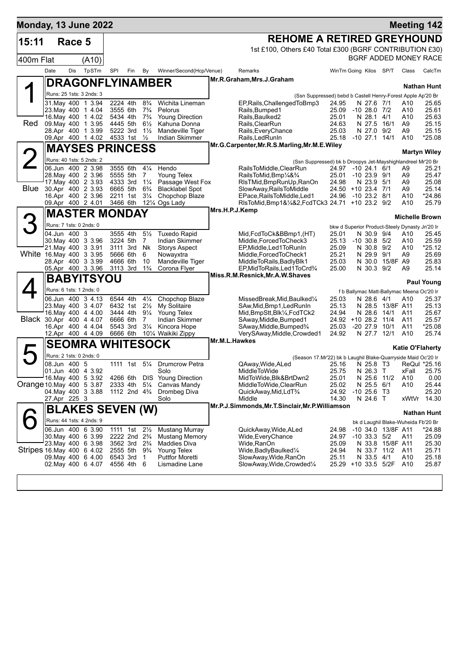| Monday, 13 June 2022      |              |              |                                          |     |                                                                     |                                  |                                            |                                                                                              |                              |                                |                                 |            | <b>Meeting 142</b>                             |
|---------------------------|--------------|--------------|------------------------------------------|-----|---------------------------------------------------------------------|----------------------------------|--------------------------------------------|----------------------------------------------------------------------------------------------|------------------------------|--------------------------------|---------------------------------|------------|------------------------------------------------|
| 15:11                     |              | Race 5       |                                          |     |                                                                     |                                  |                                            | <b>REHOME A RETIRED GREYHOUND</b>                                                            |                              |                                |                                 |            |                                                |
|                           |              |              |                                          |     |                                                                     |                                  |                                            | 1st £100, Others £40 Total £300 (BGRF CONTRIBUTION £30)                                      |                              |                                |                                 |            |                                                |
| 400m Flat                 |              |              | (A10)                                    |     |                                                                     |                                  |                                            |                                                                                              |                              |                                |                                 |            | BGRF ADDED MONEY RACE                          |
|                           | Date         | Dis          | TpSTm                                    | SPI | Fin                                                                 | By                               | Winner/Second(Hcp/Venue)                   | Remarks                                                                                      | WinTm Going Kilos SP/T       |                                |                                 | Class      | CalcTm                                         |
|                           |              |              | <b>DRAGONFLYINAMBER</b>                  |     |                                                                     |                                  |                                            | Mr.R.Graham, Mrs.J.Graham                                                                    |                              |                                |                                 |            |                                                |
|                           |              |              | Runs: 25 1sts: 3 2nds: 3                 |     |                                                                     |                                  |                                            |                                                                                              |                              |                                |                                 |            | <b>Nathan Hunt</b>                             |
|                           |              |              | 31 May 400 1 3.94                        |     | 2224 4th                                                            | $8\frac{3}{4}$                   | Wichita Lineman                            | (Ssn Suppressed) bebd b Castell Henry-Forest Apple Ap'20 Br<br>EP, Rails, Challenged To Bmp3 | 24.95                        | N 27.6 7/1                     |                                 | A10        | 25.65                                          |
|                           |              |              | 23. May 400 1 4.04                       |     | 3555 6th                                                            | $7\frac{3}{4}$                   | Pelorus                                    | Rails, Bumped1                                                                               | 25.09                        | $-1028.0772$                   |                                 | A10        | 25.61                                          |
| Red                       |              |              | 16. May 400 1 4.02<br>09. May 400 1 3.95 |     | 5434 4th<br>4445 5th                                                | $7\frac{3}{4}$<br>$6\frac{1}{2}$ | <b>Young Direction</b><br>Kahuna Donna     | Rails, Baulked2<br>Rails, ClearRun                                                           | 25.01<br>24.63               | N 28.1                         | 4/1<br>N 27.5 16/1              | A10<br>A9  | 25.63<br>25.15                                 |
|                           |              |              | 28.Apr 400 1 3.99                        |     | 5222 3rd                                                            | $1\frac{1}{2}$                   | Mandeville Tiger                           | Rails, Every Chance                                                                          | 25.03                        | N 27.0 9/2                     |                                 | A9         | 25.15                                          |
|                           |              |              | 09.Apr 400 1 4.02 4533 1st               |     |                                                                     | $\frac{1}{2}$                    | Indian Skimmer                             | Rails, Led RunIn                                                                             | 25.18 -10 27.1 14/1          |                                |                                 | A10        | *25.08                                         |
|                           |              |              | <b>MAYSES PRINCESS</b>                   |     |                                                                     |                                  |                                            | Mr.G.Carpenter, Mr.R.S.Marling, Mr.M.E.Wiley                                                 |                              |                                |                                 |            | <b>Martyn Wiley</b>                            |
|                           |              |              | Runs: 40 1sts: 5 2nds: 2                 |     |                                                                     |                                  |                                            | (Ssn Suppressed) bk b Droopys Jet-Mayshighlandreel Mr'20 Br                                  |                              |                                |                                 |            |                                                |
|                           |              |              | 06.Jun 400 2 3.98                        |     | 3555 6th                                                            | $4\frac{1}{4}$                   | Hendo                                      | RailsToMiddle,ClearRun                                                                       | 24.97 -10 24.1 6/1           |                                |                                 | A9         | 25.21                                          |
|                           |              |              | 28. May 400 2 3.96                       |     | 5555 5th                                                            | 7                                | Young Telex                                | RailsToMid, Bmp <sup>1</sup> /4& <sup>3</sup> /4                                             | 25.01                        | $-10$ 23.9 $9/1$               |                                 | A9         | 25.47                                          |
| <b>Blue</b>               |              |              | 17. May 400 2 3.93<br>30.Apr 400 2 3.93  |     | 4333 3rd<br>6665 5th                                                | $1\frac{1}{4}$<br>$6\frac{3}{4}$ | Passage West Fox<br><b>Blacklabel Spot</b> | RIsTMid, BmpRunUp, RanOn<br>SlowAway, RailsToMiddle                                          | 24.98<br>24.50 +10 23.4 7/1  | N 23.9 5/1                     |                                 | A9<br>A9   | 25.08<br>25.14                                 |
|                           |              |              | 16.Apr 400 2 3.96                        |     | 2211 1st                                                            | $3\frac{1}{4}$                   | Chopchop Blaze                             | EPace, Rails To Middle, Led1                                                                 | 24.96                        | $-10$ 23.2 $8/1$               |                                 | A10        | $*24.86$                                       |
|                           |              |              | 09.Apr 400 2 4.01                        |     | 3466 6th                                                            |                                  | 12¼ Ogs Lady                               | RIsToMid, Bmp1&1/4&2, FcdTCk3 24.71 +10 23.2 9/2                                             |                              |                                |                                 | A10        | 25.79                                          |
|                           |              |              | <b>MASTER MONDAY</b>                     |     |                                                                     |                                  |                                            | Mrs.H.P.J.Kemp                                                                               |                              |                                |                                 |            | <b>Michelle Brown</b>                          |
|                           |              |              | Runs: 7 1sts: 0 2nds: 0                  |     |                                                                     |                                  |                                            |                                                                                              |                              |                                |                                 |            | bkw d Superior Product-Steely Dynasty Jn'20 Ir |
|                           |              | 04.Jun 400 3 |                                          |     | 3555 4th                                                            | $5\frac{1}{2}$                   | <b>Tuxedo Rapid</b>                        | (HT), Mid,FcdToCk&BBmp1                                                                      | 25.01                        | N 30.9 9/4                     |                                 | A10        | 25.45                                          |
|                           |              |              | 30. May 400 3 3.96<br>21. May 400 3 3.91 |     | 3224 5th<br>3111 3rd                                                | $\overline{7}$<br>Nk             | Indian Skimmer<br><b>Storys Aspect</b>     | Middle, Forced To Check3<br>EP, Middle, Led 1 To Run In                                      | 25.13<br>25.09               | $-10$ 30.8 $5/2$<br>N 30.8 9/2 |                                 | A10<br>A10 | 25.59<br>$*25.12$                              |
| White 16 May 400 3 3.95   |              |              |                                          |     | 5666 6th                                                            | 6                                | Nowayxtra                                  | Middle, Forced To Check1                                                                     | 25.21                        | N 29.9 9/1                     |                                 | A9         | 25.69                                          |
|                           |              |              | 28.Apr 400 3 3.99                        |     | 4666 6th                                                            | 10                               | Mandeville Tiger                           | MiddleToRails,BadlyBlk1                                                                      | 25.03                        |                                | N 30.0 15/8F A9                 |            | 25.83                                          |
|                           |              |              | 05.Apr 400 3 3.96                        |     | 3113 3rd                                                            | $1\frac{3}{4}$                   | Corona Flyer                               | EP, MidToRails, Led1ToCrd3/4<br>Miss.R.M.Resnick,Mr.A.W.Shaves                               | 25.00                        | N 30.3 9/2                     |                                 | A9         | 25.14                                          |
|                           |              |              | <b>BABYITSYOU</b>                        |     |                                                                     |                                  |                                            |                                                                                              |                              |                                |                                 |            | <b>Paul Young</b>                              |
|                           |              |              | Runs: 6 1sts: 1 2nds: 0                  |     |                                                                     |                                  |                                            |                                                                                              |                              |                                |                                 |            | f b Ballymac Matt-Ballymac Meena Oc'20 Ir      |
|                           |              |              | 06.Jun 400 3 4.13                        |     | 6544 4th                                                            | $4\frac{1}{4}$                   | Chopchop Blaze                             | MissedBreak,Mid,Baulked¼                                                                     | 25.03                        | N 28.6 4/1                     |                                 | A10        | 25.37                                          |
|                           |              |              | 23. May 400 3 4.07<br>16. May 400 4 4.00 |     | 6432 1st<br>3444 4th                                                | $2\frac{1}{2}$<br>$9\frac{1}{4}$ | My Solitaire<br>Young Telex                | SAw, Mid, Bmp1, Led Run In<br>Mid, BmpStt, Blk1/4, FcdTCk2                                   | 25.13<br>24.94               |                                | N 28.5 13/8F A11<br>N 28.6 14/1 | A11        | 25.13<br>25.67                                 |
| Black 30.Apr 400 4 4.07   |              |              |                                          |     | 6666 6th                                                            | 7                                | Indian Skimmer                             | SAway, Middle, Bumped1                                                                       | 24.92 +10 28.2 11/4          |                                |                                 | A11        | 25.57                                          |
|                           |              |              | 16.Apr 400 4 4.04                        |     | 5543 3rd                                                            | $3\frac{1}{4}$                   | Kincora Hope                               | SAway, Middle, Bumped <sup>3</sup> /4                                                        | 25.03                        | -20 27.9 10/1                  |                                 | A11        | *25.08                                         |
|                           |              |              | 12.Apr 400 4 4.09                        |     | 6666 6th                                                            |                                  | 101/4 Waikiki Zippy                        | VerySAway, Middle, Crowded1<br>Mr.M.L.Hawkes                                                 | 24.92                        | N 27.7                         | 12/1                            | A10        | 25.74                                          |
|                           |              |              | <b>SEOMRA WHITESOCK</b>                  |     |                                                                     |                                  |                                            |                                                                                              |                              |                                |                                 |            | <b>Katie O'Flaherty</b>                        |
|                           |              |              | Runs: 2 1sts: 0 2nds: 0                  |     |                                                                     |                                  |                                            | (Season 17.Mr'22) bk b Laughil Blake-Quarryside Maid Oc'20 Ir                                |                              |                                |                                 |            |                                                |
|                           | 08.Jun 400 5 |              | 01.Jun 400 4 3.92                        |     | 1111 1st                                                            | $5\frac{1}{4}$                   | <b>Drumcrow Petra</b><br>Solo              | QAway, Wide, ALed<br>MiddleToWide                                                            | 25.16<br>25.75               | N 26.3 T                       |                                 | xFall      | N 25.8 T3 ReQul *25.16<br>25.75                |
|                           |              | 16. May 400  | 5 3.92                                   |     | 4266 6th                                                            | DIS.                             | <b>Young Direction</b>                     | MidToWide,Blk&BrtDwn2                                                                        | 25.01                        | N 25.6 11/2                    |                                 | A10        | 0.00                                           |
| Orange 10 May 400 5 3.87  |              |              |                                          |     | 2333 4th                                                            | $5\frac{1}{4}$                   | Canvas Mandy                               | MiddleToWide,ClearRun                                                                        | 25.02                        | N 25.5 6/1                     |                                 | A10        | 25.44                                          |
|                           |              |              | 04 May 400 3 3.88                        |     | 1112 2nd 4 <sup>3</sup> / <sub>4</sub>                              |                                  | Drombeg Diva<br>Solo                       | QuickAway,Mid,LdT <sup>3</sup> /4<br>Middle                                                  | 24.92<br>14.30               | $-10$ 25.6 T3<br>N 24.6 T      |                                 | xWtVr      | 25.20<br>14.30                                 |
|                           |              | 27.Apr 225 3 |                                          |     |                                                                     |                                  |                                            | Mr.P.J.Simmonds, Mr.T.Sinclair, Mr.P.Williamson                                              |                              |                                |                                 |            |                                                |
|                           |              |              | <b>BLAKES SEVEN (W)</b>                  |     |                                                                     |                                  |                                            |                                                                                              |                              |                                |                                 |            | Nathan Hunt                                    |
|                           |              |              | Runs: 44 1sts: 4 2nds: 9                 |     |                                                                     |                                  |                                            |                                                                                              |                              |                                |                                 |            | bk d Laughil Blake-Wuheida Fb'20 Br            |
|                           |              |              | 06.Jun 400 6 3.90<br>30. May 400 6 3.99  |     | 1111 1st 21/ <sub>2</sub><br>2222 2nd 2 <sup>3</sup> / <sub>4</sub> |                                  | Mustang Murray<br>Mustang Memory           | QuickAway,Wide,ALed<br>Wide,EveryChance                                                      | 24.98<br>24.97               | $-10$ 33.3 $5/2$               | -10 34.0 13/8F A11              | A11        | *24.88<br>25.09                                |
|                           |              |              | 23. May 400 6 3.98                       |     | 3562 3rd 2 <sup>3</sup> / <sub>4</sub>                              |                                  | <b>Maddies Diva</b>                        | Wide,RanOn                                                                                   | 25.09                        |                                | N 33.8 15/8F A11                |            | 25.30                                          |
| Stripes 16 May 400 6 4.02 |              |              |                                          |     | 2555 5th                                                            | $9\frac{3}{4}$                   | Young Telex                                | Wide, Badly Baulked <sup>1/4</sup>                                                           | 24.94                        |                                | N 33.7 11/2                     | A11        | 25.71                                          |
|                           |              |              | 09. May 400 6 4.00<br>02. May 400 6 4.07 |     | 6543 3rd<br>4556 4th                                                | 1<br>6                           | <b>Puttfor Moretti</b><br>Lismadine Lane   | SlowAway, Wide, RanOn                                                                        | 25.11<br>25.29 +10 33.5 5/2F | N 33.5 4/1                     |                                 | A10<br>A10 | 25.18<br>25.87                                 |
|                           |              |              |                                          |     |                                                                     |                                  |                                            | SlowAway, Wide, Crowded <sup>1</sup> / <sub>4</sub>                                          |                              |                                |                                 |            |                                                |
|                           |              |              |                                          |     |                                                                     |                                  |                                            |                                                                                              |                              |                                |                                 |            |                                                |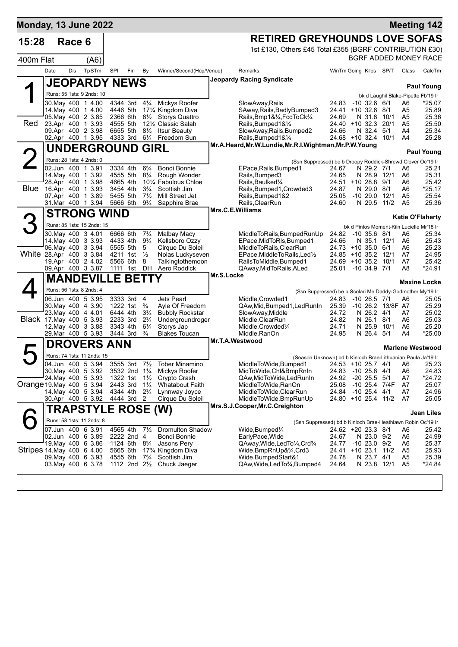| <b>Monday, 13 June 2022</b> |                                          |        |                                        |                      |                                                      |                                 |                                                               |            |                                                                 |                |                                             |                    |                | <b>Meeting 142</b>                        |
|-----------------------------|------------------------------------------|--------|----------------------------------------|----------------------|------------------------------------------------------|---------------------------------|---------------------------------------------------------------|------------|-----------------------------------------------------------------|----------------|---------------------------------------------|--------------------|----------------|-------------------------------------------|
| 15:28                       |                                          | Race 6 |                                        |                      |                                                      |                                 |                                                               |            | <b>RETIRED GREYHOUNDS LOVE SOFAS</b>                            |                |                                             |                    |                |                                           |
|                             |                                          |        |                                        |                      |                                                      |                                 |                                                               |            | 1st £130, Others £45 Total £355 (BGRF CONTRIBUTION £30)         |                |                                             |                    |                |                                           |
| 400m Flat                   |                                          |        | (A6)                                   |                      |                                                      |                                 |                                                               |            |                                                                 |                |                                             |                    |                | BGRF ADDED MONEY RACE                     |
|                             | Date                                     | Dis    | TpSTm                                  | SPI                  | Fin                                                  | By                              | Winner/Second(Hcp/Venue)                                      |            | Remarks                                                         |                | WinTm Going Kilos SP/T                      |                    | Class          | CalcTm                                    |
|                             |                                          |        | <b>JEOPARDY NEWS</b>                   |                      |                                                      |                                 |                                                               |            | Jeopardy Racing Syndicate                                       |                |                                             |                    |                | <b>Paul Young</b>                         |
|                             |                                          |        | Runs: 55 1sts: 9 2nds: 10              |                      |                                                      |                                 |                                                               |            |                                                                 |                |                                             |                    |                | bk d Laughil Blake-Pipette Fb'19 Ir       |
|                             | 30. May 400 1 4.00                       |        |                                        |                      | 4344 3rd 41/4                                        |                                 | Mickys Roofer                                                 |            | SlowAway, Rails                                                 |                | 24.83 -10 32.6 6/1                          |                    | A6             | *25.07                                    |
|                             | 05. May 400 2 3.85                       |        | 14. May 400 1 4.00                     | 4446 5th<br>2366 6th |                                                      | $8\frac{1}{2}$                  | 171/4 Kingdom Diva<br>Storys Quattro                          |            | SAway, Rails, Badly Bumped 3<br>Rails, Bmp1&1/4, FcdToCk3/4     | 24.69          | 24.41 +10 32.6 8/1<br>N 31.8                | 10/1               | A5<br>A5       | 25.89<br>25.36                            |
| Red                         | 23.Apr 400 1 3.93                        |        |                                        | 4555 5th             |                                                      |                                 | 121/2 Classic Salah                                           |            | Rails, Bumped 1& 1/4                                            |                | 24.40 +10 32.3 20/1                         |                    | A5             | 25.50                                     |
|                             | 09.Apr 400 2 3.98                        |        |                                        | 6655 5th             |                                                      | $8\frac{1}{2}$                  | Itsur Beauty                                                  |            | SlowAway, Rails, Bumped2                                        | 24.66          | N 32.4                                      | 5/1                | A4             | 25.34                                     |
|                             |                                          |        | 02.Apr 400 1 3.95                      | 4333 3rd             |                                                      | $6\frac{1}{4}$                  | Freedom Sun                                                   |            | Rails, Bumped 1& 1/4                                            |                | 24.68 +10 32.4 10/1                         |                    | A4             | 25.28                                     |
|                             |                                          |        | UNDERGROUND GIRL                       |                      |                                                      |                                 |                                                               |            | Mr.A.Heard, Mr.W.Lundie, Mr.R.I.Wightman, Mr.P.W.Young          |                |                                             |                    |                | <b>Paul Young</b>                         |
|                             |                                          |        | Runs: 28 1sts: 4 2nds: 0               |                      |                                                      |                                 |                                                               |            | (Ssn Suppressed) be b Droopy Roddick-Shrewd Clover Oc'19 Ir     |                |                                             |                    |                |                                           |
|                             | 02.Jun 400 1 3.91                        |        |                                        | 3334 4th             |                                                      | $6\frac{3}{4}$                  | <b>Bondi Bonnie</b>                                           |            | EPace, Rails, Bumped1                                           | 24.67          | N 29.2 7/1                                  |                    | A6             | 25.21                                     |
|                             | 28.Apr 400 1 3.98                        |        | 14. May 400 1 3.92                     | 4555 5th<br>4665 4th |                                                      | $8\frac{1}{4}$                  | Rough Wonder<br>10 <sup>1</sup> / <sub>4</sub> Fabulous Chloe |            | Rails, Bumped3<br>Rails, Baulked <sup>1/4</sup>                 | 24.65          | $24.51 + 10.28.8$                           | N 28.9 12/1<br>9/1 | A6<br>A6       | 25.31<br>25.42                            |
| <b>Blue</b>                 | 16.Apr 400 1 3.93                        |        |                                        | 3454 4th             |                                                      | $3\frac{3}{4}$                  | Scottish Jim                                                  |            | Rails, Bumped 1, Crowded 3                                      | 24.87          |                                             | N 29.0 8/1         | A6             | *25.17                                    |
|                             | 07.Apr 400 1 3.89                        |        |                                        | 5455 5th             |                                                      | $7\frac{1}{2}$                  | Mill Street Jet                                               |            | Rails, Bumped 1&2                                               | 25.05          | $-1029.012/1$                               |                    | A <sub>5</sub> | 25.54                                     |
|                             |                                          |        | 31. Mar 400 1 3.94                     | 5666 6th             |                                                      | $9\frac{3}{4}$                  | Sapphire Brae                                                 |            | Rails, ClearRun<br>Mrs.C.E.Williams                             | 24.60          | N 29.5                                      | 11/2               | A <sub>5</sub> | 25.36                                     |
|                             |                                          |        | <b>STRONG WIND</b>                     |                      |                                                      |                                 |                                                               |            |                                                                 |                |                                             |                    |                | <b>Katie O'Flaherty</b>                   |
| 3                           |                                          |        | Runs: 85 1sts: 15 2nds: 15             |                      |                                                      |                                 |                                                               |            |                                                                 |                |                                             |                    |                | bk d Pintos Moment-Kiln Lucielle Mr'18 Ir |
|                             | 30. May 400 3 4.01                       |        |                                        | 6666 6th             |                                                      | $7\frac{3}{4}$                  | <b>Malbay Macy</b>                                            |            | MiddleToRails, BumpedRunUp                                      | 24.82          | -10 35.6 8/1                                |                    | A6             | 25.34                                     |
|                             | 06. May 400 3 3.94                       |        | 14 May 400 3 3.93                      | 4433 4th             | 5555 5th                                             | $9\frac{3}{4}$<br>5             | Kellsboro Ozzy<br>Cirque Du Soleil                            |            | EPace, MidToRIs, Bumped1<br>MiddleToRails, ClearRun             | 24.66          | 24.73 +10 35.0 6/1                          | N 35.1 12/1        | A6<br>A6       | 25.43<br>25.23                            |
| White 28.Apr 400 3 3.84     |                                          |        |                                        |                      | 4211 1st $\frac{1}{2}$                               |                                 | Nolas Luckyseven                                              |            | EPace, MiddleToRails, Led <sup>1</sup> / <sub>2</sub>           |                | 24.85 +10 35.2 12/1                         |                    | A7             | 24.95                                     |
|                             |                                          |        | 19.Apr 400 2 4.02                      | 5566 6th             |                                                      | 8                               | Talkingtothemoon                                              |            | RailsToMiddle, Bumped1                                          |                | 24.69 +10 35.2 10/1                         |                    | A7             | 25.42                                     |
|                             |                                          |        | 09.Apr 400 3 3.87                      |                      | 1111 1st DH                                          |                                 | Aero Roddick                                                  | Mr.S.Locke | QAway, Mid To Rails, ALed                                       | 25.01          | -10 34.9 7/1                                |                    | A8             | *24.91                                    |
|                             |                                          |        | <b>MANDEVILLE BETTY</b>                |                      |                                                      |                                 |                                                               |            |                                                                 |                |                                             |                    |                | <b>Maxine Locke</b>                       |
|                             |                                          |        | Runs: 56 1sts: 8 2nds: 4               |                      |                                                      |                                 |                                                               |            | (Ssn Suppressed) be b Scolari Me Daddy-Godmother My'19 Ir       |                |                                             |                    |                |                                           |
|                             | 06.Jun 400 5 3.95                        |        |                                        | 1222 1st             | 3333 3rd 4                                           |                                 | Jets Pearl                                                    |            | Middle, Crowded1                                                | 24.83<br>25.39 | $-10$ 26.5 $7/1$<br>-10 26.2 13/8F A7       |                    | A6             | 25.05<br>25.29                            |
|                             | 30. May 400 4 3.90<br>23. May 400 4 4.01 |        |                                        | 6444 4th             |                                                      | $\frac{3}{4}$<br>$3\frac{3}{4}$ | Ayle Of Freedom<br><b>Bubbly Rockstar</b>                     |            | QAw, Mid, Bumped 1, Led Run In<br>SlowAway, Middle              | 24.72          | N 26.2 4/1                                  |                    | A7             | 25.02                                     |
| Black 17 May 400 5 3.93     |                                          |        |                                        | 2233 3rd             |                                                      | $2\frac{3}{4}$                  | Undergroundroger                                              |            | Middle, ClearRun                                                | 24.82          | N 26.1 8/1                                  |                    | A6             | 25.03                                     |
|                             | 12. May 400 3 3.88<br>29. Mar 400 5 3.93 |        |                                        | 3343 4th<br>3444 3rd |                                                      | $6\frac{1}{4}$<br>$\frac{3}{4}$ | Storys Jap<br><b>Blakes Toucan</b>                            |            | Middle, Crowded%<br>Middle, RanOn                               | 24.71<br>24.95 | N 26.4                                      | N 25.9 10/1<br>5/1 | A6<br>A4       | 25.20<br>*25.00                           |
|                             |                                          |        |                                        |                      |                                                      |                                 |                                                               |            | Mr.T.A.Westwood                                                 |                |                                             |                    |                |                                           |
|                             |                                          |        | <b>DROVERS ANN</b>                     |                      |                                                      |                                 |                                                               |            |                                                                 |                |                                             |                    |                | <b>Marlene Westwood</b>                   |
|                             |                                          |        | Runs: 74 1sts: 11 2nds: 15             |                      |                                                      |                                 |                                                               |            | (Season Unknown) bd b Kinloch Brae-Lithuanian Paula Ja'19 Ir    |                |                                             |                    |                |                                           |
|                             | 04.Jun 400 5 3.94<br>30. May 400 5 3.92  |        |                                        |                      | 3555 3rd<br>3532 2nd 11/4                            |                                 | 7½ Tober Minamino<br>Mickys Roofer                            |            | MiddleToWide,Bumped1<br>MidToWide, Chl&BmpRnIn                  |                | 24.53 +10 25.7 4/1 A6<br>24.83 -10 25.6 4/1 |                    | A6             | 25.23<br>24.83                            |
|                             | 24. May 400 5 3.93                       |        |                                        |                      | 1322 1st                                             | $1\frac{1}{2}$                  | Crypto Crash                                                  |            | QAw,MidToWide,LedRunIn                                          | 24.92          | $-20$ 25.5 $5/1$                            |                    | A7             | *24.72                                    |
| Orange 19. May 400 5 3.94   |                                          |        |                                        | 2443 3rd             |                                                      | $1\frac{1}{4}$                  | <b>Whatabout Faith</b>                                        |            | MiddleToWide,RanOn                                              | 25.08          | -10 25.4 7/4F                               |                    | A7             | 25.07                                     |
|                             |                                          |        | 14 May 400 5 3.94<br>30.Apr 400 5 3.92 | 4344 4th             | 4444 3rd 2                                           | $2\frac{3}{4}$                  | Lynnway Joyce<br>Cirque Du Soleil                             |            | MiddleToWide,ClearRun<br>MiddleToWide,BmpRunUp                  |                | 24.84 -10 25.4 4/1<br>24.80 +10 25.4 11/2   |                    | A7<br>A7       | 24.96<br>25.05                            |
|                             |                                          |        |                                        |                      |                                                      |                                 |                                                               |            | Mrs.S.J.Cooper, Mr.C.Creighton                                  |                |                                             |                    |                |                                           |
|                             |                                          |        | <b>TRAPSTYLE ROSE (W)</b>              |                      |                                                      |                                 |                                                               |            |                                                                 |                |                                             |                    |                | <b>Jean Liles</b>                         |
|                             |                                          |        | Runs: 58 1sts: 11 2nds: 8              |                      |                                                      |                                 |                                                               |            | (Ssn Suppressed) bd b Kinloch Brae-Heathlawn Robin Oc'19 Ir     |                |                                             |                    |                |                                           |
|                             | 07.Jun 400 63.91                         |        |                                        | 4565 4th             |                                                      | $7\frac{1}{2}$                  | <b>Dromulton Shadow</b><br>Bondi Bonnie                       |            | Wide,Bumped¼                                                    |                | 24.62 +20 23.3 8/1                          |                    | A6             | 25.42                                     |
|                             | 02.Jun 400 6 3.89<br>19. May 400 6 3.86  |        |                                        |                      | 2222 2nd 4<br>1124 6th 8 <sup>3</sup> / <sub>4</sub> |                                 | Jasons Pery                                                   |            | EarlyPace, Wide<br>QAway, Wide, Led To 1/4, Crd <sup>3</sup> /4 | 24.67<br>24.77 | N 23.0 9/2<br>$-1023.09/2$                  |                    | A6<br>A6       | 24.99<br>25.37                            |
| Stripes 14 May 400 6 4.00   |                                          |        |                                        | 5665 6th             |                                                      |                                 | 17% Kingdom Diva                                              |            | Wide,BmpRnUp&¾,Crd3                                             |                | 24.41 +10 23.1 11/2                         |                    | A5             | 25.93                                     |
|                             | 09. May 400 6 3.93                       |        |                                        | 4555 6th             |                                                      | $7\frac{3}{4}$                  | Scottish Jim                                                  |            | Wide, Bumped Start&1                                            | 24.78          |                                             | N 23.7 4/1         | A5             | 25.39                                     |
|                             | 03. May 400 6 3.78                       |        |                                        |                      | 1112 2nd $2\frac{1}{2}$                              |                                 | Chuck Jaeger                                                  |            | QAw, Wide, Led To 3/4, Bumped 4                                 | 24.64          |                                             | N 23.8 12/1        | A5             | *24.84                                    |
|                             |                                          |        |                                        |                      |                                                      |                                 |                                                               |            |                                                                 |                |                                             |                    |                |                                           |
|                             |                                          |        |                                        |                      |                                                      |                                 |                                                               |            |                                                                 |                |                                             |                    |                |                                           |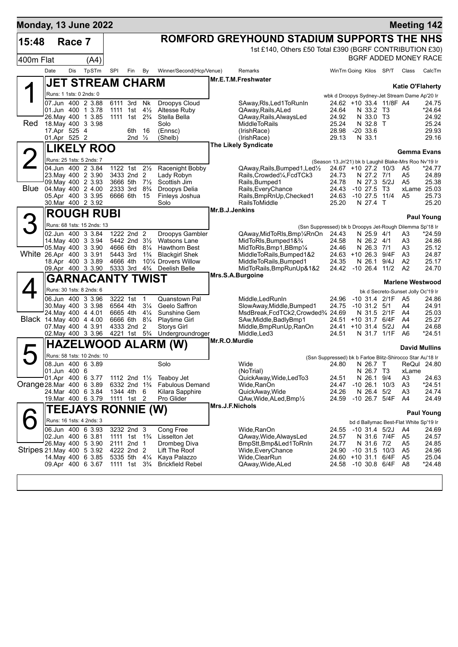| ROMFORD GREYHOUND STADIUM SUPPORTS THE NHS<br>15:48<br>Race 7<br>1st £140, Others £50 Total £390 (BGRF CONTRIBUTION £30)<br>BGRF ADDED MONEY RACE<br>400m Flat<br>(A4)<br>TpSTm<br>Winner/Second(Hcp/Venue)<br>Date<br>Dis<br>SPI<br>By<br>WinTm Going Kilos SP/T<br>CalcTm<br>Fin<br>Remarks<br>Class<br>Mr.E.T.M.Freshwater<br>JET STREAM CHARM<br><b>Katie O'Flaherty</b><br>Runs: 1 1sts: 0 2nds: 0<br>wbk d Droopys Sydney-Jet Stream Dame Ap'20 Ir<br>07.Jun 400 2 3.88<br>6111 3rd<br>Nk<br>Droopys Cloud<br>24.62 +10 33.4 11/8F A4<br>SAway, RIs, Led 1 To Run In<br>24.75<br>$*24.64$<br>01.Jun 400 1 3.78<br>1111 1st<br>$4\frac{1}{2}$<br>Altesse Ruby<br>QAway, Rails, ALed<br>24.64<br>N 33.2 T3<br>26. May 400 1 3.85<br>1111 1st 2 <sup>3</sup> / <sub>4</sub><br>Stella Bella<br>N 33.0 T3<br>QAway, Rails, Always Led<br>24.92<br>24.92<br>Red<br>18. May 400 3 3.98<br>Solo<br><b>MiddleToRails</b><br>25.24<br>N 32.8 T<br>25.24<br>17.Apr 525 4<br>$-20, 33.6$<br>29.93<br>16<br>(Ennsc)<br>(IrishRace)<br>28.98<br>6th<br>01.Apr 525 2<br>29.16<br>2nd $\frac{1}{2}$<br>(Shelb)<br>(IrishRace)<br>29.13<br>N 33.1<br><b>The Likely Syndicate</b><br><b>LIKELY ROO</b><br><b>Gemma Evans</b><br>Runs: 25 1sts: 5 2nds: 7<br>(Season 13.Jn'21) bk b Laughil Blake-Mrs Roo Nv'19 Ir<br>04.Jun 400 2 3.84<br>1122 1st 21/ <sub>2</sub><br>Racenight Bobby<br>QAway, Rails, Bumped 1, Led <sup>1</sup> / <sub>2</sub><br>24.67 +10 27.2 10/3<br>A <sub>5</sub><br>$*24.77$<br>23. May 400 2 3.90<br>3433 2nd 2<br>Lady Robyn<br>Rails, Crowded 1/4, Fcd TCk3<br>24.73<br>N 27.2 7/1<br>A <sub>5</sub><br>24.89<br>09. May 400 2 3.93<br>N 27.3 5/2J<br>3666 5th<br>$7\frac{1}{2}$<br>Scottish Jim<br>Rails, Bumped1<br>24.78<br>A <sub>5</sub><br>25.38<br>Blue 04 May 400 2 4.00<br>2333 3rd<br>$8\frac{3}{4}$<br>Droopys Delia<br>Rails, Every Chance<br>24.43<br>$-10, 27.5$<br>Т3<br>xLame 25.03<br>05.Apr 400 3 3.95<br>$-10$ 27.5<br>11/4<br>6666 6th<br>15<br>Finleys Joshua<br>Rails, BmpRnUp, Checked1<br>24.63<br>A <sub>5</sub><br>25.73<br>30. Mar 400 2 3.92<br><b>RailsToMiddle</b><br>25.20<br>Solo<br>25.20<br>N 27.4 T<br>Mr.B.J.Jenkins<br><b>ROUGH RUBI</b><br><b>Paul Young</b><br>Runs: 68 1sts: 15 2nds: 13<br>(Ssn Suppressed) bk b Droopys Jet-Rough Dilemma Sp'18 Ir<br>02.Jun 400 3 3.84<br>1222 2nd 2<br>Droopys Gambler<br>QAway, MidToRIs, Bmp1/4RnOn<br>24.43<br>N 25.9 4/1<br>$*24.59$<br>A3<br>14. May 400 3 3.94<br>5442 2nd 31/2<br>Watsons Lane<br>MidToRIs, Bumped 1& 3/4<br>24.58<br>N 26.2 4/1<br>A <sub>3</sub><br>24.86<br>05. May 400 3 3.90<br>4666 6th<br>$8\frac{1}{4}$<br><b>Hawthorn Best</b><br>MidToRIs, Bmp1, BBmp1/4<br>24.46<br>N 26.3 7/1<br>A3<br>25.12<br>White 26.Apr 400 3 3.91<br>5443 3rd<br>$1\frac{3}{4}$<br><b>Blackgirl Shek</b><br>MiddleToRails, Bumped1&2<br>24.63 +10 26.3 9/4F<br>A3<br>24.87<br>101⁄4 Drovers Willow<br>18.Apr 400 3 3.89<br>4666 4th<br>MiddleToRails, Bumped1<br>24.35<br>N 26.1<br>9/4J<br>A <sub>2</sub><br>25.17<br>24.70<br>09.Apr 400 3 3.90<br>5333 3rd<br>$4\frac{3}{4}$<br>Deelish Belle<br>MidToRails, BmpRunUp&1&2<br>24.42 -10 26.4<br>11/2<br>A <sub>2</sub><br>Mrs.S.A.Burgoine<br>GARNACANTY TWIST<br><b>Marlene Westwood</b><br>Runs: 30 1sts: 8 2nds: 6<br>bk d Secreto-Sunset Jolly Oc'19 Ir<br>06.Jun 400 3 3.96<br>3222 1st<br>$\overline{1}$<br>Quanstown Pal<br>Middle, Led Run In<br>-10 31.4 2/1F A5<br>24.96<br>24.86<br>$3\frac{1}{4}$<br>30. May 400 3 3.98<br>6564 4th<br>Geelo Saffron<br>SlowAway, Middle, Bumped1<br>24.75<br>$-10$ 31.2 $5/1$<br>A4<br>24.91<br>24. May 400 4 4.01<br>$4\frac{1}{4}$<br>MsdBreak, FcdTCk2, Crowded3/4 24.69<br>25.03<br>6665 4th<br>Sunshine Gem<br>N 31.5 2/1F<br>A4<br>Black 14 May 400 4 4.00<br>6666 6th<br>$8\frac{1}{4}$<br>SAw, Middle, Badly Bmp1<br>24.51 +10 31.7 6/4F<br>A4<br>25.27<br><b>Playtime Girl</b><br>07 May 400 4 3.91<br>4333 2nd 2<br><b>Storys Girl</b><br>Middle, BmpRunUp, RanOn<br>24.41 +10 31.4 5/2J<br>A4<br>24.68<br>Middle, Led3<br>02. May 400 3 3.96<br>4221 1st 5 <sup>3</sup> / <sub>4</sub><br>Undergroundroger<br>24.51<br>N 31.7 1/1F<br>A6<br>*24.51<br>Mr.R.O.Murdie<br><b>HAZELWOOD ALARM (W)</b><br><b>David Mullins</b><br>Runs: 58 1sts: 10 2nds: 10<br>(Ssn Suppressed) bk b Farloe Blitz-Shirocco Star Au'18 Ir<br>08.Jun 400 6 3.89<br>Solo<br>Wide<br>24.80 N 26.7 T ReQul 24.80<br>01.Jun 400 6<br>(NoTrial)<br>N 26.7 T3<br>xLame<br>01.Apr 400 6 3.77<br>N 26.1<br>A <sub>3</sub><br>1112 2nd $1\frac{1}{2}$<br>Teabov Jet<br>QuickAway, Wide, LedTo3<br>24.51<br>9/4<br>24.63<br>Orange 28.Mar 400 6 3.89<br>$-10, 26.1$<br>A <sub>3</sub><br>6332 2nd 1 <sup>3</sup> / <sub>4</sub><br><b>Fabulous Demand</b><br>Wide,RanOn<br>24.47<br>10/3<br>*24.51<br>24.Mar 400 6 3.84<br>24.26<br>A3<br>24.74<br>1344 4th<br>6<br>Kilara Sapphire<br>QuickAway, Wide<br>N 26.4<br>5/2<br>19. Mar 400 6 3.79<br>Pro Glider<br>$-10$ 26.7 $5/4F$<br>24.49<br>1111 1st 2<br>QAw, Wide, ALed, Bmp <sup>1</sup> / <sub>2</sub><br>24.59<br>A4<br>Mrs.J.F.Nichols<br><b>TEEJAYS RONNIE (W)</b><br><b>Paul Young</b><br>Runs: 16 1sts: 4 2nds: 3<br>bd d Ballymac Best-Flat White Sp'19 Ir<br>06.Jun 400 6 3.93<br>3232 2nd 3<br>Cong Free<br>Wide, RanOn<br>24.55<br>-10 31.4 5/2J<br>A4<br>24.69<br>1111 1st 1 <sup>3</sup> / <sub>4</sub><br>02.Jun 400 6 3.81<br>Lisselton Jet<br>QAway, Wide, Always Led<br>24.57<br>N 31.6 7/4F<br>A5<br>24.57<br>26. May 400 5 3.90<br>2111 2nd 1<br>Drombeg Diva<br>BmpStt,Bmp&Led1ToRnIn<br>24.77<br>N 31.6 7/2<br>A5<br>24.85<br>Stripes 21. May 400 5 3.92<br>4222 2nd 2<br>Lift The Roof<br>Wide, Every Chance<br>24.90<br>$-10$ 31.5 $10/3$<br>A5<br>24.96<br>25.04<br>14. May 400 6 3.85<br>5335 5th $4\frac{1}{4}$<br>Kaya Palazzo<br>Wide,ClearRun<br>24.60 +10 31.1 6/4F<br>A5<br>09.Apr 400 6 3.67<br>1111 1st<br>$3\frac{3}{4}$<br><b>Brickfield Rebel</b><br>QAway, Wide, ALed<br>24.58<br>-10 30.8 6/4F<br>A8<br>*24.48 | Monday, 13 June 2022 |  |  |  |  |  |  | <b>Meeting 142</b> |  |
|------------------------------------------------------------------------------------------------------------------------------------------------------------------------------------------------------------------------------------------------------------------------------------------------------------------------------------------------------------------------------------------------------------------------------------------------------------------------------------------------------------------------------------------------------------------------------------------------------------------------------------------------------------------------------------------------------------------------------------------------------------------------------------------------------------------------------------------------------------------------------------------------------------------------------------------------------------------------------------------------------------------------------------------------------------------------------------------------------------------------------------------------------------------------------------------------------------------------------------------------------------------------------------------------------------------------------------------------------------------------------------------------------------------------------------------------------------------------------------------------------------------------------------------------------------------------------------------------------------------------------------------------------------------------------------------------------------------------------------------------------------------------------------------------------------------------------------------------------------------------------------------------------------------------------------------------------------------------------------------------------------------------------------------------------------------------------------------------------------------------------------------------------------------------------------------------------------------------------------------------------------------------------------------------------------------------------------------------------------------------------------------------------------------------------------------------------------------------------------------------------------------------------------------------------------------------------------------------------------------------------------------------------------------------------------------------------------------------------------------------------------------------------------------------------------------------------------------------------------------------------------------------------------------------------------------------------------------------------------------------------------------------------------------------------------------------------------------------------------------------------------------------------------------------------------------------------------------------------------------------------------------------------------------------------------------------------------------------------------------------------------------------------------------------------------------------------------------------------------------------------------------------------------------------------------------------------------------------------------------------------------------------------------------------------------------------------------------------------------------------------------------------------------------------------------------------------------------------------------------------------------------------------------------------------------------------------------------------------------------------------------------------------------------------------------------------------------------------------------------------------------------------------------------------------------------------------------------------------------------------------------------------------------------------------------------------------------------------------------------------------------------------------------------------------------------------------------------------------------------------------------------------------------------------------------------------------------------------------------------------------------------------------------------------------------------------------------------------------------------------------------------------------------------------------------------------------------------------------------------------------------------------------------------------------------------------------------------------------------------------------------------------------------------------------------------------------------------------------------------------------------------------------------------------------------------------------------------------------------------------------------------------------------------------------------------------------------------------------------------------------------------------------------------------------------------------------------------------------------------------------------------------------------------------------------------------------------------------------------------------------------------------------------------------------------------------------------------------------------------------------------------------------------------------------------------------------------------------------------------------------------------------------------------------------------------------------------------------------------------|----------------------|--|--|--|--|--|--|--------------------|--|
|                                                                                                                                                                                                                                                                                                                                                                                                                                                                                                                                                                                                                                                                                                                                                                                                                                                                                                                                                                                                                                                                                                                                                                                                                                                                                                                                                                                                                                                                                                                                                                                                                                                                                                                                                                                                                                                                                                                                                                                                                                                                                                                                                                                                                                                                                                                                                                                                                                                                                                                                                                                                                                                                                                                                                                                                                                                                                                                                                                                                                                                                                                                                                                                                                                                                                                                                                                                                                                                                                                                                                                                                                                                                                                                                                                                                                                                                                                                                                                                                                                                                                                                                                                                                                                                                                                                                                                                                                                                                                                                                                                                                                                                                                                                                                                                                                                                                                                                                                                                                                                                                                                                                                                                                                                                                                                                                                                                                                                                                                                                                                                                                                                                                                                                                                                                                                                                                                                                                                                                          |                      |  |  |  |  |  |  |                    |  |
|                                                                                                                                                                                                                                                                                                                                                                                                                                                                                                                                                                                                                                                                                                                                                                                                                                                                                                                                                                                                                                                                                                                                                                                                                                                                                                                                                                                                                                                                                                                                                                                                                                                                                                                                                                                                                                                                                                                                                                                                                                                                                                                                                                                                                                                                                                                                                                                                                                                                                                                                                                                                                                                                                                                                                                                                                                                                                                                                                                                                                                                                                                                                                                                                                                                                                                                                                                                                                                                                                                                                                                                                                                                                                                                                                                                                                                                                                                                                                                                                                                                                                                                                                                                                                                                                                                                                                                                                                                                                                                                                                                                                                                                                                                                                                                                                                                                                                                                                                                                                                                                                                                                                                                                                                                                                                                                                                                                                                                                                                                                                                                                                                                                                                                                                                                                                                                                                                                                                                                                          |                      |  |  |  |  |  |  |                    |  |
|                                                                                                                                                                                                                                                                                                                                                                                                                                                                                                                                                                                                                                                                                                                                                                                                                                                                                                                                                                                                                                                                                                                                                                                                                                                                                                                                                                                                                                                                                                                                                                                                                                                                                                                                                                                                                                                                                                                                                                                                                                                                                                                                                                                                                                                                                                                                                                                                                                                                                                                                                                                                                                                                                                                                                                                                                                                                                                                                                                                                                                                                                                                                                                                                                                                                                                                                                                                                                                                                                                                                                                                                                                                                                                                                                                                                                                                                                                                                                                                                                                                                                                                                                                                                                                                                                                                                                                                                                                                                                                                                                                                                                                                                                                                                                                                                                                                                                                                                                                                                                                                                                                                                                                                                                                                                                                                                                                                                                                                                                                                                                                                                                                                                                                                                                                                                                                                                                                                                                                                          |                      |  |  |  |  |  |  |                    |  |
|                                                                                                                                                                                                                                                                                                                                                                                                                                                                                                                                                                                                                                                                                                                                                                                                                                                                                                                                                                                                                                                                                                                                                                                                                                                                                                                                                                                                                                                                                                                                                                                                                                                                                                                                                                                                                                                                                                                                                                                                                                                                                                                                                                                                                                                                                                                                                                                                                                                                                                                                                                                                                                                                                                                                                                                                                                                                                                                                                                                                                                                                                                                                                                                                                                                                                                                                                                                                                                                                                                                                                                                                                                                                                                                                                                                                                                                                                                                                                                                                                                                                                                                                                                                                                                                                                                                                                                                                                                                                                                                                                                                                                                                                                                                                                                                                                                                                                                                                                                                                                                                                                                                                                                                                                                                                                                                                                                                                                                                                                                                                                                                                                                                                                                                                                                                                                                                                                                                                                                                          |                      |  |  |  |  |  |  |                    |  |
|                                                                                                                                                                                                                                                                                                                                                                                                                                                                                                                                                                                                                                                                                                                                                                                                                                                                                                                                                                                                                                                                                                                                                                                                                                                                                                                                                                                                                                                                                                                                                                                                                                                                                                                                                                                                                                                                                                                                                                                                                                                                                                                                                                                                                                                                                                                                                                                                                                                                                                                                                                                                                                                                                                                                                                                                                                                                                                                                                                                                                                                                                                                                                                                                                                                                                                                                                                                                                                                                                                                                                                                                                                                                                                                                                                                                                                                                                                                                                                                                                                                                                                                                                                                                                                                                                                                                                                                                                                                                                                                                                                                                                                                                                                                                                                                                                                                                                                                                                                                                                                                                                                                                                                                                                                                                                                                                                                                                                                                                                                                                                                                                                                                                                                                                                                                                                                                                                                                                                                                          |                      |  |  |  |  |  |  |                    |  |
|                                                                                                                                                                                                                                                                                                                                                                                                                                                                                                                                                                                                                                                                                                                                                                                                                                                                                                                                                                                                                                                                                                                                                                                                                                                                                                                                                                                                                                                                                                                                                                                                                                                                                                                                                                                                                                                                                                                                                                                                                                                                                                                                                                                                                                                                                                                                                                                                                                                                                                                                                                                                                                                                                                                                                                                                                                                                                                                                                                                                                                                                                                                                                                                                                                                                                                                                                                                                                                                                                                                                                                                                                                                                                                                                                                                                                                                                                                                                                                                                                                                                                                                                                                                                                                                                                                                                                                                                                                                                                                                                                                                                                                                                                                                                                                                                                                                                                                                                                                                                                                                                                                                                                                                                                                                                                                                                                                                                                                                                                                                                                                                                                                                                                                                                                                                                                                                                                                                                                                                          |                      |  |  |  |  |  |  |                    |  |
|                                                                                                                                                                                                                                                                                                                                                                                                                                                                                                                                                                                                                                                                                                                                                                                                                                                                                                                                                                                                                                                                                                                                                                                                                                                                                                                                                                                                                                                                                                                                                                                                                                                                                                                                                                                                                                                                                                                                                                                                                                                                                                                                                                                                                                                                                                                                                                                                                                                                                                                                                                                                                                                                                                                                                                                                                                                                                                                                                                                                                                                                                                                                                                                                                                                                                                                                                                                                                                                                                                                                                                                                                                                                                                                                                                                                                                                                                                                                                                                                                                                                                                                                                                                                                                                                                                                                                                                                                                                                                                                                                                                                                                                                                                                                                                                                                                                                                                                                                                                                                                                                                                                                                                                                                                                                                                                                                                                                                                                                                                                                                                                                                                                                                                                                                                                                                                                                                                                                                                                          |                      |  |  |  |  |  |  |                    |  |
|                                                                                                                                                                                                                                                                                                                                                                                                                                                                                                                                                                                                                                                                                                                                                                                                                                                                                                                                                                                                                                                                                                                                                                                                                                                                                                                                                                                                                                                                                                                                                                                                                                                                                                                                                                                                                                                                                                                                                                                                                                                                                                                                                                                                                                                                                                                                                                                                                                                                                                                                                                                                                                                                                                                                                                                                                                                                                                                                                                                                                                                                                                                                                                                                                                                                                                                                                                                                                                                                                                                                                                                                                                                                                                                                                                                                                                                                                                                                                                                                                                                                                                                                                                                                                                                                                                                                                                                                                                                                                                                                                                                                                                                                                                                                                                                                                                                                                                                                                                                                                                                                                                                                                                                                                                                                                                                                                                                                                                                                                                                                                                                                                                                                                                                                                                                                                                                                                                                                                                                          |                      |  |  |  |  |  |  |                    |  |
|                                                                                                                                                                                                                                                                                                                                                                                                                                                                                                                                                                                                                                                                                                                                                                                                                                                                                                                                                                                                                                                                                                                                                                                                                                                                                                                                                                                                                                                                                                                                                                                                                                                                                                                                                                                                                                                                                                                                                                                                                                                                                                                                                                                                                                                                                                                                                                                                                                                                                                                                                                                                                                                                                                                                                                                                                                                                                                                                                                                                                                                                                                                                                                                                                                                                                                                                                                                                                                                                                                                                                                                                                                                                                                                                                                                                                                                                                                                                                                                                                                                                                                                                                                                                                                                                                                                                                                                                                                                                                                                                                                                                                                                                                                                                                                                                                                                                                                                                                                                                                                                                                                                                                                                                                                                                                                                                                                                                                                                                                                                                                                                                                                                                                                                                                                                                                                                                                                                                                                                          |                      |  |  |  |  |  |  |                    |  |
|                                                                                                                                                                                                                                                                                                                                                                                                                                                                                                                                                                                                                                                                                                                                                                                                                                                                                                                                                                                                                                                                                                                                                                                                                                                                                                                                                                                                                                                                                                                                                                                                                                                                                                                                                                                                                                                                                                                                                                                                                                                                                                                                                                                                                                                                                                                                                                                                                                                                                                                                                                                                                                                                                                                                                                                                                                                                                                                                                                                                                                                                                                                                                                                                                                                                                                                                                                                                                                                                                                                                                                                                                                                                                                                                                                                                                                                                                                                                                                                                                                                                                                                                                                                                                                                                                                                                                                                                                                                                                                                                                                                                                                                                                                                                                                                                                                                                                                                                                                                                                                                                                                                                                                                                                                                                                                                                                                                                                                                                                                                                                                                                                                                                                                                                                                                                                                                                                                                                                                                          |                      |  |  |  |  |  |  |                    |  |
|                                                                                                                                                                                                                                                                                                                                                                                                                                                                                                                                                                                                                                                                                                                                                                                                                                                                                                                                                                                                                                                                                                                                                                                                                                                                                                                                                                                                                                                                                                                                                                                                                                                                                                                                                                                                                                                                                                                                                                                                                                                                                                                                                                                                                                                                                                                                                                                                                                                                                                                                                                                                                                                                                                                                                                                                                                                                                                                                                                                                                                                                                                                                                                                                                                                                                                                                                                                                                                                                                                                                                                                                                                                                                                                                                                                                                                                                                                                                                                                                                                                                                                                                                                                                                                                                                                                                                                                                                                                                                                                                                                                                                                                                                                                                                                                                                                                                                                                                                                                                                                                                                                                                                                                                                                                                                                                                                                                                                                                                                                                                                                                                                                                                                                                                                                                                                                                                                                                                                                                          |                      |  |  |  |  |  |  |                    |  |
|                                                                                                                                                                                                                                                                                                                                                                                                                                                                                                                                                                                                                                                                                                                                                                                                                                                                                                                                                                                                                                                                                                                                                                                                                                                                                                                                                                                                                                                                                                                                                                                                                                                                                                                                                                                                                                                                                                                                                                                                                                                                                                                                                                                                                                                                                                                                                                                                                                                                                                                                                                                                                                                                                                                                                                                                                                                                                                                                                                                                                                                                                                                                                                                                                                                                                                                                                                                                                                                                                                                                                                                                                                                                                                                                                                                                                                                                                                                                                                                                                                                                                                                                                                                                                                                                                                                                                                                                                                                                                                                                                                                                                                                                                                                                                                                                                                                                                                                                                                                                                                                                                                                                                                                                                                                                                                                                                                                                                                                                                                                                                                                                                                                                                                                                                                                                                                                                                                                                                                                          |                      |  |  |  |  |  |  |                    |  |
|                                                                                                                                                                                                                                                                                                                                                                                                                                                                                                                                                                                                                                                                                                                                                                                                                                                                                                                                                                                                                                                                                                                                                                                                                                                                                                                                                                                                                                                                                                                                                                                                                                                                                                                                                                                                                                                                                                                                                                                                                                                                                                                                                                                                                                                                                                                                                                                                                                                                                                                                                                                                                                                                                                                                                                                                                                                                                                                                                                                                                                                                                                                                                                                                                                                                                                                                                                                                                                                                                                                                                                                                                                                                                                                                                                                                                                                                                                                                                                                                                                                                                                                                                                                                                                                                                                                                                                                                                                                                                                                                                                                                                                                                                                                                                                                                                                                                                                                                                                                                                                                                                                                                                                                                                                                                                                                                                                                                                                                                                                                                                                                                                                                                                                                                                                                                                                                                                                                                                                                          |                      |  |  |  |  |  |  |                    |  |
|                                                                                                                                                                                                                                                                                                                                                                                                                                                                                                                                                                                                                                                                                                                                                                                                                                                                                                                                                                                                                                                                                                                                                                                                                                                                                                                                                                                                                                                                                                                                                                                                                                                                                                                                                                                                                                                                                                                                                                                                                                                                                                                                                                                                                                                                                                                                                                                                                                                                                                                                                                                                                                                                                                                                                                                                                                                                                                                                                                                                                                                                                                                                                                                                                                                                                                                                                                                                                                                                                                                                                                                                                                                                                                                                                                                                                                                                                                                                                                                                                                                                                                                                                                                                                                                                                                                                                                                                                                                                                                                                                                                                                                                                                                                                                                                                                                                                                                                                                                                                                                                                                                                                                                                                                                                                                                                                                                                                                                                                                                                                                                                                                                                                                                                                                                                                                                                                                                                                                                                          |                      |  |  |  |  |  |  |                    |  |
|                                                                                                                                                                                                                                                                                                                                                                                                                                                                                                                                                                                                                                                                                                                                                                                                                                                                                                                                                                                                                                                                                                                                                                                                                                                                                                                                                                                                                                                                                                                                                                                                                                                                                                                                                                                                                                                                                                                                                                                                                                                                                                                                                                                                                                                                                                                                                                                                                                                                                                                                                                                                                                                                                                                                                                                                                                                                                                                                                                                                                                                                                                                                                                                                                                                                                                                                                                                                                                                                                                                                                                                                                                                                                                                                                                                                                                                                                                                                                                                                                                                                                                                                                                                                                                                                                                                                                                                                                                                                                                                                                                                                                                                                                                                                                                                                                                                                                                                                                                                                                                                                                                                                                                                                                                                                                                                                                                                                                                                                                                                                                                                                                                                                                                                                                                                                                                                                                                                                                                                          |                      |  |  |  |  |  |  |                    |  |
|                                                                                                                                                                                                                                                                                                                                                                                                                                                                                                                                                                                                                                                                                                                                                                                                                                                                                                                                                                                                                                                                                                                                                                                                                                                                                                                                                                                                                                                                                                                                                                                                                                                                                                                                                                                                                                                                                                                                                                                                                                                                                                                                                                                                                                                                                                                                                                                                                                                                                                                                                                                                                                                                                                                                                                                                                                                                                                                                                                                                                                                                                                                                                                                                                                                                                                                                                                                                                                                                                                                                                                                                                                                                                                                                                                                                                                                                                                                                                                                                                                                                                                                                                                                                                                                                                                                                                                                                                                                                                                                                                                                                                                                                                                                                                                                                                                                                                                                                                                                                                                                                                                                                                                                                                                                                                                                                                                                                                                                                                                                                                                                                                                                                                                                                                                                                                                                                                                                                                                                          |                      |  |  |  |  |  |  |                    |  |
|                                                                                                                                                                                                                                                                                                                                                                                                                                                                                                                                                                                                                                                                                                                                                                                                                                                                                                                                                                                                                                                                                                                                                                                                                                                                                                                                                                                                                                                                                                                                                                                                                                                                                                                                                                                                                                                                                                                                                                                                                                                                                                                                                                                                                                                                                                                                                                                                                                                                                                                                                                                                                                                                                                                                                                                                                                                                                                                                                                                                                                                                                                                                                                                                                                                                                                                                                                                                                                                                                                                                                                                                                                                                                                                                                                                                                                                                                                                                                                                                                                                                                                                                                                                                                                                                                                                                                                                                                                                                                                                                                                                                                                                                                                                                                                                                                                                                                                                                                                                                                                                                                                                                                                                                                                                                                                                                                                                                                                                                                                                                                                                                                                                                                                                                                                                                                                                                                                                                                                                          |                      |  |  |  |  |  |  |                    |  |
|                                                                                                                                                                                                                                                                                                                                                                                                                                                                                                                                                                                                                                                                                                                                                                                                                                                                                                                                                                                                                                                                                                                                                                                                                                                                                                                                                                                                                                                                                                                                                                                                                                                                                                                                                                                                                                                                                                                                                                                                                                                                                                                                                                                                                                                                                                                                                                                                                                                                                                                                                                                                                                                                                                                                                                                                                                                                                                                                                                                                                                                                                                                                                                                                                                                                                                                                                                                                                                                                                                                                                                                                                                                                                                                                                                                                                                                                                                                                                                                                                                                                                                                                                                                                                                                                                                                                                                                                                                                                                                                                                                                                                                                                                                                                                                                                                                                                                                                                                                                                                                                                                                                                                                                                                                                                                                                                                                                                                                                                                                                                                                                                                                                                                                                                                                                                                                                                                                                                                                                          |                      |  |  |  |  |  |  |                    |  |
|                                                                                                                                                                                                                                                                                                                                                                                                                                                                                                                                                                                                                                                                                                                                                                                                                                                                                                                                                                                                                                                                                                                                                                                                                                                                                                                                                                                                                                                                                                                                                                                                                                                                                                                                                                                                                                                                                                                                                                                                                                                                                                                                                                                                                                                                                                                                                                                                                                                                                                                                                                                                                                                                                                                                                                                                                                                                                                                                                                                                                                                                                                                                                                                                                                                                                                                                                                                                                                                                                                                                                                                                                                                                                                                                                                                                                                                                                                                                                                                                                                                                                                                                                                                                                                                                                                                                                                                                                                                                                                                                                                                                                                                                                                                                                                                                                                                                                                                                                                                                                                                                                                                                                                                                                                                                                                                                                                                                                                                                                                                                                                                                                                                                                                                                                                                                                                                                                                                                                                                          |                      |  |  |  |  |  |  |                    |  |
|                                                                                                                                                                                                                                                                                                                                                                                                                                                                                                                                                                                                                                                                                                                                                                                                                                                                                                                                                                                                                                                                                                                                                                                                                                                                                                                                                                                                                                                                                                                                                                                                                                                                                                                                                                                                                                                                                                                                                                                                                                                                                                                                                                                                                                                                                                                                                                                                                                                                                                                                                                                                                                                                                                                                                                                                                                                                                                                                                                                                                                                                                                                                                                                                                                                                                                                                                                                                                                                                                                                                                                                                                                                                                                                                                                                                                                                                                                                                                                                                                                                                                                                                                                                                                                                                                                                                                                                                                                                                                                                                                                                                                                                                                                                                                                                                                                                                                                                                                                                                                                                                                                                                                                                                                                                                                                                                                                                                                                                                                                                                                                                                                                                                                                                                                                                                                                                                                                                                                                                          |                      |  |  |  |  |  |  |                    |  |
|                                                                                                                                                                                                                                                                                                                                                                                                                                                                                                                                                                                                                                                                                                                                                                                                                                                                                                                                                                                                                                                                                                                                                                                                                                                                                                                                                                                                                                                                                                                                                                                                                                                                                                                                                                                                                                                                                                                                                                                                                                                                                                                                                                                                                                                                                                                                                                                                                                                                                                                                                                                                                                                                                                                                                                                                                                                                                                                                                                                                                                                                                                                                                                                                                                                                                                                                                                                                                                                                                                                                                                                                                                                                                                                                                                                                                                                                                                                                                                                                                                                                                                                                                                                                                                                                                                                                                                                                                                                                                                                                                                                                                                                                                                                                                                                                                                                                                                                                                                                                                                                                                                                                                                                                                                                                                                                                                                                                                                                                                                                                                                                                                                                                                                                                                                                                                                                                                                                                                                                          |                      |  |  |  |  |  |  |                    |  |
|                                                                                                                                                                                                                                                                                                                                                                                                                                                                                                                                                                                                                                                                                                                                                                                                                                                                                                                                                                                                                                                                                                                                                                                                                                                                                                                                                                                                                                                                                                                                                                                                                                                                                                                                                                                                                                                                                                                                                                                                                                                                                                                                                                                                                                                                                                                                                                                                                                                                                                                                                                                                                                                                                                                                                                                                                                                                                                                                                                                                                                                                                                                                                                                                                                                                                                                                                                                                                                                                                                                                                                                                                                                                                                                                                                                                                                                                                                                                                                                                                                                                                                                                                                                                                                                                                                                                                                                                                                                                                                                                                                                                                                                                                                                                                                                                                                                                                                                                                                                                                                                                                                                                                                                                                                                                                                                                                                                                                                                                                                                                                                                                                                                                                                                                                                                                                                                                                                                                                                                          |                      |  |  |  |  |  |  |                    |  |
|                                                                                                                                                                                                                                                                                                                                                                                                                                                                                                                                                                                                                                                                                                                                                                                                                                                                                                                                                                                                                                                                                                                                                                                                                                                                                                                                                                                                                                                                                                                                                                                                                                                                                                                                                                                                                                                                                                                                                                                                                                                                                                                                                                                                                                                                                                                                                                                                                                                                                                                                                                                                                                                                                                                                                                                                                                                                                                                                                                                                                                                                                                                                                                                                                                                                                                                                                                                                                                                                                                                                                                                                                                                                                                                                                                                                                                                                                                                                                                                                                                                                                                                                                                                                                                                                                                                                                                                                                                                                                                                                                                                                                                                                                                                                                                                                                                                                                                                                                                                                                                                                                                                                                                                                                                                                                                                                                                                                                                                                                                                                                                                                                                                                                                                                                                                                                                                                                                                                                                                          |                      |  |  |  |  |  |  |                    |  |
|                                                                                                                                                                                                                                                                                                                                                                                                                                                                                                                                                                                                                                                                                                                                                                                                                                                                                                                                                                                                                                                                                                                                                                                                                                                                                                                                                                                                                                                                                                                                                                                                                                                                                                                                                                                                                                                                                                                                                                                                                                                                                                                                                                                                                                                                                                                                                                                                                                                                                                                                                                                                                                                                                                                                                                                                                                                                                                                                                                                                                                                                                                                                                                                                                                                                                                                                                                                                                                                                                                                                                                                                                                                                                                                                                                                                                                                                                                                                                                                                                                                                                                                                                                                                                                                                                                                                                                                                                                                                                                                                                                                                                                                                                                                                                                                                                                                                                                                                                                                                                                                                                                                                                                                                                                                                                                                                                                                                                                                                                                                                                                                                                                                                                                                                                                                                                                                                                                                                                                                          |                      |  |  |  |  |  |  |                    |  |
|                                                                                                                                                                                                                                                                                                                                                                                                                                                                                                                                                                                                                                                                                                                                                                                                                                                                                                                                                                                                                                                                                                                                                                                                                                                                                                                                                                                                                                                                                                                                                                                                                                                                                                                                                                                                                                                                                                                                                                                                                                                                                                                                                                                                                                                                                                                                                                                                                                                                                                                                                                                                                                                                                                                                                                                                                                                                                                                                                                                                                                                                                                                                                                                                                                                                                                                                                                                                                                                                                                                                                                                                                                                                                                                                                                                                                                                                                                                                                                                                                                                                                                                                                                                                                                                                                                                                                                                                                                                                                                                                                                                                                                                                                                                                                                                                                                                                                                                                                                                                                                                                                                                                                                                                                                                                                                                                                                                                                                                                                                                                                                                                                                                                                                                                                                                                                                                                                                                                                                                          |                      |  |  |  |  |  |  |                    |  |
|                                                                                                                                                                                                                                                                                                                                                                                                                                                                                                                                                                                                                                                                                                                                                                                                                                                                                                                                                                                                                                                                                                                                                                                                                                                                                                                                                                                                                                                                                                                                                                                                                                                                                                                                                                                                                                                                                                                                                                                                                                                                                                                                                                                                                                                                                                                                                                                                                                                                                                                                                                                                                                                                                                                                                                                                                                                                                                                                                                                                                                                                                                                                                                                                                                                                                                                                                                                                                                                                                                                                                                                                                                                                                                                                                                                                                                                                                                                                                                                                                                                                                                                                                                                                                                                                                                                                                                                                                                                                                                                                                                                                                                                                                                                                                                                                                                                                                                                                                                                                                                                                                                                                                                                                                                                                                                                                                                                                                                                                                                                                                                                                                                                                                                                                                                                                                                                                                                                                                                                          |                      |  |  |  |  |  |  |                    |  |
|                                                                                                                                                                                                                                                                                                                                                                                                                                                                                                                                                                                                                                                                                                                                                                                                                                                                                                                                                                                                                                                                                                                                                                                                                                                                                                                                                                                                                                                                                                                                                                                                                                                                                                                                                                                                                                                                                                                                                                                                                                                                                                                                                                                                                                                                                                                                                                                                                                                                                                                                                                                                                                                                                                                                                                                                                                                                                                                                                                                                                                                                                                                                                                                                                                                                                                                                                                                                                                                                                                                                                                                                                                                                                                                                                                                                                                                                                                                                                                                                                                                                                                                                                                                                                                                                                                                                                                                                                                                                                                                                                                                                                                                                                                                                                                                                                                                                                                                                                                                                                                                                                                                                                                                                                                                                                                                                                                                                                                                                                                                                                                                                                                                                                                                                                                                                                                                                                                                                                                                          |                      |  |  |  |  |  |  |                    |  |
|                                                                                                                                                                                                                                                                                                                                                                                                                                                                                                                                                                                                                                                                                                                                                                                                                                                                                                                                                                                                                                                                                                                                                                                                                                                                                                                                                                                                                                                                                                                                                                                                                                                                                                                                                                                                                                                                                                                                                                                                                                                                                                                                                                                                                                                                                                                                                                                                                                                                                                                                                                                                                                                                                                                                                                                                                                                                                                                                                                                                                                                                                                                                                                                                                                                                                                                                                                                                                                                                                                                                                                                                                                                                                                                                                                                                                                                                                                                                                                                                                                                                                                                                                                                                                                                                                                                                                                                                                                                                                                                                                                                                                                                                                                                                                                                                                                                                                                                                                                                                                                                                                                                                                                                                                                                                                                                                                                                                                                                                                                                                                                                                                                                                                                                                                                                                                                                                                                                                                                                          |                      |  |  |  |  |  |  |                    |  |
|                                                                                                                                                                                                                                                                                                                                                                                                                                                                                                                                                                                                                                                                                                                                                                                                                                                                                                                                                                                                                                                                                                                                                                                                                                                                                                                                                                                                                                                                                                                                                                                                                                                                                                                                                                                                                                                                                                                                                                                                                                                                                                                                                                                                                                                                                                                                                                                                                                                                                                                                                                                                                                                                                                                                                                                                                                                                                                                                                                                                                                                                                                                                                                                                                                                                                                                                                                                                                                                                                                                                                                                                                                                                                                                                                                                                                                                                                                                                                                                                                                                                                                                                                                                                                                                                                                                                                                                                                                                                                                                                                                                                                                                                                                                                                                                                                                                                                                                                                                                                                                                                                                                                                                                                                                                                                                                                                                                                                                                                                                                                                                                                                                                                                                                                                                                                                                                                                                                                                                                          |                      |  |  |  |  |  |  |                    |  |
|                                                                                                                                                                                                                                                                                                                                                                                                                                                                                                                                                                                                                                                                                                                                                                                                                                                                                                                                                                                                                                                                                                                                                                                                                                                                                                                                                                                                                                                                                                                                                                                                                                                                                                                                                                                                                                                                                                                                                                                                                                                                                                                                                                                                                                                                                                                                                                                                                                                                                                                                                                                                                                                                                                                                                                                                                                                                                                                                                                                                                                                                                                                                                                                                                                                                                                                                                                                                                                                                                                                                                                                                                                                                                                                                                                                                                                                                                                                                                                                                                                                                                                                                                                                                                                                                                                                                                                                                                                                                                                                                                                                                                                                                                                                                                                                                                                                                                                                                                                                                                                                                                                                                                                                                                                                                                                                                                                                                                                                                                                                                                                                                                                                                                                                                                                                                                                                                                                                                                                                          |                      |  |  |  |  |  |  |                    |  |
|                                                                                                                                                                                                                                                                                                                                                                                                                                                                                                                                                                                                                                                                                                                                                                                                                                                                                                                                                                                                                                                                                                                                                                                                                                                                                                                                                                                                                                                                                                                                                                                                                                                                                                                                                                                                                                                                                                                                                                                                                                                                                                                                                                                                                                                                                                                                                                                                                                                                                                                                                                                                                                                                                                                                                                                                                                                                                                                                                                                                                                                                                                                                                                                                                                                                                                                                                                                                                                                                                                                                                                                                                                                                                                                                                                                                                                                                                                                                                                                                                                                                                                                                                                                                                                                                                                                                                                                                                                                                                                                                                                                                                                                                                                                                                                                                                                                                                                                                                                                                                                                                                                                                                                                                                                                                                                                                                                                                                                                                                                                                                                                                                                                                                                                                                                                                                                                                                                                                                                                          |                      |  |  |  |  |  |  |                    |  |
|                                                                                                                                                                                                                                                                                                                                                                                                                                                                                                                                                                                                                                                                                                                                                                                                                                                                                                                                                                                                                                                                                                                                                                                                                                                                                                                                                                                                                                                                                                                                                                                                                                                                                                                                                                                                                                                                                                                                                                                                                                                                                                                                                                                                                                                                                                                                                                                                                                                                                                                                                                                                                                                                                                                                                                                                                                                                                                                                                                                                                                                                                                                                                                                                                                                                                                                                                                                                                                                                                                                                                                                                                                                                                                                                                                                                                                                                                                                                                                                                                                                                                                                                                                                                                                                                                                                                                                                                                                                                                                                                                                                                                                                                                                                                                                                                                                                                                                                                                                                                                                                                                                                                                                                                                                                                                                                                                                                                                                                                                                                                                                                                                                                                                                                                                                                                                                                                                                                                                                                          |                      |  |  |  |  |  |  |                    |  |
|                                                                                                                                                                                                                                                                                                                                                                                                                                                                                                                                                                                                                                                                                                                                                                                                                                                                                                                                                                                                                                                                                                                                                                                                                                                                                                                                                                                                                                                                                                                                                                                                                                                                                                                                                                                                                                                                                                                                                                                                                                                                                                                                                                                                                                                                                                                                                                                                                                                                                                                                                                                                                                                                                                                                                                                                                                                                                                                                                                                                                                                                                                                                                                                                                                                                                                                                                                                                                                                                                                                                                                                                                                                                                                                                                                                                                                                                                                                                                                                                                                                                                                                                                                                                                                                                                                                                                                                                                                                                                                                                                                                                                                                                                                                                                                                                                                                                                                                                                                                                                                                                                                                                                                                                                                                                                                                                                                                                                                                                                                                                                                                                                                                                                                                                                                                                                                                                                                                                                                                          |                      |  |  |  |  |  |  |                    |  |
|                                                                                                                                                                                                                                                                                                                                                                                                                                                                                                                                                                                                                                                                                                                                                                                                                                                                                                                                                                                                                                                                                                                                                                                                                                                                                                                                                                                                                                                                                                                                                                                                                                                                                                                                                                                                                                                                                                                                                                                                                                                                                                                                                                                                                                                                                                                                                                                                                                                                                                                                                                                                                                                                                                                                                                                                                                                                                                                                                                                                                                                                                                                                                                                                                                                                                                                                                                                                                                                                                                                                                                                                                                                                                                                                                                                                                                                                                                                                                                                                                                                                                                                                                                                                                                                                                                                                                                                                                                                                                                                                                                                                                                                                                                                                                                                                                                                                                                                                                                                                                                                                                                                                                                                                                                                                                                                                                                                                                                                                                                                                                                                                                                                                                                                                                                                                                                                                                                                                                                                          |                      |  |  |  |  |  |  |                    |  |
|                                                                                                                                                                                                                                                                                                                                                                                                                                                                                                                                                                                                                                                                                                                                                                                                                                                                                                                                                                                                                                                                                                                                                                                                                                                                                                                                                                                                                                                                                                                                                                                                                                                                                                                                                                                                                                                                                                                                                                                                                                                                                                                                                                                                                                                                                                                                                                                                                                                                                                                                                                                                                                                                                                                                                                                                                                                                                                                                                                                                                                                                                                                                                                                                                                                                                                                                                                                                                                                                                                                                                                                                                                                                                                                                                                                                                                                                                                                                                                                                                                                                                                                                                                                                                                                                                                                                                                                                                                                                                                                                                                                                                                                                                                                                                                                                                                                                                                                                                                                                                                                                                                                                                                                                                                                                                                                                                                                                                                                                                                                                                                                                                                                                                                                                                                                                                                                                                                                                                                                          |                      |  |  |  |  |  |  |                    |  |
|                                                                                                                                                                                                                                                                                                                                                                                                                                                                                                                                                                                                                                                                                                                                                                                                                                                                                                                                                                                                                                                                                                                                                                                                                                                                                                                                                                                                                                                                                                                                                                                                                                                                                                                                                                                                                                                                                                                                                                                                                                                                                                                                                                                                                                                                                                                                                                                                                                                                                                                                                                                                                                                                                                                                                                                                                                                                                                                                                                                                                                                                                                                                                                                                                                                                                                                                                                                                                                                                                                                                                                                                                                                                                                                                                                                                                                                                                                                                                                                                                                                                                                                                                                                                                                                                                                                                                                                                                                                                                                                                                                                                                                                                                                                                                                                                                                                                                                                                                                                                                                                                                                                                                                                                                                                                                                                                                                                                                                                                                                                                                                                                                                                                                                                                                                                                                                                                                                                                                                                          |                      |  |  |  |  |  |  |                    |  |
|                                                                                                                                                                                                                                                                                                                                                                                                                                                                                                                                                                                                                                                                                                                                                                                                                                                                                                                                                                                                                                                                                                                                                                                                                                                                                                                                                                                                                                                                                                                                                                                                                                                                                                                                                                                                                                                                                                                                                                                                                                                                                                                                                                                                                                                                                                                                                                                                                                                                                                                                                                                                                                                                                                                                                                                                                                                                                                                                                                                                                                                                                                                                                                                                                                                                                                                                                                                                                                                                                                                                                                                                                                                                                                                                                                                                                                                                                                                                                                                                                                                                                                                                                                                                                                                                                                                                                                                                                                                                                                                                                                                                                                                                                                                                                                                                                                                                                                                                                                                                                                                                                                                                                                                                                                                                                                                                                                                                                                                                                                                                                                                                                                                                                                                                                                                                                                                                                                                                                                                          |                      |  |  |  |  |  |  |                    |  |
|                                                                                                                                                                                                                                                                                                                                                                                                                                                                                                                                                                                                                                                                                                                                                                                                                                                                                                                                                                                                                                                                                                                                                                                                                                                                                                                                                                                                                                                                                                                                                                                                                                                                                                                                                                                                                                                                                                                                                                                                                                                                                                                                                                                                                                                                                                                                                                                                                                                                                                                                                                                                                                                                                                                                                                                                                                                                                                                                                                                                                                                                                                                                                                                                                                                                                                                                                                                                                                                                                                                                                                                                                                                                                                                                                                                                                                                                                                                                                                                                                                                                                                                                                                                                                                                                                                                                                                                                                                                                                                                                                                                                                                                                                                                                                                                                                                                                                                                                                                                                                                                                                                                                                                                                                                                                                                                                                                                                                                                                                                                                                                                                                                                                                                                                                                                                                                                                                                                                                                                          |                      |  |  |  |  |  |  |                    |  |
|                                                                                                                                                                                                                                                                                                                                                                                                                                                                                                                                                                                                                                                                                                                                                                                                                                                                                                                                                                                                                                                                                                                                                                                                                                                                                                                                                                                                                                                                                                                                                                                                                                                                                                                                                                                                                                                                                                                                                                                                                                                                                                                                                                                                                                                                                                                                                                                                                                                                                                                                                                                                                                                                                                                                                                                                                                                                                                                                                                                                                                                                                                                                                                                                                                                                                                                                                                                                                                                                                                                                                                                                                                                                                                                                                                                                                                                                                                                                                                                                                                                                                                                                                                                                                                                                                                                                                                                                                                                                                                                                                                                                                                                                                                                                                                                                                                                                                                                                                                                                                                                                                                                                                                                                                                                                                                                                                                                                                                                                                                                                                                                                                                                                                                                                                                                                                                                                                                                                                                                          |                      |  |  |  |  |  |  |                    |  |
|                                                                                                                                                                                                                                                                                                                                                                                                                                                                                                                                                                                                                                                                                                                                                                                                                                                                                                                                                                                                                                                                                                                                                                                                                                                                                                                                                                                                                                                                                                                                                                                                                                                                                                                                                                                                                                                                                                                                                                                                                                                                                                                                                                                                                                                                                                                                                                                                                                                                                                                                                                                                                                                                                                                                                                                                                                                                                                                                                                                                                                                                                                                                                                                                                                                                                                                                                                                                                                                                                                                                                                                                                                                                                                                                                                                                                                                                                                                                                                                                                                                                                                                                                                                                                                                                                                                                                                                                                                                                                                                                                                                                                                                                                                                                                                                                                                                                                                                                                                                                                                                                                                                                                                                                                                                                                                                                                                                                                                                                                                                                                                                                                                                                                                                                                                                                                                                                                                                                                                                          |                      |  |  |  |  |  |  |                    |  |
|                                                                                                                                                                                                                                                                                                                                                                                                                                                                                                                                                                                                                                                                                                                                                                                                                                                                                                                                                                                                                                                                                                                                                                                                                                                                                                                                                                                                                                                                                                                                                                                                                                                                                                                                                                                                                                                                                                                                                                                                                                                                                                                                                                                                                                                                                                                                                                                                                                                                                                                                                                                                                                                                                                                                                                                                                                                                                                                                                                                                                                                                                                                                                                                                                                                                                                                                                                                                                                                                                                                                                                                                                                                                                                                                                                                                                                                                                                                                                                                                                                                                                                                                                                                                                                                                                                                                                                                                                                                                                                                                                                                                                                                                                                                                                                                                                                                                                                                                                                                                                                                                                                                                                                                                                                                                                                                                                                                                                                                                                                                                                                                                                                                                                                                                                                                                                                                                                                                                                                                          |                      |  |  |  |  |  |  |                    |  |
|                                                                                                                                                                                                                                                                                                                                                                                                                                                                                                                                                                                                                                                                                                                                                                                                                                                                                                                                                                                                                                                                                                                                                                                                                                                                                                                                                                                                                                                                                                                                                                                                                                                                                                                                                                                                                                                                                                                                                                                                                                                                                                                                                                                                                                                                                                                                                                                                                                                                                                                                                                                                                                                                                                                                                                                                                                                                                                                                                                                                                                                                                                                                                                                                                                                                                                                                                                                                                                                                                                                                                                                                                                                                                                                                                                                                                                                                                                                                                                                                                                                                                                                                                                                                                                                                                                                                                                                                                                                                                                                                                                                                                                                                                                                                                                                                                                                                                                                                                                                                                                                                                                                                                                                                                                                                                                                                                                                                                                                                                                                                                                                                                                                                                                                                                                                                                                                                                                                                                                                          |                      |  |  |  |  |  |  |                    |  |
|                                                                                                                                                                                                                                                                                                                                                                                                                                                                                                                                                                                                                                                                                                                                                                                                                                                                                                                                                                                                                                                                                                                                                                                                                                                                                                                                                                                                                                                                                                                                                                                                                                                                                                                                                                                                                                                                                                                                                                                                                                                                                                                                                                                                                                                                                                                                                                                                                                                                                                                                                                                                                                                                                                                                                                                                                                                                                                                                                                                                                                                                                                                                                                                                                                                                                                                                                                                                                                                                                                                                                                                                                                                                                                                                                                                                                                                                                                                                                                                                                                                                                                                                                                                                                                                                                                                                                                                                                                                                                                                                                                                                                                                                                                                                                                                                                                                                                                                                                                                                                                                                                                                                                                                                                                                                                                                                                                                                                                                                                                                                                                                                                                                                                                                                                                                                                                                                                                                                                                                          |                      |  |  |  |  |  |  |                    |  |
|                                                                                                                                                                                                                                                                                                                                                                                                                                                                                                                                                                                                                                                                                                                                                                                                                                                                                                                                                                                                                                                                                                                                                                                                                                                                                                                                                                                                                                                                                                                                                                                                                                                                                                                                                                                                                                                                                                                                                                                                                                                                                                                                                                                                                                                                                                                                                                                                                                                                                                                                                                                                                                                                                                                                                                                                                                                                                                                                                                                                                                                                                                                                                                                                                                                                                                                                                                                                                                                                                                                                                                                                                                                                                                                                                                                                                                                                                                                                                                                                                                                                                                                                                                                                                                                                                                                                                                                                                                                                                                                                                                                                                                                                                                                                                                                                                                                                                                                                                                                                                                                                                                                                                                                                                                                                                                                                                                                                                                                                                                                                                                                                                                                                                                                                                                                                                                                                                                                                                                                          |                      |  |  |  |  |  |  |                    |  |
|                                                                                                                                                                                                                                                                                                                                                                                                                                                                                                                                                                                                                                                                                                                                                                                                                                                                                                                                                                                                                                                                                                                                                                                                                                                                                                                                                                                                                                                                                                                                                                                                                                                                                                                                                                                                                                                                                                                                                                                                                                                                                                                                                                                                                                                                                                                                                                                                                                                                                                                                                                                                                                                                                                                                                                                                                                                                                                                                                                                                                                                                                                                                                                                                                                                                                                                                                                                                                                                                                                                                                                                                                                                                                                                                                                                                                                                                                                                                                                                                                                                                                                                                                                                                                                                                                                                                                                                                                                                                                                                                                                                                                                                                                                                                                                                                                                                                                                                                                                                                                                                                                                                                                                                                                                                                                                                                                                                                                                                                                                                                                                                                                                                                                                                                                                                                                                                                                                                                                                                          |                      |  |  |  |  |  |  |                    |  |
|                                                                                                                                                                                                                                                                                                                                                                                                                                                                                                                                                                                                                                                                                                                                                                                                                                                                                                                                                                                                                                                                                                                                                                                                                                                                                                                                                                                                                                                                                                                                                                                                                                                                                                                                                                                                                                                                                                                                                                                                                                                                                                                                                                                                                                                                                                                                                                                                                                                                                                                                                                                                                                                                                                                                                                                                                                                                                                                                                                                                                                                                                                                                                                                                                                                                                                                                                                                                                                                                                                                                                                                                                                                                                                                                                                                                                                                                                                                                                                                                                                                                                                                                                                                                                                                                                                                                                                                                                                                                                                                                                                                                                                                                                                                                                                                                                                                                                                                                                                                                                                                                                                                                                                                                                                                                                                                                                                                                                                                                                                                                                                                                                                                                                                                                                                                                                                                                                                                                                                                          |                      |  |  |  |  |  |  |                    |  |
|                                                                                                                                                                                                                                                                                                                                                                                                                                                                                                                                                                                                                                                                                                                                                                                                                                                                                                                                                                                                                                                                                                                                                                                                                                                                                                                                                                                                                                                                                                                                                                                                                                                                                                                                                                                                                                                                                                                                                                                                                                                                                                                                                                                                                                                                                                                                                                                                                                                                                                                                                                                                                                                                                                                                                                                                                                                                                                                                                                                                                                                                                                                                                                                                                                                                                                                                                                                                                                                                                                                                                                                                                                                                                                                                                                                                                                                                                                                                                                                                                                                                                                                                                                                                                                                                                                                                                                                                                                                                                                                                                                                                                                                                                                                                                                                                                                                                                                                                                                                                                                                                                                                                                                                                                                                                                                                                                                                                                                                                                                                                                                                                                                                                                                                                                                                                                                                                                                                                                                                          |                      |  |  |  |  |  |  |                    |  |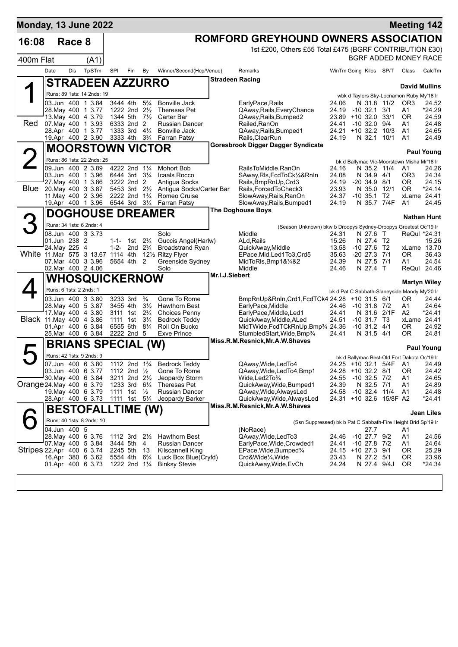| <b>Monday, 13 June 2022</b>       |               |        |                                                 |                                        |                                            |                                  |                                                      |                        |                                                                  |                              |                                 |                         | <b>Meeting 142</b>                               |                    |
|-----------------------------------|---------------|--------|-------------------------------------------------|----------------------------------------|--------------------------------------------|----------------------------------|------------------------------------------------------|------------------------|------------------------------------------------------------------|------------------------------|---------------------------------|-------------------------|--------------------------------------------------|--------------------|
| 16:08                             |               | Race 8 |                                                 |                                        |                                            |                                  |                                                      |                        | ROMFORD GREYHOUND OWNERS ASSOCIATION                             |                              |                                 |                         |                                                  |                    |
|                                   |               |        |                                                 |                                        |                                            |                                  |                                                      |                        | 1st £200, Others £55 Total £475 (BGRF CONTRIBUTION £30)          |                              |                                 |                         |                                                  |                    |
| 400m Flat                         |               |        | (A1)                                            |                                        |                                            |                                  |                                                      |                        |                                                                  |                              |                                 |                         | BGRF ADDED MONEY RACE                            |                    |
|                                   | Date          | Dis    | TpSTm                                           | SPI                                    | Fin                                        | By                               | Winner/Second(Hcp/Venue)                             |                        | Remarks                                                          | WinTm Going Kilos SP/T       |                                 |                         | Class                                            | CalcTm             |
|                                   |               |        | <b>STRADEEN AZZURRO</b>                         |                                        |                                            |                                  |                                                      | <b>Stradeen Racing</b> |                                                                  |                              |                                 |                         | <b>David Mullins</b>                             |                    |
|                                   |               |        | Runs: 89 1sts: 14 2nds: 19                      |                                        |                                            |                                  |                                                      |                        |                                                                  |                              |                                 |                         | wbk d Taylors Sky-Locnamon Ruby My'18 Ir         |                    |
|                                   |               |        | 03.Jun 400 1 3.84                               |                                        | 3444 4th                                   | $5\frac{3}{4}$                   | <b>Bonville Jack</b>                                 |                        | EarlyPace, Rails                                                 | 24.06                        |                                 | N 31.8 11/2             | OR3                                              | 24.52              |
|                                   |               |        | 28. May 400 1 3.77<br>13. May 400 4 3.79        |                                        | 1222 2nd 21/2<br>1344 5th 71/2             |                                  | Theresas Pet<br>Carter Bar                           |                        | QAway, Rails, Every Chance<br>QAway, Rails, Bumped2              | 24.19<br>$23.89 + 10.32.0$   | -10 32.1                        | 3/1<br>33/1             | A1<br>0R                                         | *24.29<br>24.59    |
| Red.                              |               |        | 07. May 400 1 3.93                              |                                        | 6333 2nd 2                                 |                                  | Russian Dancer                                       |                        | Railed, RanOn                                                    | 24.41                        | $-10$ 32.0 $9/4$                |                         | A1                                               | 24.48              |
|                                   |               |        | 28.Apr 400 1 3.77<br>19.Apr 400 2 3.90          | 3333 4th 3 <sup>3</sup> / <sub>4</sub> | 1333 3rd 41/4                              |                                  | <b>Bonville Jack</b><br>Farran Patsy                 |                        | QAway, Rails, Bumped1<br>Rails, ClearRun                         | 24.21 +10 32.2 10/3<br>24.19 | N 32.1 10/1                     |                         | A1<br>A1                                         | 24.65<br>24.49     |
|                                   |               |        | <b>MOORSTOWN VICTOR</b>                         |                                        |                                            |                                  |                                                      |                        | Goresbrook Digger Dagger Syndicate                               |                              |                                 |                         |                                                  |                    |
|                                   |               |        |                                                 |                                        |                                            |                                  |                                                      |                        |                                                                  |                              |                                 |                         |                                                  | <b>Paul Young</b>  |
| $\angle$                          |               |        | Runs: 86 1sts: 22 2nds: 25<br>09.Jun 400 2 3.89 |                                        | 4222 2nd 11/4                              |                                  | <b>Mohort Bob</b>                                    |                        | RailsToMiddle, RanOn                                             | 24.16                        | N 35.2 11/4                     |                         | bk d Ballymac Vic-Moorstown Misha Mr'18 Ir<br>A1 | 24.26              |
|                                   |               |        | 03.Jun 400 1 3.96                               |                                        | 6444 3rd 31/4                              |                                  | Icaals Rocco                                         |                        | SAway, RIs, FcdToCk1/4&RnIn                                      | 24.08                        | N 34.9 4/1                      |                         | OR3                                              | 24.34              |
| Blue                              |               |        | 27.May 400 1 3.86<br>20. May 400 3 3.87         |                                        | 3222 2nd 2<br>5453 3rd 21/ <sub>2</sub>    |                                  | Antigua Socks<br>Antiqua Socks/Carter Bar            |                        | Rails, BmpRnUp, Crd3<br>Rails, Forced To Check3                  | 24.19<br>23.93               | $-20, 34.9, 8/1$<br>N 35.0 12/1 |                         | 0R<br>0R                                         | 24.15<br>*24.14    |
|                                   |               |        | 11. May 400 2 3.96                              |                                        | 2222 2nd 1 <sup>3</sup> / <sub>4</sub>     |                                  | Romeo Cruise                                         |                        | SlowAway, Rails, RanOn                                           | 24.37                        | $-10, 35.1$                     | T2                      | xLame 24.41                                      |                    |
|                                   |               |        | 19.Apr 400 1 3.96                               |                                        | 6544 3rd 31/4                              |                                  | <b>Farran Patsy</b>                                  |                        | SlowAway, Rails, Bumped1<br><b>The Doghouse Boys</b>             | 24.19                        | N 35.7 7/4F                     |                         | A1                                               | 24.45              |
|                                   |               |        | <b>DOGHOUSE DREAMER</b>                         |                                        |                                            |                                  |                                                      |                        |                                                                  |                              |                                 |                         |                                                  | <b>Nathan Hunt</b> |
|                                   |               |        | Runs: 34 1sts: 6 2nds: 4                        |                                        |                                            |                                  |                                                      |                        | (Season Unknown) bkw b Droopys Sydney-Droopys Greatest Oc'19 Ir  |                              |                                 |                         |                                                  |                    |
|                                   | 01.Jun 238 2  |        | 08.Jun 400 3 3.73                               |                                        | 1-1- 1st $2\frac{3}{4}$                    |                                  | Solo<br>Guccis Angel(Harlw)                          |                        | Middle<br>ALd.Rails                                              | 24.31<br>15.26               | N 27.6 T<br>N 27.4 T2           |                         | ReQul *24.31                                     | 15.26              |
|                                   | 24. May 225 4 |        |                                                 | 1-2-                                   |                                            | 2nd $2\frac{3}{4}$               | <b>Broadstrand Ryan</b>                              |                        | QuickAway, Middle                                                | 13.58                        | $-10$ 27.6 T2                   |                         |                                                  | xLame 13.70        |
| White 11 Mar 575 3 13.67 1114 4th |               |        | 07 Mar 400 3 3.96                               |                                        | 5654 4th 2                                 |                                  | 121/ <sub>2</sub> Ritzy Flyer<br>Greenside Sydney    |                        | EPace, Mid, Led 1To 3, Crd5<br>MidToRIs, Bmp1&1/4&2              | 35.63<br>24.39               | $-20\,27.3$<br>N 27.5 7/1       | 7/1                     | 0R<br>A1                                         | 36.43<br>24.54     |
|                                   |               |        | 02.Mar 400 2 4.06                               |                                        |                                            |                                  | Solo                                                 |                        | Middle                                                           | 24.46                        | N 27.4 T                        |                         |                                                  | ReQul 24.46        |
|                                   |               |        | <b>WHOSQUICKERNOW</b>                           |                                        |                                            |                                  |                                                      | Mr.I.J.Siebert         |                                                                  |                              |                                 |                         | <b>Martyn Wiley</b>                              |                    |
|                                   |               |        | Runs: 6 1sts: 2 2nds: 1                         |                                        |                                            |                                  |                                                      |                        |                                                                  |                              |                                 |                         | bk d Pat C Sabbath-Slaneyside Mandy My'20 Ir     |                    |
|                                   |               |        | 03.Jun 400 3 3.80                               |                                        | 3233 3rd                                   | $\frac{3}{4}$                    | Gone To Rome                                         |                        | BmpRnUp&RnIn, Crd1, FcdTCk4 24.28 +10 31.5 6/1                   |                              |                                 |                         | 0R                                               | 24.44              |
|                                   |               |        | 28. May 400 5 3.87<br>17 May 400 4 3.80         |                                        | 3455 4th<br>3111 1st                       | $3\frac{1}{2}$<br>$2\frac{3}{4}$ | <b>Hawthorn Best</b><br><b>Choices Penny</b>         |                        | EarlyPace, Middle<br>EarlyPace, Middle, Led1                     | 24.46<br>24.41               | -10 31.8 7/2<br>N 31.6 2/1F     |                         | A1<br>A2                                         | 24.64<br>*24.41    |
| Black 11 May 400 4 3.86           |               |        |                                                 |                                        | 1111 1st                                   | $3\frac{1}{4}$                   | Bedrock Teddy                                        |                        | QuickAway,Middle,ALed                                            | 24.51                        | $-10$ 31.7 T3                   |                         | xLame 24.41                                      |                    |
|                                   |               |        | 01.Apr 400 6 3.84<br>25.Mar 400 6 3.84          |                                        | 6555 6th<br>2222 2nd 5                     | $8\frac{1}{4}$                   | Roll On Bucko<br><b>Exve Prince</b>                  |                        | MidTWide, FcdTCkRnUp, Bmp34 24.36<br>StumbledStart, Wide, Bmp3/4 | 24.41                        | $-10$ 31.2 $4/1$<br>N 31.5 4/1  |                         | ΟR<br>OR.                                        | 24.92<br>24.81     |
|                                   |               |        | <b>BRIANS SPECIAL (W)</b>                       |                                        |                                            |                                  |                                                      |                        | Miss.R.M.Resnick, Mr.A.W.Shaves                                  |                              |                                 |                         |                                                  |                    |
| Д                                 |               |        | Runs: 42 1sts: 9 2nds: 9                        |                                        |                                            |                                  |                                                      |                        |                                                                  |                              |                                 |                         |                                                  | <b>Paul Young</b>  |
|                                   |               |        | 07.Jun 400 6 3.80                               |                                        |                                            |                                  | 1112 2nd 1 <sup>3</sup> / <sub>4</sub> Bedrock Teddy |                        | QAway, Wide, Led To4                                             |                              |                                 | 24.25 +10.32.1 5/4F A1  | bk d Ballymac Best-Old Fort Dakota Oc'19 Ir      | 24.49              |
|                                   |               |        | 03.Jun 400 6 3.77                               |                                        | 1112 2nd $\frac{1}{2}$                     |                                  | Gone To Rome                                         |                        | QAway, Wide, Led To 4, Bmp1                                      | 24.28 +10 32.2 8/1           |                                 |                         | ΟR                                               | 24.42              |
| Orange 24 May 400 6 3.79          |               |        | 30. May 400 6 3.84                              |                                        | 3211 2nd 21/ <sub>2</sub><br>1233 3rd 61/4 |                                  | Jeopardy Storm<br>Theresas Pet                       |                        | Wide,Led2To¾<br>QuickAway, Wide, Bumped1                         | 24.55<br>24.39               | $-10$ 32.5 $7/2$<br>N 32.5 7/1  |                         | A1<br>A1                                         | 24.65<br>24.89     |
|                                   |               |        | 19 May 400 6 3.79                               |                                        | 1111 1st $\frac{1}{2}$                     |                                  | Russian Dancer                                       |                        | QAway, Wide, Always Led                                          | 24.58 -10 32.4 11/4          |                                 |                         | A1                                               | 24.48              |
|                                   |               |        | 28.Apr 400 6 3.73                               |                                        | 1111 1st 5 <sup>1</sup> / <sub>4</sub>     |                                  | Jeopardy Barker                                      |                        | QuickAway,Wide,AlwaysLed<br>Miss.R.M.Resnick, Mr.A.W.Shaves      |                              |                                 | 24.31 +10 32.6 15/8F A2 |                                                  | *24.41             |
|                                   |               |        | <b>BESTOFALLTIME (W)</b>                        |                                        |                                            |                                  |                                                      |                        |                                                                  |                              |                                 |                         |                                                  | Jean Liles         |
|                                   |               |        | Runs: 40 1sts: 8 2nds: 10                       |                                        |                                            |                                  |                                                      |                        | (Ssn Suppressed) bk b Pat C Sabbath-Fire Height Brid Sp'19 Ir    |                              |                                 |                         |                                                  |                    |
|                                   | 04.Jun 400 5  |        | 28. May 400 6 3.76                              |                                        | 1112 3rd $2\frac{1}{2}$                    |                                  | <b>Hawthorn Best</b>                                 |                        | (NoRace)<br>QAway, Wide, Led To 3                                | 24.46 -10 27.7 9/2           | 27.7                            |                         | A1<br>A1                                         | 24.56              |
|                                   |               |        | 07.May 400 5 3.84                               |                                        | 3444 5th                                   | -4                               | Russian Dancer                                       |                        | EarlyPace, Wide, Crowded1                                        | 24.41                        | $-10$ 27.8 $7/2$                |                         | A1                                               | 24.64              |
| Stripes 22.Apr 400 6 3.74         |               |        | 16.Apr 380 6 3.62                               |                                        | 2245 5th<br>5554 4th                       | -13<br>$6\frac{3}{4}$            | Kilscannell King<br>Luck Box Blue(Cryfd)             |                        | EPace, Wide, Bumped <sup>3</sup> /4<br>Crd&Wide¼,Wide            | 24.15 +10 27.3 9/1<br>23.43  | N 27.2 5/1                      |                         | ΟR<br>0R                                         | 25.29<br>23.96     |
|                                   |               |        | 01.Apr 400 6 3.73                               |                                        | 1222 2nd 11/4                              |                                  | <b>Binksy Stevie</b>                                 |                        | QuickAway, Wide, EvCh                                            | 24.24                        | N 27.4 9/4J                     |                         | 0R                                               | *24.34             |
|                                   |               |        |                                                 |                                        |                                            |                                  |                                                      |                        |                                                                  |                              |                                 |                         |                                                  |                    |
|                                   |               |        |                                                 |                                        |                                            |                                  |                                                      |                        |                                                                  |                              |                                 |                         |                                                  |                    |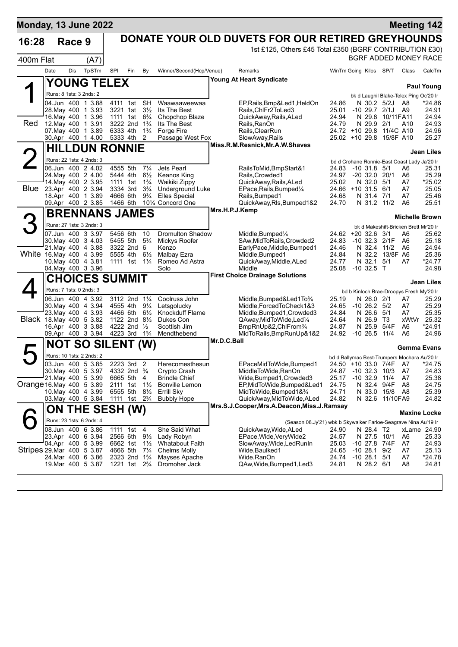| Monday, 13 June 2022      |                         |            |                                            |                          |                                        |                |                                               |                |                                                                                          |                |                                            |                  |                         | <b>Meeting 142</b>                           |                   |
|---------------------------|-------------------------|------------|--------------------------------------------|--------------------------|----------------------------------------|----------------|-----------------------------------------------|----------------|------------------------------------------------------------------------------------------|----------------|--------------------------------------------|------------------|-------------------------|----------------------------------------------|-------------------|
| 16:28                     |                         | Race 9     |                                            |                          |                                        |                |                                               |                | DONATE YOUR OLD DUVETS FOR OUR RETIRED GREYHOUNDS                                        |                |                                            |                  |                         |                                              |                   |
|                           |                         |            |                                            |                          |                                        |                |                                               |                | 1st £125, Others £45 Total £350 (BGRF CONTRIBUTION £30)                                  |                |                                            |                  |                         |                                              |                   |
| 400m Flat                 |                         |            | (A7)                                       |                          |                                        |                |                                               |                |                                                                                          |                |                                            |                  |                         | BGRF ADDED MONEY RACE                        |                   |
|                           | Date                    | <b>Dis</b> | TpSTm                                      | SPI                      | Fin<br>By                              |                | Winner/Second(Hcp/Venue)                      |                | <b>Remarks</b>                                                                           |                | WinTm Going Kilos SP/T                     |                  |                         | Class                                        | CalcTm            |
|                           |                         |            |                                            | <b>YOUNG TELEX</b>       |                                        |                |                                               |                | <b>Young At Heart Syndicate</b>                                                          |                |                                            |                  |                         |                                              |                   |
|                           |                         |            |                                            |                          |                                        |                |                                               |                |                                                                                          |                |                                            |                  |                         |                                              | <b>Paul Young</b> |
|                           | Runs: 8 1sts: 3 2nds: 2 |            |                                            |                          |                                        |                |                                               |                |                                                                                          |                |                                            |                  |                         | bk d Laughil Blake-Telex Ping Oc'20 Ir       |                   |
|                           | 04.Jun 400              |            | 3.88<br>$\mathbf{1}$<br>28. May 400 1 3.93 | 4111<br>3221 1st         | <b>SH</b><br>1st<br>$3\frac{1}{2}$     |                | Waawaaweewaa<br>Its The Best                  |                | EP, Rails, Bmp&Led1, HeldOn<br>Rails, ChlFr2ToLed3                                       | 24.86<br>25.01 | $-10$ 29.7 $2/1$                           |                  | N 30.2 5/2J             | A8<br>A <sub>9</sub>                         | $*24.86$<br>24.91 |
|                           |                         |            | 16. May 400 1 3.96                         | 1111 1st                 | $6\frac{3}{4}$                         |                | Chopchop Blaze                                |                | QuickAway, Rails, ALed                                                                   | 24.94          | N 29.8                                     |                  | 10/11FA11               |                                              | 24.94             |
| Red                       |                         |            | 12. May 400 1 3.91                         |                          | 3222 2nd 1 <sup>3</sup> / <sub>4</sub> |                | Its The Best                                  |                | Rails, RanOn                                                                             | 24.79          |                                            | N 29.9 2/1       |                         | A10                                          | 24.93             |
|                           |                         |            | 07 May 400 1 3.89<br>30.Apr 400 1 4.00     | 6333 4th<br>5333 4th     | $1\frac{3}{4}$<br>2                    |                | Forge Fire<br>Passage West Fox                |                | Rails, ClearRun<br>SlowAway, Rails                                                       |                | 24.72 +10 29.8<br>25.02 +10 29.8 15/8F A10 |                  | 11/4C A10               |                                              | 24.96<br>25.27    |
|                           |                         |            |                                            |                          |                                        |                |                                               |                | Miss.R.M.Resnick, Mr.A.W.Shaves                                                          |                |                                            |                  |                         |                                              |                   |
|                           |                         |            |                                            | <b>HILLDUN RONNIE</b>    |                                        |                |                                               |                |                                                                                          |                |                                            |                  |                         |                                              | <b>Jean Liles</b> |
|                           |                         |            | Runs: 22 1sts: 4 2nds: 3                   |                          |                                        |                |                                               |                |                                                                                          |                |                                            |                  |                         | bd d Crohane Ronnie-East Coast Lady Ja'20 Ir |                   |
|                           |                         |            | 06.Jun 400 2 4.02                          | 4555 5th                 | $7\frac{1}{4}$                         |                | Jets Pearl                                    |                | RailsToMid,BmpStart&1                                                                    | 24.83          | $-10$ 31.8 $5/1$                           |                  |                         | A6                                           | 25.31             |
|                           |                         |            | 24. May 400 2 4.00<br>14. May 400 2 3.95   | 5444 4th<br>1111 1st     | $1\frac{3}{4}$                         | $6\frac{1}{2}$ | Keanos King<br>Waikiki Zippy                  |                | Rails, Crowded1<br>QuickAway, Rails, ALed                                                | 24.97<br>25.02 | $-20$ 32.0 20/1                            | N 32.0 5/1       |                         | A6<br>A7                                     | 25.29<br>*25.02   |
|                           |                         |            | Blue 23.Apr 400 2 3.94                     | 3334 3rd                 | $3\frac{3}{4}$                         |                | <b>Underground Luke</b>                       |                | EPace, Rails, Bumped <sup>1/4</sup>                                                      |                | 24.66 +10 31.5 6/1                         |                  |                         | A7                                           | 25.05             |
|                           |                         |            | 18.Apr 400 1 3.89                          | 4666 6th                 | $9\frac{3}{4}$                         |                | Elles Special                                 |                | Rails.Bumped1                                                                            | 24.68          |                                            | N 31.4 7/1       |                         | A7                                           | 25.46             |
|                           |                         |            | 09.Apr 400 2 3.85                          | 1466 6th                 |                                        |                | 101/4 Concord One                             | Mrs.H.P.J.Kemp | QuickAway, RIs, Bumped 1&2                                                               | 24.70          |                                            |                  | N 31.2 11/2             | A6                                           | 25.51             |
|                           |                         |            |                                            | <b>BRENNANS JAMES</b>    |                                        |                |                                               |                |                                                                                          |                |                                            |                  |                         | <b>Michelle Brown</b>                        |                   |
|                           |                         |            | Runs: 27 1sts: 3 2nds: 3                   |                          |                                        |                |                                               |                |                                                                                          |                |                                            |                  |                         | bk d Makeshift-Bricken Brett Mr'20 Ir        |                   |
|                           |                         |            | 07.Jun 400 3 3.97                          | 5456 6th                 | 10                                     |                | <b>Dromulton Shadow</b>                       |                | Middle, Bumped <sup>1</sup> / <sub>4</sub>                                               |                | 24.62 +20 32.6 3/1                         |                  |                         | A6                                           | 25.62             |
|                           |                         |            | 30. May 400 3 4.03                         | 5455 5th                 | $5\frac{3}{4}$                         |                | Mickys Roofer                                 |                | SAw, MidToRails, Crowded2                                                                | 24.83          | $-10$ 32.3 $2/1F$                          |                  |                         | A6                                           | 25.18             |
| White 16 May 400 4 3.99   |                         |            | 21. May 400 4 3.88                         | 5555 4th                 | 3322 2nd 6<br>$6\frac{1}{2}$           |                | Kenzo<br>Malbay Ezra                          |                | EarlyPace, Middle, Bumped1<br>Middle, Bumped1                                            | 24.46<br>24.84 |                                            | N 32.4           | 11/2<br>N 32.2 13/8F A6 | A6                                           | 24.94<br>25.36    |
|                           |                         |            | 10. May 400 4 3.81                         |                          | 1111 1st 11/ <sub>4</sub>              |                | Romeo Ad Astra                                |                | QuickAway,Middle,ALed                                                                    | 24.77          |                                            | N 32.1           | 5/1                     | A7                                           | *24.77            |
|                           |                         |            | 04. May 400 3 3.96                         |                          |                                        |                | Solo                                          |                | Middle                                                                                   | 25.08          | $-10$ 32.5 T                               |                  |                         |                                              | 24.98             |
|                           |                         |            |                                            | <b>CHOICES SUMMIT</b>    |                                        |                |                                               |                | <b>First Choice Drainage Solutions</b>                                                   |                |                                            |                  |                         |                                              | <b>Jean Liles</b> |
|                           | Runs: 7 1sts: 0 2nds: 3 |            |                                            |                          |                                        |                |                                               |                |                                                                                          |                |                                            |                  |                         | bd b Kinloch Brae-Droopys Fresh My'20 Ir     |                   |
|                           |                         |            | 06.Jun 400 4 3.92                          |                          | 3112 2nd 11/4                          |                | Coolruss John                                 |                | Middle,Bumped&Led1To¾                                                                    | 25.19          |                                            | N 26.0 2/1       |                         | A7                                           | 25.29             |
|                           |                         |            | 30 May 400 4 3.94                          | 4555 4th                 | $9\frac{1}{4}$                         |                | Letsgolucky                                   |                | Middle, Forced To Check 1&3                                                              | 24.65          | $-10$ 26.2 $5/2$                           |                  |                         | A7                                           | 25.29             |
| Black 18. May 400 5 3.82  |                         |            | 23. May 400 4 3.93                         | 4466 6th                 | 1122 2nd 81/2                          | $6\frac{1}{2}$ | Knockduff Flame<br>Dukes Con                  |                | Middle, Bumped1, Crowded3<br>QAway, MidToWide, Led <sup>1/4</sup>                        | 24.84<br>24.64 |                                            | N 26.6<br>N 26.9 | 5/1<br>- ТЗ             | A7<br>xWtVr                                  | 25.35<br>25.32    |
|                           |                         |            | 16.Apr 400 3 3.88                          | 4222 2nd                 | $\frac{1}{2}$                          |                | Scottish Jim                                  |                | BmpRnUp&2,ChlFrom%                                                                       | 24.87          |                                            | N 25.9           | 5/4F                    | A6                                           | *24.91            |
|                           |                         |            | 09.Apr 400 3 3.94                          |                          | 4223 3rd 1 <sup>3</sup> / <sub>4</sub> |                | Mendthebend                                   |                | MidToRails, BmpRunUp&1&2                                                                 | 24.92          | $-10, 26.5$                                |                  | 11/4                    | A6                                           | 24.96             |
|                           |                         |            |                                            | <b>NOT SO SILENT (W)</b> |                                        |                |                                               | Mr.D.C.Ball    |                                                                                          |                |                                            |                  |                         | <b>Gemma Evans</b>                           |                   |
|                           |                         |            | Runs: 10 1sts: 2 2nds: 2                   |                          |                                        |                |                                               |                |                                                                                          |                |                                            |                  |                         | bd d Ballymac Best-Trumpers Mochara Au'20 Ir |                   |
|                           |                         |            | 03.Jun 400 5 3.85                          | 2223 3rd                 | 2                                      |                | Herecomesthesun                               |                | EPaceMidToWide, Bumped1                                                                  | 24.50          | +10 33.0                                   |                  | 7/4F                    | A7                                           | *24.75            |
|                           |                         |            | 30 May 400 5 3.97                          |                          | 4332 2nd <sup>3</sup> / <sub>4</sub>   |                | Crypto Crash                                  |                | MiddleToWide,RanOn                                                                       | 24.87          | $-10.32.3$                                 |                  | 10/3                    | A7                                           | 24.83             |
| Orange 16 May 400 5 3.89  |                         |            | 21. May 400 5 3.99                         |                          | 6665 5th 4<br>$1\frac{1}{2}$           |                | <b>Brindle Chief</b><br><b>Bonville Lemon</b> |                | Wide, Bumped 1, Crowded 3                                                                | 25.17          | $-10.32.9$                                 |                  | 11/4<br>9/4F            | A7<br>A8                                     | 25.38<br>24.75    |
|                           |                         |            | 10. May 400 4 3.99                         | 2111 1st<br>6555 5th     | $8\frac{1}{2}$                         |                | Errill Sky                                    |                | EP,MidToWide,Bumped&Led1<br>MidToWide, Bumped 1& 3/4                                     | 24.75<br>24.71 |                                            | N 32.4<br>N 33.0 | 15/8                    | A8                                           | 25.39             |
|                           |                         |            | 03. May 400 5 3.84                         | 1111                     | 1st $2\frac{3}{4}$                     |                | <b>Bubbly Hope</b>                            |                | QuickAway, MidToWide, ALed                                                               | 24.82          |                                            | N 32.6           | 11/10FA9                |                                              | 24.82             |
|                           |                         |            |                                            | ON THE SESH (W)          |                                        |                |                                               |                | Mrs.S.J.Cooper, Mrs.A.Deacon, Miss.J.Ramsay                                              |                |                                            |                  |                         |                                              |                   |
|                           |                         |            | Runs: 23 1sts: 6 2nds: 4                   |                          |                                        |                |                                               |                |                                                                                          |                |                                            |                  |                         | <b>Maxine Locke</b>                          |                   |
|                           |                         |            | 08.Jun 400 6 3.86                          | 1111 1st                 | 4                                      |                | She Said What                                 |                | (Season 08.Jy'21) wbk b Skywalker Farloe-Seagrave Nina Au'19 Ir<br>QuickAway, Wide, ALed | 24.90          |                                            | N 28.4 T2        |                         | xLame 24.90                                  |                   |
|                           |                         |            | 23.Apr 400 6 3.94                          | 2566 6th                 | $9\frac{1}{2}$                         |                | Lady Robyn                                    |                | EPace, Wide, Very Wide2                                                                  | 24.57          |                                            |                  | N 27.5 10/1             | A6                                           | 25.33             |
|                           |                         |            | 04.Apr 400 5 3.99                          | 6662 1st                 | $1\frac{1}{2}$                         |                | <b>Whatabout Faith</b>                        |                | SlowAway,Wide,LedRunIn                                                                   | 25.03          | -10 27.8 7/4F                              |                  |                         | A7                                           | 24.93             |
| Stripes 29 Mar 400 5 3.87 |                         |            |                                            | 4666 5th                 | $7\frac{1}{4}$<br>2323 2nd 1%          |                | <b>Chelms Molly</b><br>Mayses Apache          |                | Wide,Baulked1                                                                            | 24.65<br>24.74 | $-1028.1$<br>$-10$ 28.1 $5/1$              |                  | 9/2                     | A7<br>A7                                     | 25.13<br>*24.78   |
|                           |                         |            | 24.Mar 400 6 3.86<br>19. Mar 400 5 3.87    |                          | 1221 1st 2 <sup>3</sup> / <sub>4</sub> |                | Dromoher Jack                                 |                | Wide,RanOn<br>QAw,Wide,Bumped1,Led3                                                      | 24.81          |                                            | N 28.2 6/1       |                         | A8                                           | 24.81             |
|                           |                         |            |                                            |                          |                                        |                |                                               |                |                                                                                          |                |                                            |                  |                         |                                              |                   |
|                           |                         |            |                                            |                          |                                        |                |                                               |                |                                                                                          |                |                                            |                  |                         |                                              |                   |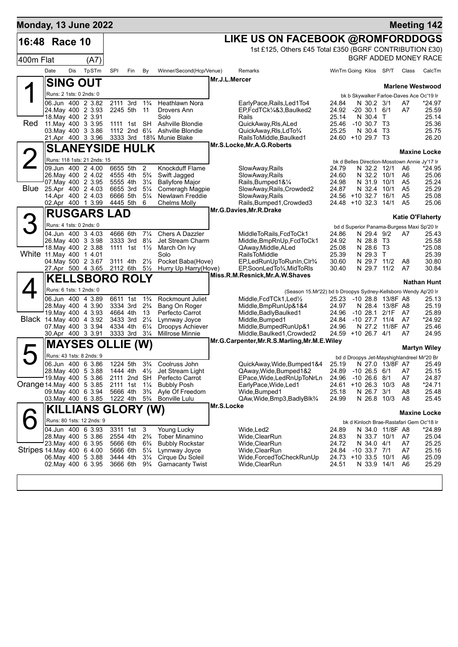| Monday, 13 June 2022      |                         |     |                                                  |                                        |                         |                                  |                                                                         |                                                                |                             |                                |                             |                      | <b>Meeting 142</b>                                                |
|---------------------------|-------------------------|-----|--------------------------------------------------|----------------------------------------|-------------------------|----------------------------------|-------------------------------------------------------------------------|----------------------------------------------------------------|-----------------------------|--------------------------------|-----------------------------|----------------------|-------------------------------------------------------------------|
| 16:48 Race 10             |                         |     |                                                  |                                        |                         |                                  |                                                                         | LIKE US ON FACEBOOK @ROMFORDDOGS                               |                             |                                |                             |                      |                                                                   |
|                           |                         |     |                                                  |                                        |                         |                                  |                                                                         | 1st £125, Others £45 Total £350 (BGRF CONTRIBUTION £30)        |                             |                                |                             |                      |                                                                   |
| 400m Flat                 |                         |     | (A7)                                             |                                        |                         |                                  |                                                                         |                                                                |                             |                                |                             |                      | BGRF ADDED MONEY RACE                                             |
|                           | Date                    | Dis | TpSTm                                            | SPI                                    | Fin                     | By                               | Winner/Second(Hcp/Venue)                                                | Remarks                                                        | WinTm Going Kilos SP/T      |                                |                             | Class                | CalcTm                                                            |
|                           |                         |     | <b>SING OUT</b>                                  |                                        |                         |                                  |                                                                         | Mr.J.L.Mercer                                                  |                             |                                |                             |                      | <b>Marlene Westwood</b>                                           |
|                           | Runs: 2 1sts: 0 2nds: 0 |     |                                                  |                                        |                         |                                  |                                                                         |                                                                |                             |                                |                             |                      | bk b Skywalker Farloe-Daves Ace Oc'19 Ir                          |
|                           |                         |     | 06.Jun 400 2 3.82                                | 2111 3rd 1 <sup>3</sup> / <sub>4</sub> |                         |                                  | Heathlawn Nora                                                          | EarlyPace, Rails, Led1To4                                      | 24.84                       | N 30.2 3/1                     |                             | A7                   | *24.97                                                            |
|                           |                         |     | 24. May 400 2 3.93<br>18. May 400 2 3.91         | 2245 5th                               |                         | 11                               | Drovers Ann<br>Solo                                                     | EP,FcdTCk1/4&3,Baulked2<br>Rails                               | 24.92<br>25.14              | $-20$ 30.1 6/1<br>N 30.4 T     |                             | A7                   | 25.59<br>25.14                                                    |
| Red                       |                         |     | 11. May 400 3 3.95                               |                                        | 1111 1st SH             |                                  | Ashville Blondie                                                        | QuickAway, RIs, ALed                                           | 25.46                       | $-10,30.7$ T3                  |                             |                      | 25.36                                                             |
|                           |                         |     | 03. May 400 3 3.86<br>21.Apr 400 3 3.96          |                                        | 1112 2nd $6\frac{1}{4}$ |                                  | Ashville Blondie<br>3333 3rd 18 <sup>3</sup> / <sub>4</sub> Munie Blake | QuickAway,RIs,LdTo¾<br>RailsToMiddle, Baulked1                 | 25.25<br>24.60 +10 29.7 T3  | N 30.4 T3                      |                             |                      | 25.75<br>26.20                                                    |
|                           |                         |     | <b>SLANEYSIDE HULK</b>                           |                                        |                         |                                  |                                                                         | Mr.S.Locke, Mr.A.G.Roberts                                     |                             |                                |                             |                      |                                                                   |
| $\overline{2}$            |                         |     |                                                  |                                        |                         |                                  |                                                                         |                                                                |                             |                                |                             |                      | <b>Maxine Locke</b>                                               |
|                           |                         |     | Runs: 118 1sts: 21 2nds: 15<br>09.Jun 400 2 4.00 | 6655 5th                               |                         | 2                                | Knockduff Flame                                                         | SlowAway,Rails                                                 | 24.79                       | N 32.2 12/1                    |                             | A6                   | bk d Belles Direction-Mosstown Annie Jy'17 Ir<br>*24.95           |
|                           |                         |     | 26. May 400 2 4.02                               | 4555 4th                               |                         | $5\frac{3}{4}$                   | Swift Jagged                                                            | SlowAway, Rails                                                | 24.60                       | N 32.2 10/1                    |                             | A6                   | 25.06                                                             |
| <b>Blue</b>               |                         |     | 07. May 400 2 3.95<br>25.Apr 400 2 4.03          | 5555 4th<br>6655 3rd                   |                         | $3\frac{1}{4}$<br>$5\frac{1}{4}$ | <b>Ballyfore Major</b><br>Comeragh Magpie                               | Rails, Bumped 1& 1/4<br>SlowAway, Rails, Crowded2              | 24.98<br>24.87              | N 31.9<br>N 32.4               | 10/1<br>10/1                | A5<br>A <sub>5</sub> | 25.24<br>25.29                                                    |
|                           |                         |     | 14.Apr 400 2 4.03                                | 6666 5th                               |                         | $5\frac{1}{4}$                   | Newlawn Freddie                                                         | SlowAway, Rails                                                | 24.56 +10 32.7              |                                | 16/1                        | A <sub>5</sub>       | 25.08                                                             |
|                           |                         |     | 02.Apr 400 1 3.99                                | 4445 5th                               |                         | 6                                | <b>Chelms Molly</b>                                                     | Rails, Bumped1, Crowded3<br>Mr.G.Davies, Mr.R.Drake            | 24.48 +10 32.3 14/1         |                                |                             | A <sub>5</sub>       | 25.06                                                             |
|                           |                         |     | <b>RUSGARS LAD</b>                               |                                        |                         |                                  |                                                                         |                                                                |                             |                                |                             |                      | <b>Katie O'Flaherty</b>                                           |
|                           | Runs: 4 1sts: 0 2nds: 0 |     |                                                  |                                        |                         |                                  |                                                                         |                                                                |                             |                                |                             |                      | bd d Superior Panama-Burgess Maxi Sp'20 Ir                        |
|                           |                         |     | 04.Jun 400 3 4.03<br>26. May 400 3 3.98          | 4666 6th<br>3333 3rd                   |                         | $7\frac{1}{4}$<br>$8\frac{1}{4}$ | Chers A Dazzler<br>Jet Stream Charm                                     | MiddleToRails, FcdToCk1<br>Middle,BmpRnUp,FcdToCk1             | 24.86<br>24.92              | N 29.4<br>N 28.8 T3            | 9/2                         | A7                   | 25.43<br>25.58                                                    |
|                           |                         |     | 18. May 400 2 3.88                               |                                        | 1111 1st $1\frac{1}{2}$ |                                  | March On Ivy                                                            | QAway,Middle,ALed                                              | 25.08                       | N 28.6 T3                      |                             |                      | *25.08                                                            |
| White 11 May 400 1 4.01   |                         |     | 04. May 500 2 3.67                               | 3111 4th                               |                         | $2\frac{1}{2}$                   | Solo<br>Pocket Baba(Hove)                                               | <b>RailsToMiddle</b><br>EP,LedRunUpToRunIn,Clr34               | 25.39<br>30.60              | N 29.3<br>N 29.7 11/2          | $\top$                      | A8                   | 25.39<br>30.80                                                    |
|                           |                         |     | 27.Apr 500 4 3.65                                | 2112 6th 51/2                          |                         |                                  | Hurry Up Harry (Hove)                                                   | EP,SoonLedTo3⁄4,MidToRIs                                       | 30.40                       | N 29.7 11/2                    |                             | A7                   | 30.84                                                             |
|                           |                         |     | <b>KELLSBORO ROLY</b>                            |                                        |                         |                                  |                                                                         | Miss.R.M.Resnick, Mr.A.W.Shaves                                |                             |                                |                             |                      | <b>Nathan Hunt</b>                                                |
|                           | Runs: 6 1sts: 1 2nds: 0 |     |                                                  |                                        |                         |                                  |                                                                         | (Season 15.Mr'22) bd b Droopys Sydney-Kellsboro Wendy Ap'20 Ir |                             |                                |                             |                      |                                                                   |
|                           |                         |     | 06.Jun 400 4 3.89                                | 6611 1st                               |                         | $1\frac{3}{4}$                   | Rockmount Juliet                                                        | Middle, FcdTCk1, Led1/2                                        | 25.23                       |                                | -10 28.8 13/8F A8           |                      | 25.13                                                             |
|                           |                         |     | 28. May 400 4 3.90<br>19. May 400 4 3.93         | 3334 3rd<br>4664 4th                   |                         | $2\frac{3}{4}$<br>13             | Bang On Roger<br>Perfecto Carrot                                        | Middle, BmpRunUp&1&4<br>Middle, Badly Baulked 1                | 24.97<br>24.96              | N 28.4                         | 13/8F A8<br>$-10$ 28.1 2/1F | - A7                 | 25.19<br>25.89                                                    |
| Black 14. May 400 4 3.92  |                         |     |                                                  | 3433 3rd                               |                         | $2\frac{1}{4}$                   | Lynnway Joyce                                                           | Middle, Bumped1                                                | 24.84                       | $-10$ 27.7 $11/4$              |                             | A7                   | *24.92                                                            |
|                           |                         |     | 07. May 400 3 3.94<br>30.Apr 400 3 3.91          | 4334 4th<br>3333 3rd                   |                         | $6\frac{1}{4}$<br>$3\frac{1}{4}$ | Droopys Achiever<br>Millrose Minnie                                     | Middle, Bumped Run Up&1<br>Middle, Baulked1, Crowded2          | 24.96<br>24.59 +10 26.7 4/1 |                                | N 27.2 11/8F A7             | A7                   | 25.46<br>24.95                                                    |
|                           |                         |     | <b>MAYSES OLLIE (W)</b>                          |                                        |                         |                                  |                                                                         | Mr.G.Carpenter, Mr.R.S.Marling, Mr.M.E.Wiley                   |                             |                                |                             |                      |                                                                   |
|                           |                         |     | Runs: 43 1sts: 8 2nds: 9                         |                                        |                         |                                  |                                                                         |                                                                |                             |                                |                             |                      | <b>Martyn Wiley</b><br>bd d Droopys Jet-Mayshighlandreel Mr'20 Br |
|                           |                         |     | 06.Jun 400 6 3.86                                | 1224 5th                               |                         | $3\frac{3}{4}$                   | Coolruss John                                                           | QuickAway.Wide.Bumped1&4                                       | 25.19                       |                                | N 27.0 13/8F A7             |                      | 25.49                                                             |
|                           |                         |     | 28. May 400 5 3.88<br>19. May 400 5 3.86         | 1444 4th<br>2111 2nd SH                |                         | $4\frac{1}{2}$                   | Jet Stream Light<br>Perfecto Carrot                                     | QAway, Wide, Bumped1&2<br>EPace, Wide, LedRnUpToNrLn           | 24.89<br>24.96              | $-10$ 26.5 6/1<br>-10 26.6 8/1 |                             | A7<br>A7             | 25.15<br>24.87                                                    |
| Orange 14 May 400 5 3.85  |                         |     |                                                  | 2111 1st                               |                         | $1\frac{1}{4}$                   | <b>Bubbly Posh</b>                                                      | EarlyPace, Wide, Led1                                          | 24.61 +10 26.3 10/3         |                                |                             | A <sub>8</sub>       | $*24.71$                                                          |
|                           |                         |     | 09. May 400 6 3.94<br>03. May 400 6 3.85         | 5666 4th<br>1222 4th                   |                         | $3\frac{3}{4}$<br>$5\frac{3}{4}$ | Ayle Of Freedom<br><b>Bonville Lulu</b>                                 | Wide, Bumped1<br>QAw, Wide, Bmp3, Badly Blk <sup>3</sup> /4    | 25.18<br>24.99              | N 26.7 3/1<br>N 26.8 10/3      |                             | A <sub>8</sub><br>A8 | 25.48<br>25.45                                                    |
|                           |                         |     |                                                  |                                        |                         |                                  |                                                                         | Mr.S.Locke                                                     |                             |                                |                             |                      |                                                                   |
|                           |                         |     | <b>KILLIANS GLORY (W)</b>                        |                                        |                         |                                  |                                                                         |                                                                |                             |                                |                             |                      | <b>Maxine Locke</b>                                               |
|                           |                         |     | Runs: 80 1sts: 12 2nds: 9<br>04.Jun 400 6 3.93   | 3311 1st                               |                         | 3                                | <b>Young Lucky</b>                                                      | Wide,Led2                                                      | 24.89                       |                                | N 34.0 11/8F A8             |                      | bk d Kinloch Brae-Rastafari Gem Oc'18 Ir<br>*24.89                |
|                           |                         |     | 28. May 400 5 3.86                               | 2554 4th                               |                         | $2\frac{3}{4}$                   | <b>Tober Minamino</b>                                                   | Wide,ClearRun                                                  | 24.83                       | N 33.7 10/1                    |                             | A7                   | 25.04                                                             |
| Stripes 14 May 400 6 4.00 |                         |     | 23. May 400 6 3.95                               | 5666 6th<br>5666 6th                   |                         | $6\frac{3}{4}$<br>$5\frac{1}{4}$ | <b>Bubbly Rockstar</b><br>Lynnway Joyce                                 | Wide,ClearRun<br>Wide,ClearRun                                 | 24.72<br>24.84              | N 34.0 4/1<br>$-10$ 33.7 $7/1$ |                             | A7<br>A7             | 25.25<br>25.16                                                    |
|                           |                         |     | 06. May 400 5 3.88                               | 3444 4th                               |                         | $3\frac{1}{4}$                   | Cirque Du Soleil                                                        | Wide,ForcedToCheckRunUp                                        | 24.73 +10 33.5 10/1         |                                |                             | A6                   | 25.09                                                             |
|                           |                         |     | 02. May 400 6 3.95                               | 3666 6th                               |                         | $9\frac{3}{4}$                   | <b>Garnacanty Twist</b>                                                 | Wide,ClearRun                                                  | 24.51                       | N 33.9 14/1                    |                             | A6                   | 25.29                                                             |
|                           |                         |     |                                                  |                                        |                         |                                  |                                                                         |                                                                |                             |                                |                             |                      |                                                                   |
|                           |                         |     |                                                  |                                        |                         |                                  |                                                                         |                                                                |                             |                                |                             |                      |                                                                   |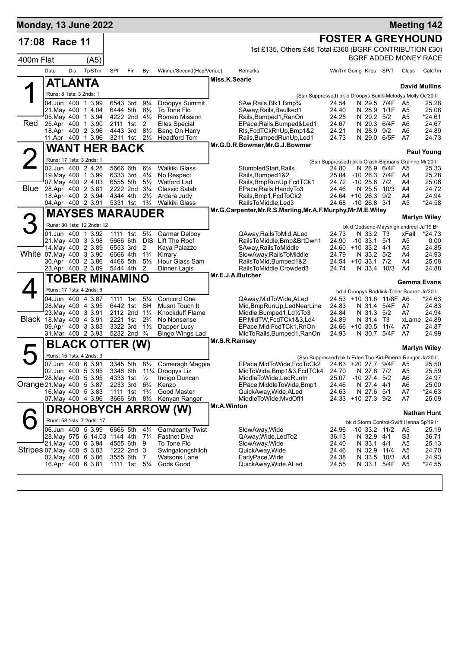| Monday, 13 June 2022      |                                               |     |                                   |                                                    |                                        |                     |                                                 |               |                                                                                                                  |                                                               |                              |                         |                                            | <b>Meeting 142</b>           |
|---------------------------|-----------------------------------------------|-----|-----------------------------------|----------------------------------------------------|----------------------------------------|---------------------|-------------------------------------------------|---------------|------------------------------------------------------------------------------------------------------------------|---------------------------------------------------------------|------------------------------|-------------------------|--------------------------------------------|------------------------------|
| 17:08                     | Race 11                                       |     |                                   |                                                    |                                        |                     |                                                 |               |                                                                                                                  | <b>FOSTER A GREYHOUND</b>                                     |                              |                         |                                            |                              |
|                           |                                               |     |                                   |                                                    |                                        |                     |                                                 |               | 1st £135, Others £45 Total £360 (BGRF CONTRIBUTION £30)                                                          |                                                               |                              |                         |                                            |                              |
| 400m Flat                 |                                               |     | (A5)                              |                                                    |                                        |                     |                                                 |               |                                                                                                                  |                                                               |                              |                         |                                            | <b>BGRF ADDED MONEY RACE</b> |
|                           | Date                                          | Dis | TpSTm                             | SPI                                                | Fin                                    | By                  | Winner/Second(Hcp/Venue)                        |               | Remarks                                                                                                          | WinTm Going Kilos SP/T                                        |                              |                         | Class                                      | CalcTm                       |
|                           | <b>ATLANTA</b>                                |     |                                   |                                                    |                                        |                     |                                                 | Miss.K.Searle |                                                                                                                  |                                                               |                              |                         |                                            |                              |
|                           | Runs: 8 1sts: 3 2nds: 1                       |     |                                   |                                                    |                                        |                     |                                                 |               |                                                                                                                  |                                                               |                              |                         |                                            | <b>David Mullins</b>         |
|                           | 04.Jun 400 1 3.99                             |     |                                   | 6543 3rd                                           |                                        | $9\frac{1}{4}$      | Droopys Summit                                  |               | (Ssn Suppressed) bk b Droopys Buick-Melodys Molly Oc'20 Ir<br>SAw, Rails, Blk1, Bmp3/4                           | 24.54                                                         | N 29.5 7/4F                  |                         | A5                                         | 25.28                        |
|                           | 21. May 400 1 4.04                            |     |                                   |                                                    | 6444 5th 81/2                          |                     | To Tone Flo                                     |               | SAway, Rails, Baulked1                                                                                           | 24.40                                                         | N 28.9                       | 1/1F                    | A5                                         | 25.08                        |
|                           | 05. May 400 1 3.94                            |     |                                   | 4222 2nd 41/2                                      |                                        |                     | Romeo Mission                                   |               | Rails, Bumped1, RanOn                                                                                            | 24.25                                                         | N 29.2 5/2                   |                         | A5                                         | *24.61                       |
| Red                       | 25.Apr 400 1 3.90                             |     |                                   |                                                    | 2111 1st 2                             |                     | <b>Elles Special</b>                            |               | EPace, Rails, Bumped&Led1                                                                                        | 24.67                                                         | N 29.3 6/4F                  |                         | A6                                         | 24.67                        |
|                           | 18.Apr 400 2 3.96<br>11.Apr 400 1 3.96        |     |                                   | 4443 3rd 81/2<br>3211 1st 21/2                     |                                        |                     | Bang On Harry<br><b>Headford Tom</b>            |               | RIs, FcdTCkRnUp, Bmp1&2<br>Rails, Bumped Run Up, Led 1                                                           | 24.21<br>24.73                                                | N 28.9 9/2                   | N 29.0 6/5F             | A6<br>A7                                   | 24.89<br>24.73               |
|                           |                                               |     |                                   |                                                    |                                        |                     |                                                 |               | Mr.G.D.R.Bowmer, Mr.G.J.Bowmer                                                                                   |                                                               |                              |                         |                                            |                              |
|                           |                                               |     | <b>WANT HER BACK</b>              |                                                    |                                        |                     |                                                 |               |                                                                                                                  |                                                               |                              |                         |                                            | <b>Paul Young</b>            |
|                           | Runs: 17 1sts: 3 2nds: 1<br>02.Jun 400 2 4.28 |     |                                   | 5666 6th                                           |                                        | $6\frac{3}{4}$      | Waikiki Glass                                   |               | StumbledStart, Rails                                                                                             | (Ssn Suppressed) bk b Crash-Bigmans Grainne Mr'20 Ir<br>24.80 |                              |                         |                                            |                              |
|                           | 19. May 400 1 3.99                            |     |                                   | 6333 3rd                                           |                                        | $4\frac{1}{4}$      | No Respect                                      |               | Rails, Bumped 1&2                                                                                                | 25.04                                                         | N 26.9 6/4F<br>-10 26.3 7/4F |                         | A5<br>A4                                   | 25.33<br>25.28               |
|                           | 07. May 400 2 4.03                            |     |                                   | 6555 5th                                           |                                        | $5\frac{1}{2}$      | <b>Watford Lad</b>                              |               | Rails, BmpRunUp, FcdTCk1                                                                                         | 24.72                                                         | $-10$ 25.6 $7/2$             |                         | A4                                         | 25.06                        |
| Blue                      | 28.Apr 400 2 3.81                             |     |                                   |                                                    | 2222 2nd 31/4                          |                     | Classic Salah                                   |               | EPace, Rails, Handy To 3                                                                                         | 24.46                                                         | N 25.5                       | 10/3                    | A4                                         | 24.72                        |
|                           | 18.Apr 400 2 3.94                             |     |                                   | 4344 4th                                           |                                        | $2\frac{1}{2}$      | Ardera Judy                                     |               | Rails, Bmp1, FcdToCk2                                                                                            | 24.64 +10 26.3 9/2                                            |                              |                         | A4                                         | 24.94                        |
|                           | 04.Apr 400 2 3.91                             |     |                                   |                                                    | 5331 1st 1 <sup>3</sup> / <sub>4</sub> |                     | Waikiki Glass                                   |               | RailsToMiddle, Led3<br>Mr.G.Carpenter, Mr.R.S.Marling, Mr.A.F.Murphy, Mr.M.E.Wiley                               | 24.68 -10 26.8 3/1                                            |                              |                         | A5                                         | $*24.58$                     |
|                           |                                               |     | <b>MAYSES MARAUDER</b>            |                                                    |                                        |                     |                                                 |               |                                                                                                                  |                                                               |                              |                         |                                            | <b>Martyn Wiley</b>          |
|                           |                                               |     | Runs: 80 1sts: 12 2nds: 12        |                                                    |                                        |                     |                                                 |               |                                                                                                                  |                                                               |                              |                         | bk d Godsend-Mayshighlandreel Ja'19 Br     |                              |
|                           | 01.Jun 400 1 3.92                             |     |                                   | 1111                                               | 1st                                    | $5\frac{3}{4}$      | Carmar Delboy                                   |               | QAway,RailsToMid,ALed                                                                                            | 24.73                                                         | N 33.2 T3                    |                         | xFall                                      | $*24.73$                     |
|                           | 21. May 400 3 3.98                            |     |                                   | 5666 6th                                           |                                        |                     | DIS Lift The Roof                               |               | RailsToMiddle, Bmp&BrtDwn1                                                                                       | 24.90                                                         | $-10$ 33.1 $5/1$             |                         | A5                                         | 0.00                         |
| White 07 May 400 3 3.90   | 14. May 400 2 3.89                            |     |                                   | 6553 3rd<br>6666 4th                               |                                        | 2<br>$1\frac{3}{4}$ | Kaya Palazzo<br>Kirrary                         |               | SAway, Rails To Middle<br>SlowAway, RailsToMiddle                                                                | 24.60<br>24.79                                                | $+10$ 33.2 4/1<br>N 33.2 5/2 |                         | A5<br>A4                                   | 24.85<br>24.93               |
|                           | 30.Apr 400 2 3.86                             |     |                                   | 4466 5th                                           |                                        | $5\frac{1}{2}$      | Hour Glass Sam                                  |               | RailsToMid, Bumped1&2                                                                                            | 24.54 +10 33.1 7/2                                            |                              |                         | A4                                         | 25.08                        |
|                           |                                               |     | 23.Apr 400 2 3.89                 | 5444 4th                                           |                                        | 2                   | Dinner Lagis                                    |               | RailsToMiddle, Crowded3                                                                                          | 24.74                                                         |                              | N 33.4 10/3             | A4                                         | 24.88                        |
|                           |                                               |     | TOBER MINAMINO                    |                                                    |                                        |                     |                                                 |               | Mr.E.J.A.Butcher                                                                                                 |                                                               |                              |                         | <b>Gemma Evans</b>                         |                              |
|                           | Runs: 17 1sts: 4 2nds: 6                      |     |                                   |                                                    |                                        |                     |                                                 |               |                                                                                                                  |                                                               |                              |                         | bd d Droopys Roddick-Tober Suarez Jn'20 Ir |                              |
|                           | 04.Jun 400 4 3.87                             |     |                                   | 1111 1st                                           |                                        | $5\frac{1}{4}$      | Concord One                                     |               | QAway, MidToWide, ALed                                                                                           |                                                               |                              | 24.53 +10 31.6 11/8F A6 |                                            | *24.63                       |
|                           | 28. May 400 4 3.95                            |     |                                   | 6442 1st                                           |                                        | SH                  | Musnt Touch It                                  |               | Mid, BmpRunUp, LedNearLine                                                                                       | 24.83                                                         |                              | N 31.4 5/4F             | A7                                         | 24.83                        |
|                           | 23. May 400 3 3.91                            |     |                                   | 2112 2nd 11/4                                      |                                        |                     | Knockduff Flame                                 |               | Middle, Bumped 1, Ld <sup>1</sup> /4To3                                                                          | 24.84                                                         | N 31.3 5/2                   |                         | A7                                         | 24.94                        |
| Black 18. May 400 4 3.91  | 09.Apr 400 3 3.83                             |     |                                   | 2221 1st 2 <sup>3</sup> / <sub>4</sub><br>3322 3rd |                                        | $1\frac{1}{2}$      | No Nonsense                                     |               | EP, MidTW, FcdTCk1&3, Ld4<br>EPace, Mid, FcdTCk1, RnOn                                                           | 24.89<br>24.66 +10 30.5                                       | N 31.4 T3                    | 11/4                    | A7                                         | xLame 24.89<br>24.87         |
|                           | 31.Mar 400 2 3.93                             |     |                                   |                                                    | 5232 2nd <sup>3</sup> / <sub>4</sub>   |                     | Dapper Lucy<br>Bingo Wings Lad                  |               | MidToRails, Bumped1, RanOn                                                                                       | 24.93                                                         |                              | N 30.7 5/4F             | A7                                         | 24.99                        |
|                           |                                               |     | <b>BLACK OTTER (W)</b>            |                                                    |                                        |                     |                                                 | Mr.S.R.Ramsey |                                                                                                                  |                                                               |                              |                         |                                            |                              |
|                           | Runs: 15 1sts: 4 2nds: 3                      |     |                                   |                                                    |                                        |                     |                                                 |               |                                                                                                                  |                                                               |                              |                         |                                            | <b>Martyn Wiley</b>          |
|                           |                                               |     |                                   |                                                    |                                        |                     | 07.Jun 400 6 3.91 3345 5th 81/2 Comeragh Magpie |               | (Ssn Suppressed) bk b Eden The Kid-Pinerra Ranger Ja'20 Ir<br>EPace, MidToWide, FcdToCk2 24.63 + 20 27.7 9/4F A5 |                                                               |                              |                         |                                            | 25.50                        |
|                           | 02.Jun 400 5 3.95                             |     |                                   |                                                    |                                        |                     | 3346 6th 11¼ Droopys Liz                        |               | MidToWide, Bmp1&3, FcdTCk4                                                                                       | 24.70                                                         | N 27.8 7/2                   |                         | A5                                         | 25.59                        |
|                           | 28. May 400 5 3.95                            |     |                                   | 4333 1st                                           |                                        | $\frac{1}{2}$       | Indigo Duncan                                   |               | MiddleToWide,LedRunIn                                                                                            | 25.07                                                         | $-10$ 27.4 $5/2$             |                         | A6                                         | 24.97                        |
| Orange 21 May 400 5 3.87  |                                               |     |                                   | 2233 3rd 6 <sup>3</sup> / <sub>4</sub>             |                                        |                     | Kenzo                                           |               | EPace, MiddleToWide, Bmp1                                                                                        | 24.46                                                         | N 27.4 4/1                   |                         | A6                                         | 25.00                        |
|                           | 16. May 400 5 3.83                            |     |                                   | 1111 1st                                           |                                        | $1\frac{3}{4}$      | Good Master                                     |               | QuickAway, Wide, ALed                                                                                            | 24.63                                                         | N 27.6 5/1                   |                         | A7                                         | $*24.63$                     |
|                           |                                               |     | 07. May 400 4 3.96                |                                                    |                                        |                     | 3666 6th 81/2 Kenyan Ranger                     | Mr.A.Winton   | MiddleToWide, MvdOff1                                                                                            | 24.33 +10 27.3 9/2                                            |                              |                         | A7                                         | 25.09                        |
|                           |                                               |     |                                   |                                                    |                                        |                     | <b>DROHOBYCH ARROW (W)</b>                      |               |                                                                                                                  |                                                               |                              |                         |                                            | <b>Nathan Hunt</b>           |
|                           |                                               |     | Runs: 58 1sts: 7 2nds: 17         |                                                    |                                        |                     |                                                 |               |                                                                                                                  |                                                               |                              |                         | bk d Storm Control-Swift Henna Sp'19 Ir    |                              |
|                           |                                               |     | 06.Jun 400 5 3.99                 | 6666 5th                                           |                                        | $4\frac{1}{4}$      | <b>Garnacanty Twist</b>                         |               | SlowAway, Wide                                                                                                   | 24.96                                                         | -10 33.2 11/2                |                         | A5                                         | 25.19                        |
|                           |                                               |     | 28. May 575 6 14.03 1144 4th 71/4 |                                                    |                                        |                     | <b>Fastnet Diva</b>                             |               | QAway, Wide, Led To2                                                                                             | 36.13                                                         | N 32.9 4/1                   |                         | S3                                         | 36.71                        |
| Stripes 07 May 400 5 3.83 | 21. May 400 6 3.94                            |     |                                   | 1222 2nd 3                                         | 4555 6th 9                             |                     | To Tone Flo<br>Swingalongshiloh                 |               | SlowAway, Wide<br>QuickAway, Wide                                                                                | 24.40<br>24.46                                                | N 33.1 4/1<br>N 32.9 11/4    |                         | A5<br>A5                                   | 25.13<br>24.70               |
|                           | 02. May 400 6 3.86                            |     |                                   | 3555 6th                                           |                                        | $\overline{7}$      | Watsons Lane                                    |               | EarlyPace, Wide                                                                                                  | 24.38                                                         |                              | N 33.5 10/3             | A4                                         | 24.93                        |
|                           | 16.Apr 400 6 3.81                             |     |                                   | 1111 1st 51/4                                      |                                        |                     | Gods Good                                       |               | QuickAway, Wide, ALed                                                                                            | 24.55                                                         |                              | N 33.1 5/4F             | A5                                         | $*24.55$                     |
|                           |                                               |     |                                   |                                                    |                                        |                     |                                                 |               |                                                                                                                  |                                                               |                              |                         |                                            |                              |
|                           |                                               |     |                                   |                                                    |                                        |                     |                                                 |               |                                                                                                                  |                                                               |                              |                         |                                            |                              |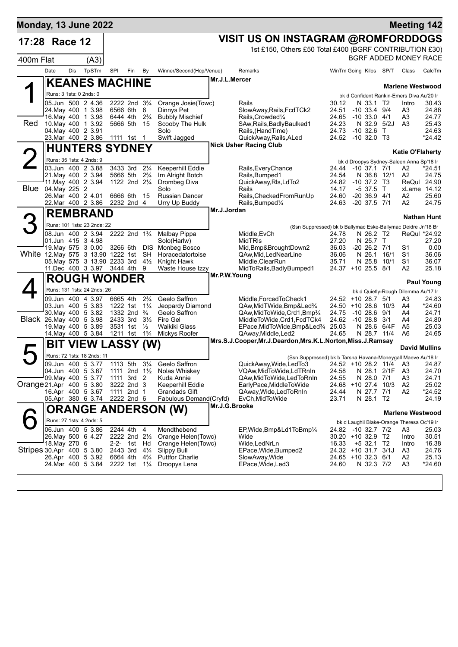| <b>Monday, 13 June 2022</b>           |               |         |                                                                 |                                                       |                        |                |                                               |               |                                                                              |                              |                                |                        | <b>Meeting 142</b>                                                   |                    |
|---------------------------------------|---------------|---------|-----------------------------------------------------------------|-------------------------------------------------------|------------------------|----------------|-----------------------------------------------|---------------|------------------------------------------------------------------------------|------------------------------|--------------------------------|------------------------|----------------------------------------------------------------------|--------------------|
| 17:28                                 |               | Race 12 |                                                                 |                                                       |                        |                |                                               |               | VISIT US ON INSTAGRAM @ROMFORDDOGS                                           |                              |                                |                        |                                                                      |                    |
|                                       |               |         |                                                                 |                                                       |                        |                |                                               |               | 1st £150, Others £50 Total £400 (BGRF CONTRIBUTION £30)                      |                              |                                |                        |                                                                      |                    |
| 400m Flat                             |               |         | (A3)                                                            |                                                       |                        |                |                                               |               |                                                                              |                              |                                |                        | BGRF ADDED MONEY RACE                                                |                    |
|                                       | Date          | Dis     | TpSTm                                                           | SPI                                                   | Fin                    | By             | Winner/Second(Hcp/Venue)                      |               | Remarks                                                                      |                              |                                | WinTm Going Kilos SP/T | Class                                                                | CalcTm             |
|                                       |               |         | <b>KEANES MACHINE</b>                                           |                                                       |                        |                |                                               | Mr.J.L.Mercer |                                                                              |                              |                                |                        |                                                                      |                    |
|                                       |               |         | Runs: 3 1sts: 0 2nds: 0                                         |                                                       |                        |                |                                               |               |                                                                              |                              |                                |                        | <b>Marlene Westwood</b><br>bk d Confident Rankin-Emers Diva Au'20 Ir |                    |
|                                       |               |         | 05.Jun 500 2 4.36                                               | 2222 2nd 3 <sup>3</sup> / <sub>4</sub>                |                        |                | Orange Josie(Towc)                            |               | Rails                                                                        | 30.12                        | N 33.1 T2                      |                        | Intro                                                                | 30.43              |
|                                       |               |         | 24. May 400 1 3.98                                              | 6566 6th 6                                            |                        |                | Dinnys Pet                                    |               | SlowAway, Rails, FcdTCk2                                                     | 24.51                        | $-10$ 33.4 $9/4$               |                        | A3                                                                   | 24.88              |
| Red                                   |               |         | 16 May 400 1 3.98<br>10. May 400 1 3.92                         | 6444 4th 2 <sup>3</sup> / <sub>4</sub><br>5666 5th 15 |                        |                | <b>Bubbly Mischief</b><br>Scooby The Hulk     |               | Rails, Crowded <sup>1/4</sup><br>SAw, Rails, Badly Baulked1                  | 24.65<br>24.23               | $-10$ 33.0 4/1<br>N 32.9 5/2J  |                        | A3<br>A3                                                             | 24.77<br>25.43     |
|                                       |               |         | 04. May 400 2 3.91                                              |                                                       |                        |                | Solo                                          |               | Rails, (HandTime)                                                            | 24.73                        | $-10,32.6$ T                   |                        |                                                                      | 24.63              |
|                                       |               |         | 23.Mar 400 2 3.86                                               | 1111 1st 1                                            |                        |                | Swift Jagged                                  |               | QuickAway, Rails, ALed<br><b>Nick Usher Racing Club</b>                      | 24.52                        | -10 32.0 T3                    |                        |                                                                      | *24.42             |
|                                       |               |         | <b>HUNTERS SYDNEY</b>                                           |                                                       |                        |                |                                               |               |                                                                              |                              |                                |                        | <b>Katie O'Flaherty</b>                                              |                    |
|                                       |               |         | Runs: 35 1sts: 4 2nds: 9                                        |                                                       |                        |                |                                               |               |                                                                              |                              |                                |                        | bk d Droopys Sydney-Saleen Anna Sp'18 Ir                             |                    |
|                                       |               |         | 03.Jun 400 2 3.88<br>21. May 400 2 3.94                         | 3433 3rd 21/4                                         | 5666 5th               | $2\frac{3}{4}$ | Keeperhill Eddie<br>Im Alright Botch          |               | Rails, Every Chance<br>Rails, Bumped1                                        | 24.44<br>24.54               | -10 37.1 7/1<br>N 36.8 12/1    |                        | A2<br>A2                                                             | *24.51<br>24.75    |
|                                       |               |         | 11. May 400 2 3.94                                              | 1122 2nd 21/4                                         |                        |                | Drombeg Diva                                  |               | QuickAway, RIs, LdTo2                                                        | 24.82                        | $-10$ 37.2 T3                  |                        | ReQul 24.90                                                          |                    |
| <b>Blue</b>                           | 04. May 225 2 |         | 26. Mar 400 2 4.01                                              |                                                       | 6666 6th 15            |                | Solo<br><b>Russian Dancer</b>                 |               | Rails<br>Rails, Checked From Run Up                                          | 14.17<br>24.60               | $-537.5$ T<br>$-20$ 36.9 $4/1$ |                        | xLame 14.12<br>A2                                                    | 25.60              |
|                                       |               |         | 22.Mar 400 2 3.86                                               | 2232 2nd 4                                            |                        |                | Urry Up Buddy                                 |               | Rails, Bumped <sup>1/4</sup>                                                 | 24.63                        | $-20$ 37.5 $7/1$               |                        | A2                                                                   | 24.75              |
|                                       |               |         | <b>REMBRAND</b>                                                 |                                                       |                        |                |                                               | Mr.J.Jordan   |                                                                              |                              |                                |                        |                                                                      | <b>Nathan Hunt</b> |
|                                       |               |         | Runs: 101 1sts: 23 2nds: 22                                     |                                                       |                        |                |                                               |               | (Ssn Suppressed) bk b Ballymac Eske-Ballymac Deidre Jn'18 Br                 |                              |                                |                        |                                                                      |                    |
|                                       |               |         | 08.Jun 400 2 3.94                                               | 2222 2nd 1 <sup>3</sup> / <sub>4</sub>                |                        |                | Malbay Pippa                                  |               | Middle, EvCh                                                                 | 24.78                        | N 26.2 T2                      |                        | ReQul *24.92                                                         |                    |
|                                       |               |         | 01.Jun 415 3 4.98<br>19. May 575 3 0.00                         | 3266 6th DIS                                          |                        |                | Solo(Harlw)<br>Monbeg Bosco                   |               | <b>MidTRIS</b><br>Mid, Bmp&BroughtDown2                                      | 27.20<br>36.03               | N 25.7 T<br>$-20$ 26.2 $7/1$   |                        | S1                                                                   | 27.20<br>0.00      |
| White 12. May 575 3 13.90 1222 1st SH |               |         |                                                                 |                                                       |                        |                | Horacedatortoise                              |               | QAw, Mid, LedNearLine                                                        | 36.06                        | N 26.1                         | 16/1                   | S <sub>1</sub>                                                       | 36.06              |
|                                       |               |         | 05. May 575 3 13.90 2233 3rd 41/2<br>11.Dec 400 3 3.97 3444 4th |                                                       |                        | 9              | Knight Hawk<br>Waste House Izzy               |               | Middle, ClearRun<br>MidToRails, Badly Bumped1                                | 35.71<br>24.37 +10 25.5 8/1  | N 25.8                         | 10/1                   | S <sub>1</sub><br>A2                                                 | 36.07<br>25.18     |
|                                       |               |         |                                                                 |                                                       |                        |                |                                               | Mr.P.W.Young  |                                                                              |                              |                                |                        |                                                                      |                    |
|                                       |               |         | <b>ROUGH WONDER</b>                                             |                                                       |                        |                |                                               |               |                                                                              |                              |                                |                        |                                                                      | <b>Paul Young</b>  |
|                                       |               |         | Runs: 131 1sts: 24 2nds: 26<br>09.Jun 400 4 3.97                | 6665 4th                                              |                        | $2\frac{3}{4}$ | Geelo Saffron                                 |               | Middle, Forced To Check1                                                     | 24.52 +10 28.7 5/1           |                                |                        | bk d Quietly-Rough Dilemma Au'17 Ir<br>A3                            | 24.83              |
|                                       |               |         | 03.Jun 400 5 3.83                                               | 1222 1st 11/4                                         |                        |                | Jeopardy Diamond                              |               | QAw, Mid TWide, Bmp&Led <sup>3</sup> /4                                      | 24.50 +10 28.6 10/3          |                                |                        | A4                                                                   | *24.60             |
| Black 26. May 400 5 3.98              |               |         | 30. May 400 5 3.82                                              | 1332 2nd $\frac{3}{4}$<br>2433 3rd 31/2               |                        |                | Geelo Saffron<br>Fire Gel                     |               | QAw, MidToWide, Crd1, Bmp3/4                                                 | 24.75                        | $-1028.69/1$                   |                        | A4                                                                   | 24.71              |
|                                       |               |         | 19 May 400 5 3.89                                               |                                                       | 3531 1st $\frac{1}{2}$ |                | Waikiki Glass                                 |               | MiddleToWide,Crd1,FcdTCk4<br>EPace, MidToWide, Bmp&Led <sup>3</sup> /4 25.03 | 24.62                        | $-1028.83/1$<br>N 28.6 6/4F    |                        | A4<br>A5                                                             | 24.80<br>25.03     |
|                                       |               |         | 14. May 400 5 3.84                                              | 1211 1st 1 <sup>3</sup> / <sub>4</sub>                |                        |                | Mickys Roofer                                 |               | QAway, Middle, Led2                                                          | 24.65                        | N 28.7 11/4                    |                        | A6                                                                   | 24.65              |
|                                       |               |         | <b>BIT VIEW LASSY (W)</b>                                       |                                                       |                        |                |                                               |               | Mrs.S.J.Cooper, Mr.J.Deardon, Mrs.K.L.Norton, Miss.J.Ramsay                  |                              |                                |                        | <b>David Mullins</b>                                                 |                    |
|                                       |               |         | Runs: 72 1sts: 18 2nds: 11                                      |                                                       |                        |                |                                               |               | (Ssn Suppressed) bk b Tarsna Havana-Moneygall Maeve Au'18 Ir                 |                              |                                |                        |                                                                      |                    |
|                                       |               |         |                                                                 |                                                       |                        |                | 09.Jun 400 5 3.77 1113 5th 31/4 Geelo Saffron |               | QuickAway, Wide, Led To 3 24.52 + 10 28.2 11/4 A3                            |                              |                                |                        |                                                                      | 24.87              |
|                                       |               |         | 04.Jun 400 5 3.67<br>09. May 400 5 3.77                         | 1111 2nd $1\frac{1}{2}$<br>1111                       | 3rd <sub>2</sub>       |                | Nolas Whiskey<br>Kuda Annie                   |               | VQAw,MidToWide,LdTRnIn<br>QAw, Mid To Wide, Led To Rn In                     | 24.58<br>24.55               | N 28.1 2/1F<br>N 28.0 7/1      |                        | A3<br>A3                                                             | 24.70<br>24.71     |
| Orange 21.Apr 400 5 3.80              |               |         |                                                                 | 3222 2nd 3                                            |                        |                | Keeperhill Eddie                              |               | EarlyPace, MiddleToWide                                                      | 24.68 +10 27.4 10/3          |                                |                        | A2                                                                   | 25.02              |
|                                       |               |         | 16.Apr 400 5 3.67<br>05.Apr 380 6 3.74                          | 1111 2nd 1<br>2222 2nd 6                              |                        |                | Grandads Gift<br>Fabulous Demand (Cryfd)      |               | QAway, Wide, Led To RnIn<br>EvCh, MidToWide                                  | 24.44<br>23.71               | N 27.7<br>N 28.1 T2            | 7/1                    | A2                                                                   | *24.52<br>24.19    |
|                                       |               |         |                                                                 |                                                       |                        |                | <b>ORANGE ANDERSON (W)</b>                    | Mr.J.G.Brooke |                                                                              |                              |                                |                        |                                                                      |                    |
|                                       |               |         | Runs: 27 1sts: 4 2nds: 5                                        |                                                       |                        |                |                                               |               |                                                                              |                              |                                |                        | <b>Marlene Westwood</b>                                              |                    |
|                                       |               |         | 06.Jun 400 5 3.86                                               | 2244 4th 4                                            |                        |                | Mendthebend                                   |               | EP, Wide, Bmp&Ld1ToBmp1/4                                                    | 24.82 -10 32.7 7/2           |                                |                        | bk d Laughil Blake-Orange Theresa Oc'19 Ir<br>A3                     | 25.03              |
|                                       |               |         | 26. May 500 6 4.27                                              | 2222 2nd 21/2                                         |                        |                | Orange Helen(Towc)                            |               | Wide                                                                         | 30.20 +10 32.9 T2            |                                |                        | Intro                                                                | 30.51              |
| Stripes 30.Apr 400 5 3.80             | 18. May 270 6 |         |                                                                 | 2443 3rd                                              | 2-2- 1st Hd            | $4\frac{1}{4}$ | Orange Helen(Towc)<br><b>Slippy Bull</b>      |               | Wide, LedNrLn<br>EPace, Wide, Bumped 2                                       | 16.33<br>24.32 +10 31.7 3/1J | $+5$ 32.1 T2                   |                        | Intro<br>A3                                                          | 16.38<br>24.76     |
|                                       |               |         | 26.Apr 400 5 3.92                                               | 6664 4th                                              |                        | $4\frac{3}{4}$ | <b>Puttfor Charlie</b>                        |               | SlowAway, Wide                                                               | 24.65 +10 32.3 6/1           |                                |                        | A2                                                                   | 25.13              |
|                                       |               |         | 24. Mar 400 5 3.84                                              | 2222 1st                                              |                        | $1\frac{1}{4}$ | Droopys Lena                                  |               | EPace, Wide, Led 3                                                           | 24.60                        | N 32.3 7/2                     |                        | A <sub>3</sub>                                                       | *24.60             |
|                                       |               |         |                                                                 |                                                       |                        |                |                                               |               |                                                                              |                              |                                |                        |                                                                      |                    |
|                                       |               |         |                                                                 |                                                       |                        |                |                                               |               |                                                                              |                              |                                |                        |                                                                      |                    |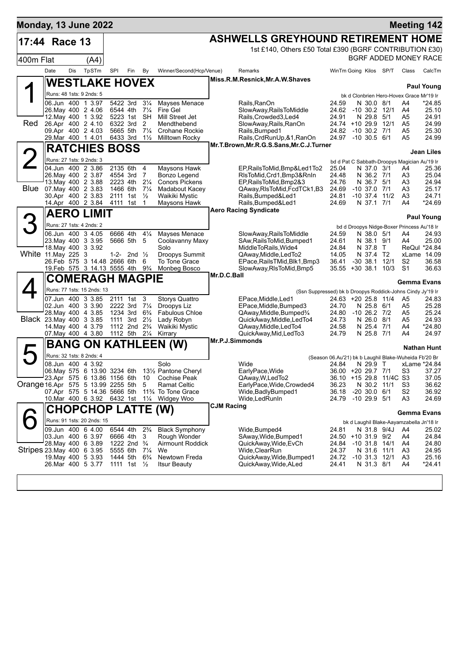| <b>Monday, 13 June 2022</b>        |                                             |     |                                   |                      |                                        |                                 |                                              |                   |                                                                         |                |                                       |                          |                    |                                                       | <b>Meeting 142</b>           |
|------------------------------------|---------------------------------------------|-----|-----------------------------------|----------------------|----------------------------------------|---------------------------------|----------------------------------------------|-------------------|-------------------------------------------------------------------------|----------------|---------------------------------------|--------------------------|--------------------|-------------------------------------------------------|------------------------------|
| 17:44 Race 13                      |                                             |     |                                   |                      |                                        |                                 |                                              |                   | <b>ASHWELLS GREYHOUND RETIREMENT HOME</b>                               |                |                                       |                          |                    |                                                       |                              |
|                                    |                                             |     |                                   |                      |                                        |                                 |                                              |                   | 1st £140, Others £50 Total £390 (BGRF CONTRIBUTION £30)                 |                |                                       |                          |                    |                                                       |                              |
| 400m Flat                          |                                             |     | (A4)                              |                      |                                        |                                 |                                              |                   |                                                                         |                |                                       |                          |                    |                                                       | <b>BGRF ADDED MONEY RACE</b> |
|                                    | Date                                        | Dis | TpSTm                             | SPI                  | Fin                                    | By                              | Winner/Second(Hcp/Venue)                     |                   | Remarks                                                                 |                | WinTm Going Kilos SP/T                |                          |                    | Class                                                 | CalcTm                       |
|                                    |                                             |     | <b>WESTLAKE HOVEX</b>             |                      |                                        |                                 |                                              |                   | Miss.R.M.Resnick, Mr.A.W.Shaves                                         |                |                                       |                          |                    |                                                       |                              |
|                                    | Runs: 48 1sts: 9 2nds: 5                    |     |                                   |                      |                                        |                                 |                                              |                   |                                                                         |                |                                       |                          |                    | bk d Clonbrien Hero-Hovex Grace Mr'19 Ir              | <b>Paul Young</b>            |
|                                    | 06.Jun 400 1 3.97                           |     |                                   | 5422 3rd             |                                        | $3\frac{1}{4}$                  | Mayses Menace                                |                   | Rails,RanOn                                                             | 24.59          |                                       | N 30.0 8/1               |                    | A4                                                    | *24.85                       |
|                                    |                                             |     | 26. May 400 2 4.06                | 6544 4th             |                                        | $7\frac{1}{4}$                  | Fire Gel                                     |                   | SlowAway, RailsToMiddle                                                 | 24.62          | -10 30.2 12/1                         |                          |                    | A4                                                    | 25.10                        |
| Red                                | 26.Apr 400 2 4.10                           |     | 12. May 400 1 3.92                | 5223 1st<br>6322 3rd |                                        | SH<br>2                         | Mill Street Jet<br>Mendthebend               |                   | Rails, Crowded 3, Led 4<br>SlowAway, Rails, RanOn                       | 24.91          | N 29.8<br>24.74 +10 29.9              |                          | 5/1<br>12/1        | A5<br>A5                                              | 24.91<br>24.99               |
|                                    | 09.Apr 400 2 4.03                           |     |                                   | 5665 5th             |                                        | $7\frac{1}{4}$                  | Crohane Rockie                               |                   | Rails, Bumped1                                                          | 24.82          | $-10$ 30.2 $7/1$                      |                          |                    | A5                                                    | 25.30                        |
|                                    | 29. Mar 400 1 4.01                          |     |                                   | 6433 3rd             |                                        | $1\frac{1}{2}$                  | Milltown Rocky                               |                   | Rails, CrdRunUp, & 1, RanOn<br>Mr.T.Brown, Mr.R.G.S.Sans, Mr.C.J.Turner | 24.97          | $-10,30.5,6/1$                        |                          |                    | A5                                                    | 24.99                        |
|                                    |                                             |     | <b>RATCHIES BOSS</b>              |                      |                                        |                                 |                                              |                   |                                                                         |                |                                       |                          |                    |                                                       | <b>Jean Liles</b>            |
|                                    | Runs: 27 1sts: 9 2nds: 3                    |     |                                   |                      |                                        |                                 |                                              |                   |                                                                         |                |                                       |                          |                    | bd d Pat C Sabbath-Droopys Magician Au'19 Ir          |                              |
|                                    | 04.Jun 400 2 3.86                           |     | 26. May 400 2 3.87                | 4554 3rd             | 2135 6th                               | 4<br>- 7                        | Maysons Hawk<br>Bonzo Legend                 |                   | EP, Rails To Mid, Bmp&Led1To2<br>RIsToMid, Crd1, Bmp3&RnIn              | 25.04<br>24.48 |                                       | N 37.0 3/1<br>N 36.2 7/1 |                    | A4<br>A <sub>3</sub>                                  | 25.36<br>25.04               |
|                                    |                                             |     | 13. May 400 2 3.88                | 2223 4th             |                                        | $2\frac{1}{4}$                  | <b>Conors Pickens</b>                        |                   | EP, Rails ToMid, Bmp2&3                                                 | 24.76          | N 36.7 5/1                            |                          |                    | A <sub>3</sub>                                        | 24.94                        |
|                                    | Blue 07 May 400 2 3.83<br>30.Apr 400 2 3.83 |     |                                   | 1466 6th<br>2111 1st |                                        | $7\frac{1}{4}$<br>$\frac{1}{2}$ | Madabout Kacey<br>Waikiki Mystic             |                   | QAway, RIsToMid, FcdTCk1, B3<br>Rails, Bumped&Led1                      | 24.69<br>24.81 | $-10$ 37.0 $7/1$<br>$-10$ 37.4 $11/2$ |                          |                    | A3<br>A3                                              | 25.17<br>24.71               |
|                                    |                                             |     | 14.Apr 400 2 3.84                 | 4111                 | 1st                                    | 1                               | Maysons Hawk                                 |                   | Rails, Bumped&Led1                                                      | 24.69          | N 37.1 7/1                            |                          |                    | A4                                                    | $*24.69$                     |
|                                    |                                             |     | <b>AERO LIMIT</b>                 |                      |                                        |                                 |                                              |                   | <b>Aero Racing Syndicate</b>                                            |                |                                       |                          |                    |                                                       |                              |
|                                    | Runs: 27 1sts: 4 2nds: 2                    |     |                                   |                      |                                        |                                 |                                              |                   |                                                                         |                |                                       |                          |                    |                                                       | <b>Paul Young</b>            |
|                                    | 06.Jun 400 3 4.05                           |     |                                   |                      | 6666 4th                               | $4\frac{1}{4}$                  | Mayses Menace                                |                   | SlowAway,RailsToMiddle                                                  | 24.59          |                                       | N 38.0 5/1               |                    | bd d Droopys Nidge-Boxer Princess Au'18 Ir<br>A4      | 24.93                        |
|                                    | 23. May 400 3 3.95                          |     |                                   |                      | 5666 5th 5                             |                                 | Coolavanny Maxy                              |                   | SAw, Rails To Mid, Bumped 1                                             | 24.61          |                                       | N 38.1 9/1               |                    | A4                                                    | 25.00                        |
| White 11 May 225 3                 |                                             |     | 18. May 400 3 3.92                |                      | 1-2- 2nd $\frac{1}{2}$                 |                                 | Solo<br>Droopys Summit                       |                   | MiddleToRails, Wide4<br>QAway, Middle, Led To2                          | 24.84<br>14.05 | N 37.4 T2                             | N 37.8 T                 |                    |                                                       | ReQul *24.84<br>xLame 14.09  |
|                                    |                                             |     | 26.Feb 575 3 14.48 2666 6th       |                      |                                        | -6                              | To Tone Grace                                |                   | EPace, RailsTMid, Blk1, Bmp3                                            | 36.41          | $-30$ 38.1 12/1                       |                          |                    | S <sub>2</sub>                                        | 36.58                        |
|                                    |                                             |     | 19. Feb 575 3 14.13 5555 4th 93/4 |                      |                                        |                                 | Monbeg Bosco                                 | Mr.D.C.Ball       | SlowAway, RIsToMid, Bmp5                                                |                | $35.55 + 30.38.1$ 10/3                |                          |                    | S <sub>1</sub>                                        | 36.63                        |
|                                    | <b>COMERAGH MAGPIE</b>                      |     |                                   |                      |                                        |                                 |                                              |                   |                                                                         |                |                                       |                          | <b>Gemma Evans</b> |                                                       |                              |
|                                    |                                             |     | Runs: 77 1sts: 15 2nds: 13        |                      |                                        |                                 |                                              |                   | (Ssn Suppressed) bk b Droopys Roddick-Johns Cindy Jy'19 Ir              |                |                                       |                          |                    |                                                       |                              |
|                                    | 07.Jun 400 3 3.85                           |     | 02.Jun 400 3 3.90                 | 2222 3rd             | 2111 1st                               | 3<br>$7\frac{1}{4}$             | <b>Storys Quattro</b><br>Droopys Liz         |                   | EPace,Middle,Led1<br>EPace, Middle, Bumped3                             | 24.70          | 24.63 +20 25.8 11/4                   | N 25.8 6/1               |                    | A5<br>A5                                              | 24.83<br>25.28               |
|                                    |                                             |     | 28. May 400 4 3.85                | 1234 3rd             |                                        | $6\frac{3}{4}$                  | <b>Fabulous Chloe</b>                        |                   | QAway, Middle, Bumped <sup>3</sup> /4                                   | 24.80          | $-10$ 26.2 $7/2$                      |                          |                    | A5                                                    | 25.24                        |
|                                    | Black 23. May 400 3 3.85                    |     |                                   | 1111 3rd             |                                        | $2\frac{1}{2}$                  | Lady Robyn                                   |                   | QuickAway, Middle, LedTo4<br>QAway, Middle, LedTo4                      | 24.73          | N 26.0 8/1<br>N 25.4 7/1              |                          |                    | A5                                                    | 24.93                        |
|                                    | 14 May 400 4 3.79                           |     | 07. May 400 4 3.80                | 1112 5th             | 1112 2nd 2 <sup>3</sup> / <sub>4</sub> | $2\frac{1}{4}$                  | Waikiki Mystic<br>Kirrary                    |                   | QuickAway, Mid, LedTo3                                                  | 24.58<br>24.79 |                                       | N 25.8 7/1               |                    | A4<br>A4                                              | *24.80<br>24.97              |
|                                    |                                             |     | <b>BANG ON KATHLEEN</b>           |                      |                                        |                                 | (W)                                          |                   | Mr.P.J.Simmonds                                                         |                |                                       |                          |                    |                                                       |                              |
|                                    |                                             |     | Runs: 32 1sts: 8 2nds: 4          |                      |                                        |                                 |                                              |                   |                                                                         |                |                                       |                          |                    | (Season 06.Au'21) bk b Laughil Blake-Wuheida Fb'20 Br | <b>Nathan Hunt</b>           |
|                                    | 08.Jun 400 4 3.92                           |     |                                   |                      |                                        |                                 | Solo                                         |                   | Wide                                                                    |                |                                       |                          |                    | 24.84 N 29.9 T xLame *24.84                           |                              |
|                                    |                                             |     | 06. May 575 6 13.90 3234 6th      |                      |                                        |                                 | 131/ <sub>2</sub> Pantone Cheryl             |                   | EarlyPace, Wide                                                         |                | 36.00 +20 29.7 7/1                    |                          |                    | S <sub>3</sub>                                        | 37.27                        |
| Orange 16 Apr 575 5 13.99 2255 5th |                                             |     | 23.Apr 575 6 13.86 1156 6th       |                      |                                        | 10<br>5                         | Cochise Peak<br>Ramat Celtic                 |                   | QAway, W, Led To 2<br>EarlyPace, Wide, Crowded4                         | 36.23          | 36.10 +15 29.8 11/4C S3               |                          | N 30.2 11/1        | S <sub>3</sub>                                        | 37.05<br>36.62               |
|                                    |                                             |     | 07.Apr 575 5 14.36 5666 5th       |                      |                                        |                                 | 11 <sup>3</sup> / <sub>4</sub> To Tone Grace |                   | Wide, Badly Bumped 1                                                    | 36.18          | $-20$ 30.0 6/1                        |                          |                    | S <sub>2</sub>                                        | 36.92                        |
|                                    |                                             |     |                                   |                      |                                        |                                 | 10. Mar 400 6 3.92 6432 1st 11/4 Widgey Woo  | <b>CJM Racing</b> | Wide,LedRunIn                                                           |                | 24.79 -10 29.9 5/1                    |                          |                    | A <sub>3</sub>                                        | 24.69                        |
|                                    |                                             |     | <b>CHOPCHOP LATTE (W)</b>         |                      |                                        |                                 |                                              |                   |                                                                         |                |                                       |                          |                    | Gemma Evans                                           |                              |
|                                    |                                             |     | Runs: 91 1sts: 20 2nds: 15        |                      |                                        |                                 |                                              |                   |                                                                         |                |                                       |                          |                    | bk d Laughil Blake-Aayamzabella Jn'18 Ir              |                              |
|                                    | 03.Jun 400 6 3.97                           |     | 09.Jun 400 6 4.00                 |                      | 6544 4th<br>6666 4th 3                 | $2\frac{3}{4}$                  | <b>Black Symphony</b><br>Rough Wonder        |                   | Wide, Bumped4<br>SAway, Wide, Bumped1                                   | 24.81          | 24.50 +10 31.9 9/2                    |                          | N 31.8 9/4J        | A4<br>A4                                              | 25.02<br>24.84               |
|                                    | 28. May 400 6 3.89                          |     |                                   |                      | 1222 2nd <sup>3</sup> / <sub>4</sub>   |                                 | Airmount Roddick                             |                   | QuickAway, Wide, EvCh                                                   | 24.84          | -10 31.8 14/1                         |                          |                    | A4                                                    | 24.80                        |
| Stripes 23 May 400 6 3.95          |                                             |     |                                   |                      | 5555 6th 7 <sup>1</sup> / <sub>4</sub> |                                 | We                                           |                   | Wide, ClearRun                                                          | 24.37          |                                       |                          | N 31.6 11/1        | A3                                                    | 24.95                        |
|                                    | 19 May 400 5 3.93                           |     | 26.Mar 400 5 3.77                 |                      | 1444 5th<br>1111 1st $\frac{1}{2}$     | $6\frac{3}{4}$                  | Newtown Freda<br><b>Itsur Beauty</b>         |                   | QuickAway, Wide, Bumped1<br>QuickAway, Wide, ALed                       | 24.72<br>24.41 | $-10$ 31.3 12/1<br>N 31.3 8/1         |                          |                    | A <sub>3</sub><br>A4                                  | 25.16<br>$*24.41$            |
|                                    |                                             |     |                                   |                      |                                        |                                 |                                              |                   |                                                                         |                |                                       |                          |                    |                                                       |                              |
|                                    |                                             |     |                                   |                      |                                        |                                 |                                              |                   |                                                                         |                |                                       |                          |                    |                                                       |                              |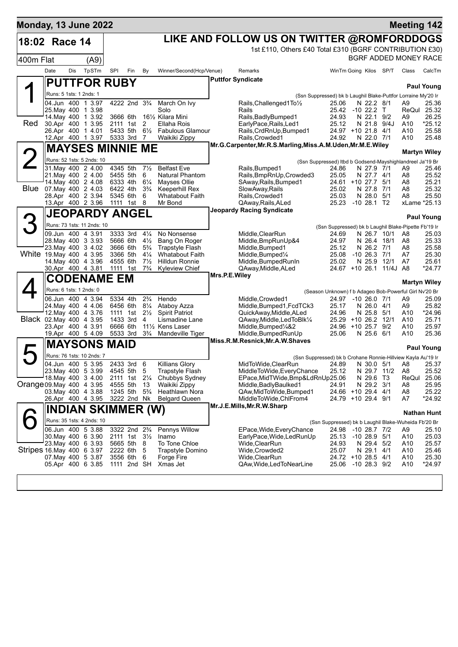| <b>Monday, 13 June 2022</b> |                                              |     |                            |                         |                                        |                                  |                                                                      |               |                                                             |                                                               |                                     |                         | <b>Meeting 142</b>    |                       |
|-----------------------------|----------------------------------------------|-----|----------------------------|-------------------------|----------------------------------------|----------------------------------|----------------------------------------------------------------------|---------------|-------------------------------------------------------------|---------------------------------------------------------------|-------------------------------------|-------------------------|-----------------------|-----------------------|
| 18:02 Race 14               |                                              |     |                            |                         |                                        |                                  |                                                                      |               | LIKE AND FOLLOW US ON TWITTER @ROMFORDDOGS                  |                                                               |                                     |                         |                       |                       |
|                             |                                              |     |                            |                         |                                        |                                  |                                                                      |               | 1st £110, Others £40 Total £310 (BGRF CONTRIBUTION £30)     |                                                               |                                     |                         |                       |                       |
| 400m Flat                   |                                              |     | (A9)                       |                         |                                        |                                  |                                                                      |               |                                                             |                                                               |                                     |                         | BGRF ADDED MONEY RACE |                       |
|                             | Date                                         | Dis | TpSTm                      | SPI                     | Fin                                    | By                               | Winner/Second(Hcp/Venue)                                             |               | Remarks                                                     | WinTm Going Kilos SP/T                                        |                                     |                         | Class                 | CalcTm                |
|                             |                                              |     |                            | <b>PUTTFOR RUBY</b>     |                                        |                                  |                                                                      |               | <b>Puttfor Syndicate</b>                                    |                                                               |                                     |                         |                       |                       |
|                             |                                              |     |                            |                         |                                        |                                  |                                                                      |               |                                                             |                                                               |                                     |                         |                       | <b>Paul Young</b>     |
|                             | Runs: 5 1sts: 1 2nds: 1<br>04.Jun 400 1 3.97 |     |                            |                         | 4222 2nd 3 <sup>3</sup> / <sub>4</sub> |                                  |                                                                      |               |                                                             | (Ssn Suppressed) bk b Laughil Blake-Puttfor Lorraine My'20 Ir |                                     |                         |                       |                       |
|                             | 25. May 400 1 3.98                           |     |                            |                         |                                        |                                  | March On Ivy<br>Solo                                                 |               | Rails, Challenged1To1/2<br>Rails                            | 25.06<br>25.42 -10 22.2 T                                     | N 22.2 8/1                          |                         | A9<br>ReQul           | 25.36<br>25.32        |
|                             | 14. May 400 1 3.92                           |     |                            |                         | 3666 6th                               |                                  | 161/ <sub>2</sub> Kilara Mini                                        |               | Rails, Badly Bumped 1                                       | 24.93                                                         | N 22.1 9/2                          |                         | A9                    | 26.25                 |
| Red                         | 30.Apr 400 1 3.95<br>26.Apr 400 1 4.01       |     |                            |                         | 2111 1st<br>5433 5th                   | 2                                | Ellaha Rois                                                          |               | EarlyPace, Rails, Led1                                      | 25.12<br>24.97 +10 21.8 4/1                                   | N 21.8 9/4J                         |                         | A10                   | *25.12                |
|                             | 12.Apr 400 1 3.97                            |     |                            |                         | 5333 3rd                               | $6\frac{1}{2}$<br>7              | <b>Fabulous Glamour</b><br>Waikiki Zippy                             |               | Rails, CrdRnUp, Bumped1<br>Rails, Crowded1                  | 24.92                                                         | N 22.0 7/1                          |                         | A10<br>A10            | 25.58<br>25.48        |
|                             |                                              |     |                            | <b>MAYSES MINNIE ME</b> |                                        |                                  |                                                                      |               | Mr.G.Carpenter, Mr.R.S.Marling, Miss.A.M.Uden, Mr.M.E.Wiley |                                                               |                                     |                         |                       |                       |
|                             |                                              |     |                            |                         |                                        |                                  |                                                                      |               |                                                             |                                                               |                                     |                         |                       | <b>Martyn Wiley</b>   |
|                             |                                              |     | Runs: 52 1sts: 5 2nds: 10  | 4345 5th                |                                        |                                  | <b>Belfast Eve</b>                                                   |               |                                                             | (Ssn Suppressed) Itbd b Godsend-Mayshighlandreel Ja'19 Br     |                                     |                         |                       |                       |
|                             | 31. May 400 2 4.00<br>21. May 400 2 4.00     |     |                            |                         | 5455 5th                               | $7\frac{1}{2}$<br>6              | <b>Natural Phantom</b>                                               |               | Rails, Bumped1<br>Rails, BmpRnUp, Crowded3                  | 24.86<br>25.05                                                | N 27.9<br>N 27.7 4/1                | 7/1                     | A9<br>A8              | 25.46<br>25.52        |
|                             | 14. May 400 2 4.08                           |     |                            |                         | 6333 4th                               | $6\frac{1}{4}$                   | Mayses Ollie                                                         |               | SAway, Rails, Bumped1                                       | 24.61 +10 27.7                                                |                                     | 5/1                     | A8                    | 25.21                 |
|                             | Blue 07 May 400 2 4.03                       |     |                            |                         | 6422 4th                               | $3\frac{3}{4}$                   | <b>Keeperhill Rex</b>                                                |               | SlowAway, Rails                                             | 25.02                                                         | N 27.8                              | 7/1                     | A8                    | 25.32                 |
|                             | 28.Apr 400 2 3.94<br>13.Apr 400 2 3.96       |     |                            |                         | 5345 6th<br>1111 1st                   | 6<br>8                           | <b>Whatabout Faith</b><br>Mr Bond                                    |               | Rails, Crowded1<br>QAway, Rails, ALed                       | 25.03<br>25.23                                                | N 28.0<br>$-10$ 28.1 T <sub>2</sub> | 5/1                     | A8                    | 25.50<br>xLame *25.13 |
|                             |                                              |     |                            | <b>JEOPARDY ANGEL</b>   |                                        |                                  |                                                                      |               | <b>Jeopardy Racing Syndicate</b>                            |                                                               |                                     |                         |                       |                       |
|                             |                                              |     |                            |                         |                                        |                                  |                                                                      |               |                                                             |                                                               |                                     |                         |                       | <b>Paul Young</b>     |
|                             |                                              |     | Runs: 73 1sts: 11 2nds: 10 |                         |                                        |                                  |                                                                      |               |                                                             | (Ssn Suppressed) bk b Laughil Blake-Pipette Fb'19 Ir          |                                     |                         |                       |                       |
|                             | 09.Jun 400 4 3.91<br>28. May 400 3 3.93      |     |                            |                         | 3333 3rd<br>5666 6th                   | $4\frac{1}{4}$<br>$4\frac{1}{2}$ | No Nonsense<br>Bang On Roger                                         |               | Middle, ClearRun<br>Middle, BmpRunUp&4                      | 24.69<br>24.97                                                | N 26.7 10/1<br>N 26.4 18/1          |                         | A8<br>A8              | 25.03<br>25.33        |
|                             | 23. May 400 3 4.02                           |     |                            |                         | 3666 6th                               | $5\frac{3}{4}$                   | <b>Trapstyle Flash</b>                                               |               | Middle, Bumped1                                             | 25.12                                                         | N 26.2 7/1                          |                         | A8                    | 25.58                 |
| White 19 May 400 4 3.95     |                                              |     |                            | 3366 5th                |                                        | $4\frac{1}{4}$                   | <b>Whatabout Faith</b>                                               |               | Middle, Bumped1/4                                           | 25.08                                                         | $-10$ 26.3 $7/1$                    |                         | A7                    | 25.30                 |
|                             | 14. May 400 4 3.96<br>30.Apr 400 4 3.81      |     |                            | 4555 6th                | 1111 1st                               | $7\frac{1}{2}$<br>$7\frac{3}{4}$ | Hilldun Ronnie<br>Kyleview Chief                                     |               | Middle, Bumped RunIn<br>QAway, Middle, ALed                 | 25.02                                                         | N 25.9 12/1                         | 24.67 +10 26.1 11/4J A8 | A7                    | 25.61<br>*24.77       |
|                             |                                              |     |                            |                         |                                        |                                  |                                                                      | Mrs.P.E.Wiley |                                                             |                                                               |                                     |                         |                       |                       |
|                             |                                              |     |                            | <b>CODENAME EM</b>      |                                        |                                  |                                                                      |               |                                                             |                                                               |                                     |                         |                       | <b>Martyn Wiley</b>   |
|                             | Runs: 6 1sts: 1 2nds: 0                      |     |                            |                         |                                        |                                  |                                                                      |               |                                                             | (Season Unknown) f b Adageo Bob-Powerful Girl Nv'20 Br        |                                     |                         |                       |                       |
|                             | 06.Jun 400 4 3.94<br>24. May 400 4 4.06      |     |                            |                         | 5334 4th<br>6456 6th                   | $2\frac{3}{4}$<br>$8\frac{1}{4}$ | Hendo<br>Ataboy Azza                                                 |               | Middle, Crowded1<br>Middle, Bumped1, FcdTCk3                | 24.97<br>25.17                                                | $-1026.071$<br>N 26.0 4/1           |                         | A9<br>A9              | 25.09<br>25.82        |
|                             | 12. May 400 4 3.76                           |     |                            |                         | 1111 1st                               | $2\frac{1}{2}$                   | <b>Spirit Patriot</b>                                                |               | QuickAway, Middle, ALed                                     | 24.96                                                         | N 25.8 5/1                          |                         | A10                   | *24.96                |
| Black 02. May 400 4 3.95    |                                              |     |                            |                         | 1433 3rd                               | 4                                | Lismadine Lane                                                       |               | QAway, Middle, Led To Blk1/4                                | 25.29 +10 26.2 12/1                                           |                                     |                         | A10                   | 25.71                 |
|                             | 23.Apr 400 4 3.91<br>19.Apr 400 5 4.09       |     |                            | 6666 6th                | 5533 3rd                               | $3\frac{3}{4}$                   | 11 <sup>1</sup> / <sub>2</sub> Kens Laser<br><b>Mandeville Tiger</b> |               | Middle, Bumped <sup>1</sup> /4&2<br>Middle, Bumped Run Up   | 24.96<br>25.06                                                | $+1025.7$<br>N 25.6 6/1             | 9/2                     | A10<br>A10            | 25.97<br>25.36        |
|                             |                                              |     |                            |                         |                                        |                                  |                                                                      |               | Miss.R.M.Resnick, Mr.A.W.Shaves                             |                                                               |                                     |                         |                       |                       |
|                             |                                              |     | <b>MAYSONS</b>             | <b>MAID</b>             |                                        |                                  |                                                                      |               |                                                             |                                                               |                                     |                         |                       | <b>Paul Young</b>     |
|                             |                                              |     | Runs: 76 1sts: 10 2nds: 7  |                         |                                        |                                  |                                                                      |               |                                                             | (Ssn Suppressed) bk b Crohane Ronnie-Hillview Kayla Au'19 Ir  |                                     |                         |                       |                       |
|                             | 04.Jun 400 5 3.95<br>23. May 400 5 3.99      |     |                            |                         | 2433 3rd 6<br>4545 5th                 | 5                                | <b>Killians Glory</b><br>Trapstyle Flash                             |               | MidToWide, ClearRun<br>MiddleToWide, EveryChance            | 24.89<br>25.12                                                | N 30.0<br>N 29.7 11/2               | 5/1                     | Aö<br>A8              | 25.37<br>25.52        |
|                             | 18. May 400 3 4.00                           |     |                            |                         | 2111 1st                               | $2\frac{1}{4}$                   | Chubbys Sydney                                                       |               | EPace, MidTWide, Bmp&LdRnUp25.06                            |                                                               | N 29.6 T3                           |                         | ReQul                 | 25.06                 |
| Orange 09. May 400 4 3.95   |                                              |     |                            | 4555 5th                |                                        | 13                               | Waikiki Zippy                                                        |               | Middle, Badly Baulked1                                      | 24.91                                                         | N 29.2 3/1                          |                         | A8                    | 25.95                 |
|                             | 03. May 400 4 3.88<br>26.Apr 400 4 3.95      |     |                            | 1245 5th                | 3222 2nd Nk                            | $5\frac{3}{4}$                   | Heathlawn Nora<br><b>Belgard Queen</b>                               |               | QAw, MidToWide, Bumped1<br>MiddleToWide,ChlFrom4            | 24.66 +10 29.4 4/1<br>24.79 +10 29.4 9/1                      |                                     |                         | A <sub>8</sub><br>A7  | 25.22<br>*24.92       |
|                             |                                              |     |                            |                         |                                        |                                  |                                                                      |               | Mr.J.E.Mills, Mr.R.W.Sharp                                  |                                                               |                                     |                         |                       |                       |
|                             | <b>INDIAN SKIMMER (W)</b>                    |     |                            |                         |                                        |                                  |                                                                      |               |                                                             |                                                               |                                     |                         | <b>Nathan Hunt</b>    |                       |
|                             |                                              |     | Runs: 35 1sts: 4 2nds: 10  |                         |                                        |                                  |                                                                      |               |                                                             | (Ssn Suppressed) bk b Laughil Blake-Wuheida Fb'20 Br          |                                     |                         |                       |                       |
|                             | 06.Jun 400 5 3.88                            |     |                            |                         | 3322 2nd 2 <sup>3</sup> / <sub>4</sub> |                                  | Pennys Willow                                                        |               | EPace, Wide, Every Chance                                   | 24.98                                                         | $-10$ 28.7 $7/2$                    |                         | A9                    | 25.10                 |
|                             | 30. May 400 6 3.90<br>23. May 400 6 3.93     |     |                            |                         | 2111 1st 31/2<br>5665 5th 8            |                                  | Inamo<br>To Tone Chloe                                               |               | EarlyPace, Wide, LedRunUp<br>Wide,ClearRun                  | 25.13<br>24.93                                                | $-1028.95/1$<br>N 29.4 5/2          |                         | A10<br>A10            | 25.03<br>25.57        |
| Stripes 16 May 400 6 3.97   |                                              |     |                            |                         | 2222 6th 5                             |                                  | Trapstyle Domino                                                     |               | Wide, Crowded2                                              | 25.07                                                         | N 29.1 4/1                          |                         | A10                   | 25.46                 |
|                             | 07. May 400 5 3.87                           |     |                            |                         | 3556 6th                               | 6                                | Forge Fire                                                           |               | Wide, ClearRun                                              | 24.72 +10 28.5 4/1                                            |                                     |                         | A10                   | 25.30                 |
|                             | 05.Apr 400 6 3.85                            |     |                            |                         | 1111 2nd SH                            |                                  | Xmas Jet                                                             |               | QAw, Wide, Led To Near Line                                 | 25.06                                                         | $-10$ 28.3 $9/2$                    |                         | A10                   | $*24.97$              |
|                             |                                              |     |                            |                         |                                        |                                  |                                                                      |               |                                                             |                                                               |                                     |                         |                       |                       |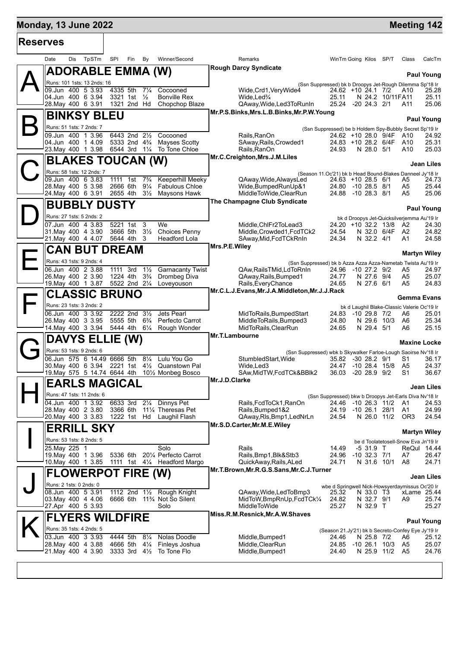# **Monday, 13 June 2022 Meeting 142**

| <b>Reserves</b> |                                                                               |                                                          |                                                                      |                                                                           |                |                                                                                 |                       |                     |
|-----------------|-------------------------------------------------------------------------------|----------------------------------------------------------|----------------------------------------------------------------------|---------------------------------------------------------------------------|----------------|---------------------------------------------------------------------------------|-----------------------|---------------------|
|                 | TpSTm<br>Date<br>Dis                                                          | SPI<br>Fin<br>By                                         | Winner/Second                                                        | Remarks                                                                   |                | WinTm Going Kilos SP/T                                                          | Class                 | CalcTm              |
|                 | <b>ADORABLE EMMA (W)</b>                                                      |                                                          |                                                                      | <b>Rough Darcy Syndicate</b>                                              |                |                                                                                 |                       | <b>Paul Young</b>   |
|                 | Runs: 101 1sts: 13 2nds: 16                                                   |                                                          |                                                                      |                                                                           |                | (Ssn Suppressed) bk b Droopys Jet-Rough Dilemma Sp'18 Ir                        |                       |                     |
|                 | 09.Jun 400 5 3.93                                                             | 4335 5th<br>$7\frac{1}{4}$                               | Cocooned                                                             | Wide, Crd1, Very Wide4                                                    |                | 24.62 +10 24.1 7/2                                                              | A10                   | 25.28               |
|                 | 04.Jun 400 6 3.94                                                             | 3321 1st<br>$\frac{1}{2}$                                | <b>Bonville Rex</b>                                                  | Wide, Led <sup>3</sup> / <sub>4</sub>                                     | 25.11          | N 24.2 10/11 FA11                                                               |                       | 25.11               |
|                 | 28. May 400 6 3.91                                                            | 1321 2nd Hd                                              | Chopchop Blaze                                                       | QAway, Wide, Led 3To Run In<br>Mr.P.S.Binks, Mrs.L.B.Binks, Mr.P.W. Young | 25.24          | $-20$ 24.3 $2/1$                                                                | A11                   | 25.06               |
|                 | <b>BINKSY BLEU</b>                                                            |                                                          |                                                                      |                                                                           |                |                                                                                 |                       | <b>Paul Young</b>   |
|                 | Runs: 51 1sts: 7 2nds: 7                                                      |                                                          |                                                                      |                                                                           |                | (Ssn Suppressed) be b Holdem Spy-Bubbly Secret Sp'19 Ir                         |                       |                     |
|                 | 09.Jun 400 1 3.96                                                             | 6443 2nd 21/2                                            | Cocooned                                                             | Rails, RanOn                                                              |                | 24.62 +10 28.0 9/4F                                                             | A10                   | 24.92               |
|                 | 04.Jun 400 1 4.09                                                             |                                                          | 5333 2nd 4 <sup>3</sup> / <sub>4</sub> Mayses Scotty                 | SAway, Rails, Crowded1                                                    |                | 24.83 +10 28.2 6/4F                                                             | A10                   | 25.31               |
|                 | 23. May 400 1 3.98 6544 3rd 11/4 To Tone Chloe                                |                                                          |                                                                      | Rails.RanOn                                                               | 24.93          | N 28.0 5/1                                                                      | A10                   | 25.03               |
|                 | <b>BLAKES TOUCAN (W)</b>                                                      |                                                          |                                                                      | Mr.C.Creighton, Mrs.J.M.Liles                                             |                |                                                                                 |                       | Jean Liles          |
|                 | Runs: 58 1sts: 12 2nds: 7                                                     |                                                          |                                                                      |                                                                           |                |                                                                                 |                       |                     |
|                 | 09.Jun 400 6 3.83                                                             | 1111 1st                                                 | 7 <sup>3</sup> ⁄4 Keeperhill Meeky                                   | QAway, Wide, Always Led                                                   |                | (Season 11.Oc'21) bk b Head Bound-Blakes Danneel Jy'18 Ir<br>24.63 +10 28.5 6/1 | A5                    | 24.73               |
|                 | 28. May 400 5 3.98                                                            | 2666 6th<br>$9\frac{1}{4}$                               | <b>Fabulous Chloe</b>                                                | Wide, Bumped Run Up & 1                                                   |                | 24.80 -10 28.5 8/1                                                              | A5                    | 25.44               |
|                 | 24. May 400 6 3.91                                                            | 2655 4th<br>$3\frac{1}{2}$                               | <b>Maysons Hawk</b>                                                  | MiddleToWide,ClearRun                                                     |                | 24.88 -10 28.3 8/1                                                              | A5                    | 25.06               |
|                 | <b>BUBBLY DUSTY</b>                                                           |                                                          |                                                                      | The Champagne Club Syndicate                                              |                |                                                                                 |                       |                     |
|                 | Runs: 27 1sts: 5 2nds: 2                                                      |                                                          |                                                                      |                                                                           |                |                                                                                 |                       | Paul Young          |
|                 | 07.Jun 400 4 3.83                                                             | 5221 1st 3                                               | We                                                                   | Middle.ChlFr2ToLead3                                                      |                | bk d Droopys Jet-Quicksilverjemma Au'19 Ir<br>24.20 +10 32.2 13/8               | A2                    | 24.30               |
|                 | 31. May 400 4 3.90                                                            | 3666 5th 31/2                                            | <b>Choices Penny</b>                                                 | Middle, Crowded1, FcdTCk2                                                 | 24.54          | N 32.0 6/4F A2                                                                  |                       | 24.82               |
|                 | 21. May 400 4 4.07                                                            | 5644 4th 3                                               | Headford Lola                                                        | SAway, Mid, FcdTCkRnIn                                                    | 24.34          | N 32.2 4/1                                                                      | A1                    | 24.58               |
|                 | <b>CAN BUT DREAM</b>                                                          |                                                          |                                                                      | Mrs.P.E.Wiley                                                             |                |                                                                                 |                       |                     |
|                 |                                                                               |                                                          |                                                                      |                                                                           |                |                                                                                 |                       | <b>Martyn Wiley</b> |
|                 | Runs: 43 1sts: 9 2nds: 4                                                      |                                                          |                                                                      | (Ssn Suppressed) bk b Azza Azza Azza-Nametab Twista Au'19 Ir              |                |                                                                                 |                       |                     |
|                 | 06.Jun 400 2 3.88<br>26. May 400 2 3.90                                       | 1111 3rd<br>$1\frac{1}{2}$<br>1224 4th<br>$3\frac{3}{4}$ | <b>Garnacanty Twist</b><br>Drombeg Diva                              | QAw, Rails TMid, Ld To Rn In<br>QAway, Rails, Bumped1                     | 24.77          | 24.96 -10 27.2 9/2<br>N 27.6 9/4                                                | A5<br>A5              | 24.97<br>25.07      |
|                 | 19. May 400 1 3.87 5522 2nd 21/4 Loveyouson                                   |                                                          |                                                                      | Rails, Every Chance                                                       | 24.65          | N 27.6 6/1                                                                      | A5                    | 24.83               |
|                 | <b>CLASSIC BRUNO</b>                                                          |                                                          |                                                                      | Mr.C.L.J.Evans, Mr.J.A.Middleton, Mr.J.J.Rack                             |                |                                                                                 |                       |                     |
|                 |                                                                               |                                                          |                                                                      |                                                                           |                |                                                                                 | <b>Gemma Evans</b>    |                     |
|                 | Runs: 23 1sts: 3 2nds: 2                                                      |                                                          |                                                                      |                                                                           |                | bk d Laughil Blake-Classic Valerie Oc'19 Ir                                     |                       |                     |
|                 | 06.Jun 400 3 3.92<br>26. May 400 3 3.95                                       | 2222 2nd 31/2                                            | Jets Pearl<br>5555 5th 6 <sup>3</sup> / <sub>4</sub> Perfecto Carrot | MidToRails, BumpedStart<br>MiddleToRails, Bumped3                         | 24.80          | 24.83 -10 29.8 7/2<br>N 29.6 10/3                                               | A6<br>A6              | 25.01<br>25.34      |
|                 | 14. May 400 3 3.94 5444 4th 61/4 Rough Wonder                                 |                                                          |                                                                      | MidToRails, ClearRun                                                      | 24.65          | N 29.4 5/1                                                                      | A6                    | 25.15               |
|                 |                                                                               |                                                          |                                                                      | Mr.T.Lambourne                                                            |                |                                                                                 |                       |                     |
|                 | <b>DAVYS ELLIE (W)</b>                                                        |                                                          |                                                                      |                                                                           |                |                                                                                 |                       | <b>Maxine Locke</b> |
|                 | Runs: 53 1sts: 9 2nds: 6                                                      |                                                          |                                                                      | (Ssn Suppressed) wbk b Skywalker Farloe-Lough Saoirse Nv'18 Ir            |                |                                                                                 |                       |                     |
|                 | 06.Jun 575 6 14.49 6666 5th<br>30. May 400 6 3.94 2221 1st 41/2 Quanstown Pal | $8\frac{1}{4}$                                           | Lulu You Go                                                          | StumbledStart, Wide<br>Wide, Led3                                         |                | 35.82 -30 28.2 9/1<br>24.47 -10 28.4 15/8                                       | S1<br>A5              | 36.17<br>24.37      |
|                 | 19. May 575 5 14.74 6644 4th 101/2 Monbeg Bosco                               |                                                          |                                                                      | SAw, MidTW, FcdTCk&BBlk2                                                  |                | 36.03 -20 28.9 9/2                                                              | S1                    | 36.67               |
|                 | <b>EARLS MAGICAL</b>                                                          |                                                          |                                                                      | Mr.J.D.Clarke                                                             |                |                                                                                 |                       |                     |
|                 |                                                                               |                                                          |                                                                      |                                                                           |                |                                                                                 |                       | Jean Liles          |
|                 | Runs: 47 1sts: 11 2nds: 6                                                     |                                                          |                                                                      |                                                                           |                | (Ssn Suppressed) bkw b Droopys Jet-Earls Diva Nv'18 Ir                          |                       |                     |
|                 | 04.Jun 400 1 3.92<br>28. May 400 2 3.80                                       | 6633 3rd 21/4 Dinnys Pet<br>3366 6th                     | 111/ <sub>4</sub> Theresas Pet                                       | Rails, FcdToCk1, RanOn<br>Rails, Bumped 1&2                               | 24.46<br>24.19 | -10 26.3 11/2<br>$-10$ 26.1 28/1                                                | A1                    | 24.53<br>24.99      |
|                 | 20. May 400 3 3.83                                                            |                                                          | 1222 1st Hd Laughil Flash                                            | QAway, RIs, Bmp1, LedNrLn                                                 | 24.54          | N 26.0 11/2                                                                     | A1<br>OR <sub>3</sub> | 24.54               |
|                 |                                                                               |                                                          |                                                                      | Mr.S.D.Carter, Mr.M.E. Wiley                                              |                |                                                                                 |                       |                     |
|                 | <b>ERRILL SKY</b>                                                             |                                                          |                                                                      |                                                                           |                |                                                                                 |                       | <b>Martyn Wiley</b> |
|                 | Runs: 53 1sts: 8 2nds: 5                                                      |                                                          |                                                                      |                                                                           |                | be d Toolatetosell-Snow Eva Jn'19 Ir                                            |                       |                     |
|                 | 25. May 225 1                                                                 |                                                          | Solo                                                                 | Rails                                                                     | 14.49          | -5 31.9 T                                                                       |                       | ReQui 14.44         |
|                 | 19. May 400 1 3.96<br>10.May 400 1 3.85                                       | 5336 6th                                                 | 201/4 Perfecto Carrot<br>1111 1st $4\frac{1}{4}$ Headford Margo      | Rails, Bmp1, Blk&Stb3<br>QuickAway, Rails, ALed                           | 24.96<br>24.71 | $-10$ 32.3 $7/1$<br>N 31.6 10/1                                                 | A7<br>A8              | 26.47<br>24.71      |
|                 |                                                                               |                                                          |                                                                      | Mr.T.Brown, Mr.R.G.S.Sans, Mr.C.J.Turner                                  |                |                                                                                 |                       |                     |
|                 | <b>FLOWERPOT FIRE (W)</b>                                                     |                                                          |                                                                      |                                                                           |                |                                                                                 |                       | <b>Jean Liles</b>   |
|                 | Runs: 2 1sts: 0 2nds: 0                                                       |                                                          |                                                                      |                                                                           |                | wbe d Springwell Nick-Howsyerdaymissus Oc'20 Ir                                 |                       |                     |
|                 | 08.Jun 400 5 3.91                                                             |                                                          | 1112 2nd 11/2 Rough Knight                                           | QAway,Wide,LedToBmp3                                                      | 25.32          | N 33.0 T3                                                                       |                       | xLame 25.44         |
|                 | 03. May 400 4 4.06<br>27.Apr 400 5 3.93                                       |                                                          | 6666 6th 11 <sup>3</sup> / <sub>4</sub> Not So Silent<br>Solo        | MidToW,BmpRnUp,FcdTCk1/4<br>MiddleToWide                                  | 24.82<br>25.27 | N 32.7 9/1<br>N 32.9 T                                                          | A9                    | 25.74<br>25.27      |
|                 |                                                                               |                                                          |                                                                      | Miss.R.M.Resnick, Mr.A.W.Shaves                                           |                |                                                                                 |                       |                     |
|                 | FLYERS WILDFIRE                                                               |                                                          |                                                                      |                                                                           |                |                                                                                 |                       | <b>Paul Young</b>   |
|                 | Runs: 35 1sts: 4 2nds: 5                                                      |                                                          |                                                                      |                                                                           |                | (Season 21.Jy'21) bk b Secreto-Confey Eye Jy'19 Ir                              |                       |                     |
|                 | 03.Jun 400 3 3.93                                                             | 4444 5th<br>$8\frac{1}{4}$                               | Nolas Doodle                                                         | Middle, Bumped1                                                           | 24.46          | N 25.8 7/2                                                                      | A6                    | 25.12               |
|                 | 28. May 400 4 3.88                                                            | 4666 5th                                                 | 41/ <sub>4</sub> Finleys Joshua                                      | Middle, ClearRun                                                          | 24.85          | $-10$ 26.1 $10/3$                                                               | A5                    | 25.07               |
|                 | 21. May 400 4 3.90                                                            | 3333 3rd 41/2 To Tone Flo                                |                                                                      | Middle, Bumped1                                                           | 24.40          | N 25.9 11/2                                                                     | - A5                  | 24.76               |
|                 |                                                                               |                                                          |                                                                      |                                                                           |                |                                                                                 |                       |                     |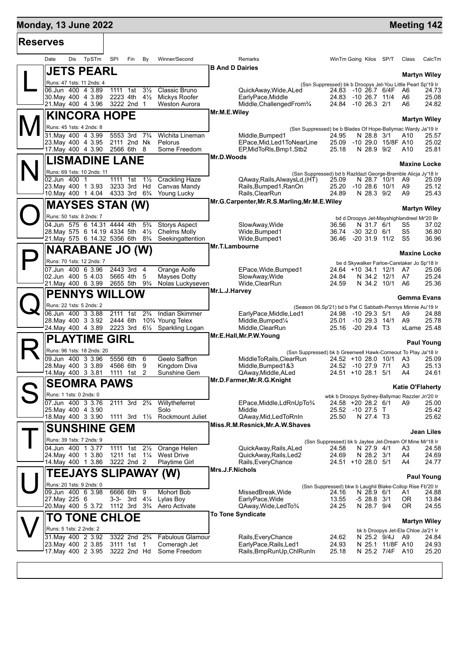## **Monday, 13 June 2022 Meeting 142 Reserves** L **JET** Runs: 4 **B And D Dairies**

 $\mathbf{M}^{\parallel}_{\frac{1}{32}}$ 

N

 $\bigcirc$ 

 $\mathsf{P}\|$ 

 $\mathbf{Q}^{\parallel}_{\frac{5}{2}}$ 

R

 $\bigcup \left\lbrack \cdot \right\rbrack$ 

 $\bm{\mathsf{V}}\Vert$ 

| Date                     | Dis | TpSTm                                                       | SPI                                    | Fin                                    | By                               | Winner/Second                               |                        | <b>Remarks</b>                                                                                | WinTm Going Kilos SP/T                                             |                              |                                    | Class                                       | CalcTm                  |
|--------------------------|-----|-------------------------------------------------------------|----------------------------------------|----------------------------------------|----------------------------------|---------------------------------------------|------------------------|-----------------------------------------------------------------------------------------------|--------------------------------------------------------------------|------------------------------|------------------------------------|---------------------------------------------|-------------------------|
|                          |     | <b>JETS PEARL</b>                                           |                                        |                                        |                                  |                                             | <b>B And D Dairies</b> |                                                                                               |                                                                    |                              |                                    |                                             |                         |
|                          |     | Runs: 47 1sts: 11 2nds: 4                                   |                                        |                                        |                                  |                                             |                        |                                                                                               | (Ssn Suppressed) bk b Droopys Jet-You Little Pearl Sp'19 Ir        |                              |                                    |                                             | <b>Martyn Wiley</b>     |
|                          |     | 06.Jun 400 4 3.89                                           | 1111                                   | 1st                                    | $3\frac{1}{2}$                   | Classic Bruno                               |                        | QuickAway, Wide, ALed                                                                         | 24.83 -10 26.7 6/4F                                                |                              |                                    | A6                                          | 24.73                   |
|                          |     | 30. May 400 4 3.89                                          |                                        | 2223 4th                               | $4\frac{1}{2}$                   | Mickys Roofer                               |                        | EarlyPace.Middle                                                                              | 24.83                                                              | $-10, 26.7, 11/4$            |                                    | A6                                          | 25.08                   |
|                          |     | 21. May 400 4 3.96                                          |                                        | 3222 2nd 1                             |                                  | <b>Weston Aurora</b>                        |                        | Middle, Challenged From 3/4                                                                   | 24.84                                                              | -10 26.3 2/1                 |                                    | A6                                          | 24.82                   |
|                          |     | <b>KINCORA HOPE</b>                                         |                                        |                                        |                                  |                                             | Mr.M.E.Wiley           |                                                                                               |                                                                    |                              |                                    |                                             |                         |
| Runs: 45 1sts: 4 2nds: 8 |     |                                                             |                                        |                                        |                                  |                                             |                        |                                                                                               |                                                                    |                              |                                    |                                             | <b>Martyn Wiley</b>     |
| 31. May 400 4 3.99       |     |                                                             | 5553 3rd                               |                                        | $7\frac{3}{4}$                   | Wichita Lineman                             |                        | (Ssn Suppressed) be b Blades Of Hope-Ballymac Wardy Ja'19 Ir<br>Middle, Bumped1               | 24.95                                                              | N 28.8 3/1                   |                                    | A10                                         | 25.57                   |
|                          |     | 23. May 400 4 3.95                                          |                                        | 2111 2nd Nk                            |                                  | Pelorus                                     |                        | EPace, Mid, Led1ToNearLine                                                                    | 25.09                                                              | $-10, 29.0$                  | 15/8F A10                          |                                             | 25.02                   |
|                          |     | 17. May 400 4 3.90                                          | 2566 6th                               |                                        | 8                                | Some Freedom                                |                        | EP, MidToRIs, Bmp1, Stb2                                                                      | 25.18                                                              | N 28.9 9/2                   |                                    | A10                                         | 25.81                   |
|                          |     | <b>LISMADINE LANE</b>                                       |                                        |                                        |                                  |                                             | Mr.D.Woods             |                                                                                               |                                                                    |                              |                                    |                                             |                         |
|                          |     | Runs: 69 1sts: 10 2nds: 11                                  |                                        |                                        |                                  |                                             |                        |                                                                                               |                                                                    |                              |                                    |                                             | <b>Maxine Locke</b>     |
| 02.Jun 400 1             |     |                                                             |                                        | 1111 1st                               | $1\frac{1}{2}$                   | <b>Crackling Haze</b>                       |                        | (Ssn Suppressed) bd b Razldazl George-Bramble Alicja Jy'18 Ir<br>QAway, Rails, AlwaysLd, (HT) | 25.09                                                              | N 28.7 10/1                  |                                    | A9                                          | 25.09                   |
|                          |     | 23. May 400 1 3.93                                          |                                        | 3233 3rd                               | Hd                               | Canvas Mandy                                |                        | Rails, Bumped 1, RanOn                                                                        | 25.20                                                              | $-10$ 28.6 $10/1$            |                                    | A9                                          | 25.12                   |
|                          |     | 10. May 400 1 4.04                                          | 4333 3rd                               |                                        | $6\frac{3}{4}$                   | <b>Young Lucky</b>                          |                        | Rails, ClearRun                                                                               | 24.89                                                              | N 28.3 9/2                   |                                    | A9                                          | 25.43                   |
|                          |     | <b>MAYSES STAN (W)</b>                                      |                                        |                                        |                                  |                                             |                        | Mr.G.Carpenter, Mr.R.S.Marling, Mr.M.E.Wiley                                                  |                                                                    |                              |                                    |                                             |                         |
|                          |     |                                                             |                                        |                                        |                                  |                                             |                        |                                                                                               |                                                                    |                              |                                    |                                             | <b>Martyn Wiley</b>     |
| Runs: 50 1sts: 8 2nds: 7 |     |                                                             |                                        |                                        |                                  |                                             |                        |                                                                                               |                                                                    |                              |                                    | bd d Droopys Jet-Mayshighlandreel Mr'20 Br  |                         |
|                          |     | 04.Jun 575 6 14.31 4444 4th<br>28. May 575 6 14.19 4334 5th |                                        |                                        | $5\frac{3}{4}$<br>$4\frac{1}{2}$ | <b>Storys Aspect</b><br><b>Chelms Molly</b> |                        | SlowAway, Wide<br>Wide, Bumped1                                                               | 36.56<br>36.74                                                     | N 31.7 6/1<br>$-30$ 32.0 6/1 |                                    | S5<br>S <sub>5</sub>                        | 37.02<br>36.80          |
|                          |     | 21. May 575 6 14.32 5356 6th                                |                                        |                                        | $8\frac{3}{4}$                   | Seekingattention                            |                        | Wide, Bumped1                                                                                 | 36.46                                                              | $-20$ 31.9 11/2              |                                    | S <sub>5</sub>                              | 36.96                   |
|                          |     |                                                             |                                        |                                        |                                  |                                             | Mr.T.Lambourne         |                                                                                               |                                                                    |                              |                                    |                                             |                         |
|                          |     | <b>NARABANE JO (W)</b>                                      |                                        |                                        |                                  |                                             |                        |                                                                                               |                                                                    |                              |                                    |                                             | <b>Maxine Locke</b>     |
|                          |     | Runs: 70 1sts: 12 2nds: 7                                   |                                        |                                        |                                  |                                             |                        |                                                                                               |                                                                    |                              |                                    | be d Skywalker Farloe-Caretaker Jo Sp'18 Ir |                         |
|                          |     | 07.Jun 400 6 3.96                                           | 2443 3rd                               |                                        | $\overline{4}$                   | Orange Aoife                                |                        | EPace, Wide, Bumped1                                                                          | 24.64 +10 34.1 12/1                                                |                              |                                    | A7                                          | 25.06                   |
| 02.Jun 400 5 4.03        |     |                                                             | 5665 4th                               |                                        | 5                                | Mayses Dotty                                |                        | SlowAway, Wide                                                                                | 24.84                                                              | N 34.2 12/1                  |                                    | A7                                          | 25.24                   |
|                          |     | 21. May 400 6 3.99                                          | 2655 5th                               |                                        | $9\frac{3}{4}$                   | Nolas Luckyseven                            | Mr.L.J.Harvey          | Wide, Clear Run                                                                               | 24.59                                                              | N 34.2 10/1                  |                                    | A6                                          | 25.36                   |
|                          |     | <b>PENNYS WILLOW</b>                                        |                                        |                                        |                                  |                                             |                        |                                                                                               |                                                                    |                              |                                    |                                             | Gemma Evans             |
| Runs: 22 1sts: 5 2nds: 2 |     |                                                             |                                        |                                        |                                  |                                             |                        | (Season 06.Sp'21) bd b Pat C Sabbath-Pennys Minnie Au'19 Ir                                   |                                                                    |                              |                                    |                                             |                         |
|                          |     | 06.Jun 400 3 3.88                                           |                                        | 2111 1st                               | $2\frac{3}{4}$                   | Indian Skimmer                              |                        | EarlyPace, Middle, Led1                                                                       | 24.98                                                              | $-1029.351$                  |                                    | A9                                          | 24.88                   |
|                          |     | 28. May 400 3 3.92                                          | 2444 6th                               |                                        |                                  | 10 <sup>3</sup> / <sub>4</sub> Young Telex  |                        | Middle, Bumped <sup>1/4</sup>                                                                 | 25.01                                                              | $-10$ 29.3 $14/1$            |                                    | A9                                          | 25.78                   |
|                          |     | 24. May 400 4 3.89                                          |                                        |                                        |                                  | 2223 3rd 61/ <sub>2</sub> Sparkling Logan   |                        | Middle, ClearRun                                                                              | 25.16 -20 29.4 T3                                                  |                              |                                    |                                             | xLame 25.48             |
|                          |     | <b>PLAYTIME</b>                                             | <b>GIRL</b>                            |                                        |                                  |                                             |                        | Mr.E.Hall, Mr.P.W. Young                                                                      |                                                                    |                              |                                    |                                             | <b>Paul Young</b>       |
|                          |     | Runs: 96 1sts: 18 2nds: 20                                  |                                        |                                        |                                  |                                             |                        | (Ssn Suppressed) bk b Greenwell Hawk-Comeout To Play Ja'18 Ir                                 |                                                                    |                              |                                    |                                             |                         |
| 09.Jun 400 3 3.96        |     |                                                             | 5556 6th                               |                                        | 6                                | Geelo Saffron                               |                        | MiddleToRails, ClearRun                                                                       | 24.52 +10 28.0 10/1                                                |                              |                                    | A3                                          | 25.09                   |
| 28. May 400 3 3.89       |     |                                                             | 4566 6th                               |                                        | 9                                | Kingdom Diva                                |                        | Middle, Bumped 1&3                                                                            | 24.52 -10 27.9 7/1                                                 |                              |                                    | A3                                          | 25.13                   |
|                          |     | 14. May 400 3 3.81                                          | 1111 1st                               |                                        | $\overline{2}$                   | Sunshine Gem                                |                        | QAway, Middle, ALed                                                                           | 24.51 +10 28.1 5/1                                                 |                              |                                    | A4                                          | 24.61                   |
|                          |     | ∥SEOMRA PAWS                                                |                                        |                                        |                                  |                                             |                        | Mr.D.Farmer, Mr.R.G.Knight                                                                    |                                                                    |                              |                                    |                                             | <b>Katie O'Flaherty</b> |
| Runs: 1 1sts: 0 2nds: 0  |     |                                                             |                                        |                                        |                                  |                                             |                        |                                                                                               | wbk b Droopys Sydney-Ballymac Razzler Jn'20 Ir                     |                              |                                    |                                             |                         |
| 07.Jun 400 3 3.76        |     |                                                             |                                        | 2111 3rd                               | $2\frac{3}{4}$                   | Willytheferret                              |                        | EPace, Middle, LdRnUpTo3/4                                                                    | 24.58 +20 28.2 6/1                                                 |                              |                                    | A9                                          | 25.00                   |
| 25. May 400 4 3.90       |     |                                                             |                                        |                                        |                                  | Solo                                        |                        | Middle                                                                                        | 25.52 -10 27.5 T                                                   |                              |                                    |                                             | 25.42                   |
|                          |     | 18. May 400 3 3.90                                          | 1111 3rd                               |                                        | $1\frac{1}{2}$                   | Rockmount Juliet                            |                        | QAway, Mid, Led To RnIn                                                                       | 25.50                                                              | N 27.4 T3                    |                                    |                                             | 25.62                   |
|                          |     | <b>SUNSHINE GEM</b>                                         |                                        |                                        |                                  |                                             |                        | Miss.R.M.Resnick, Mr.A.W.Shaves                                                               |                                                                    |                              |                                    |                                             | <b>Jean Liles</b>       |
| Runs: 39 1sts: 7 2nds: 9 |     |                                                             |                                        |                                        |                                  |                                             |                        |                                                                                               | (Ssn Suppressed) bk b Jaytee Jet-Dream Of Mine Mr'18 Ir            |                              |                                    |                                             |                         |
| 04.Jun 400 1 3.77        |     |                                                             |                                        | 1111 1st                               | $2\frac{1}{2}$                   | Orange Helen                                |                        | QuickAway, Rails, ALed                                                                        | 24.58                                                              | N 27.9 4/1                   |                                    | A3                                          | 24.58                   |
|                          |     | 24. May 400 1 3.80                                          |                                        | 1211 1st 11/4                          |                                  | <b>West Drive</b>                           |                        | QuickAway, Rails, Led2                                                                        | 24.69                                                              | N 28.2 3/1                   |                                    | A4                                          | 24.69                   |
|                          |     | 14. May 400 1 3.86                                          |                                        | 3222 2nd 2                             |                                  | <b>Playtime Girl</b>                        |                        | Rails, Every Chance                                                                           | 24.51 +10 28.0 5/1                                                 |                              |                                    | A4                                          | 24.77                   |
|                          |     |                                                             |                                        |                                        |                                  | TEEJAYS SLIPAWAY (W)                        | Mrs.J.F.Nichols        |                                                                                               |                                                                    |                              |                                    |                                             |                         |
|                          |     | Runs: 20 1sts: 9 2nds: 0                                    |                                        |                                        |                                  |                                             |                        |                                                                                               |                                                                    |                              |                                    |                                             | <b>Paul Young</b>       |
|                          |     | 09.Jun 400 6 3.98                                           | 6666 6th                               |                                        | 9                                | Mohort Bob                                  |                        | MissedBreak, Wide                                                                             | (Ssn Suppressed) bkw b Laughil Blake-Collop Rise Fb'20 Ir<br>24.16 | N 28.9 6/1                   |                                    | Α1                                          | 24.88                   |
| 27. May 225 6            |     |                                                             |                                        | 3-3- 3rd 41/4                          |                                  | Lylas Boy                                   |                        | EarlyPace, Wide                                                                               | 13.55                                                              | $-5$ 28.8 $3/1$              |                                    | OR.                                         | 13.84                   |
|                          |     | 20. May 400 5 3.72                                          | 1112 3rd 3 <sup>3</sup> / <sub>4</sub> |                                        |                                  | Aero Activate                               |                        | QAway, Wide, Led To 3/4                                                                       | 24.25                                                              | N 28.7 9/4                   |                                    | ΟR                                          | 24.55                   |
| TO                       |     | <b>TONE CHLOE</b>                                           |                                        |                                        |                                  |                                             |                        | <b>To Tone Syndicate</b>                                                                      |                                                                    |                              |                                    |                                             |                         |
| Runs: 5 1sts: 2 2nds: 2  |     |                                                             |                                        |                                        |                                  |                                             |                        |                                                                                               |                                                                    |                              |                                    |                                             | <b>Martyn Wiley</b>     |
|                          |     | 31. May 400 2 3.92                                          |                                        | 3322 2nd 2 <sup>3</sup> / <sub>4</sub> |                                  | <b>Fabulous Glamour</b>                     |                        | Rails, Every Chance                                                                           |                                                                    |                              |                                    | bk b Droopys Jet-Ela Chloe Ja'21 Ir         | 24.84                   |
|                          |     | 23. May 400 2 3.85                                          |                                        | 3111 1st 1                             |                                  | Comeragh Jet                                |                        | EarlyPace, Rails, Led1                                                                        | 24.62<br>24.93                                                     |                              | N 25.2 9/4J A9<br>N 25.1 11/8F A10 |                                             | 24.93                   |
|                          |     | 17. May 400 2 3.95                                          |                                        | 3222 2nd Hd                            |                                  | Some Freedom                                |                        | Rails, BmpRunUp, ChlRunIn                                                                     | 25.18                                                              |                              | N 25.2 7/4F A10                    |                                             | 25.20                   |